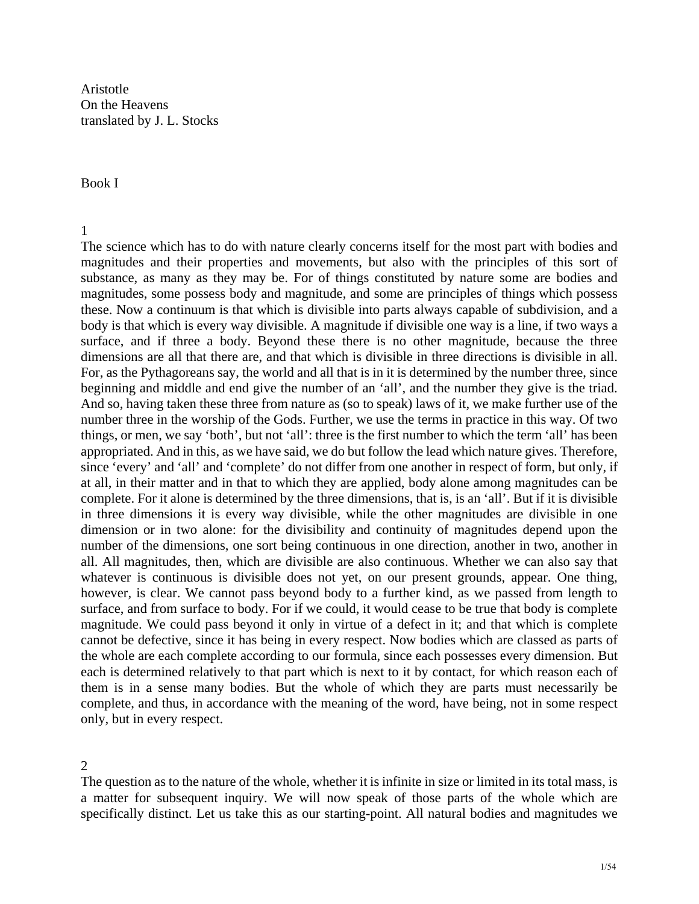Aristotle On the Heavens translated by J. L. Stocks

#### Book I

#### 1

The science which has to do with nature clearly concerns itself for the most part with bodies and magnitudes and their properties and movements, but also with the principles of this sort of substance, as many as they may be. For of things constituted by nature some are bodies and magnitudes, some possess body and magnitude, and some are principles of things which possess these. Now a continuum is that which is divisible into parts always capable of subdivision, and a body is that which is every way divisible. A magnitude if divisible one way is a line, if two ways a surface, and if three a body. Beyond these there is no other magnitude, because the three dimensions are all that there are, and that which is divisible in three directions is divisible in all. For, as the Pythagoreans say, the world and all that is in it is determined by the number three, since beginning and middle and end give the number of an 'all', and the number they give is the triad. And so, having taken these three from nature as (so to speak) laws of it, we make further use of the number three in the worship of the Gods. Further, we use the terms in practice in this way. Of two things, or men, we say 'both', but not 'all': three is the first number to which the term 'all' has been appropriated. And in this, as we have said, we do but follow the lead which nature gives. Therefore, since 'every' and 'all' and 'complete' do not differ from one another in respect of form, but only, if at all, in their matter and in that to which they are applied, body alone among magnitudes can be complete. For it alone is determined by the three dimensions, that is, is an 'all'. But if it is divisible in three dimensions it is every way divisible, while the other magnitudes are divisible in one dimension or in two alone: for the divisibility and continuity of magnitudes depend upon the number of the dimensions, one sort being continuous in one direction, another in two, another in all. All magnitudes, then, which are divisible are also continuous. Whether we can also say that whatever is continuous is divisible does not yet, on our present grounds, appear. One thing, however, is clear. We cannot pass beyond body to a further kind, as we passed from length to surface, and from surface to body. For if we could, it would cease to be true that body is complete magnitude. We could pass beyond it only in virtue of a defect in it; and that which is complete cannot be defective, since it has being in every respect. Now bodies which are classed as parts of the whole are each complete according to our formula, since each possesses every dimension. But each is determined relatively to that part which is next to it by contact, for which reason each of them is in a sense many bodies. But the whole of which they are parts must necessarily be complete, and thus, in accordance with the meaning of the word, have being, not in some respect only, but in every respect.

 $\mathfrak{D}$ 

The question as to the nature of the whole, whether it is infinite in size or limited in its total mass, is a matter for subsequent inquiry. We will now speak of those parts of the whole which are specifically distinct. Let us take this as our starting-point. All natural bodies and magnitudes we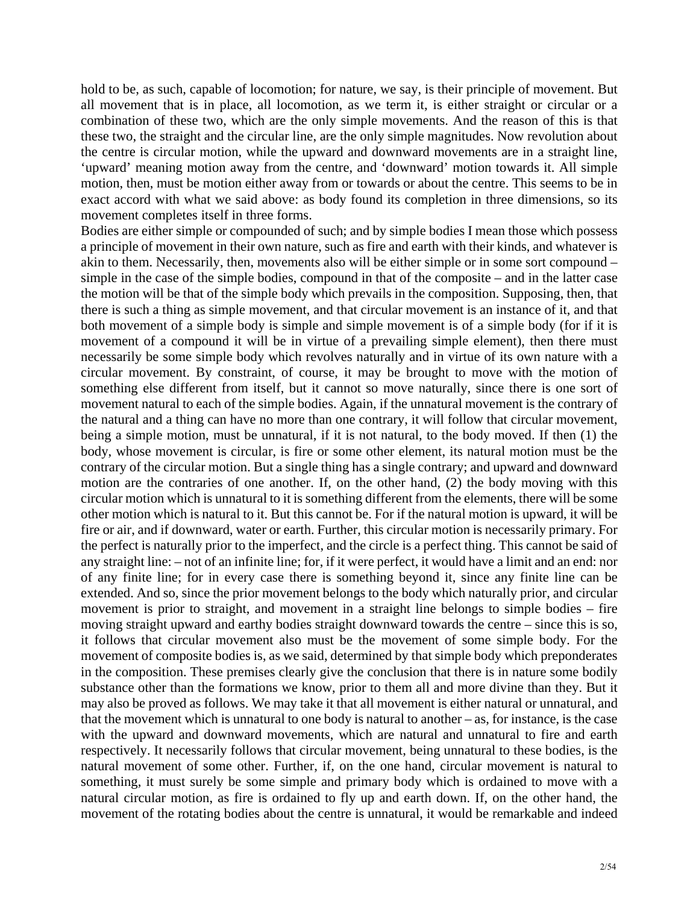hold to be, as such, capable of locomotion; for nature, we say, is their principle of movement. But all movement that is in place, all locomotion, as we term it, is either straight or circular or a combination of these two, which are the only simple movements. And the reason of this is that these two, the straight and the circular line, are the only simple magnitudes. Now revolution about the centre is circular motion, while the upward and downward movements are in a straight line, 'upward' meaning motion away from the centre, and 'downward' motion towards it. All simple motion, then, must be motion either away from or towards or about the centre. This seems to be in exact accord with what we said above: as body found its completion in three dimensions, so its movement completes itself in three forms.

Bodies are either simple or compounded of such; and by simple bodies I mean those which possess a principle of movement in their own nature, such as fire and earth with their kinds, and whatever is akin to them. Necessarily, then, movements also will be either simple or in some sort compound – simple in the case of the simple bodies, compound in that of the composite – and in the latter case the motion will be that of the simple body which prevails in the composition. Supposing, then, that there is such a thing as simple movement, and that circular movement is an instance of it, and that both movement of a simple body is simple and simple movement is of a simple body (for if it is movement of a compound it will be in virtue of a prevailing simple element), then there must necessarily be some simple body which revolves naturally and in virtue of its own nature with a circular movement. By constraint, of course, it may be brought to move with the motion of something else different from itself, but it cannot so move naturally, since there is one sort of movement natural to each of the simple bodies. Again, if the unnatural movement is the contrary of the natural and a thing can have no more than one contrary, it will follow that circular movement, being a simple motion, must be unnatural, if it is not natural, to the body moved. If then (1) the body, whose movement is circular, is fire or some other element, its natural motion must be the contrary of the circular motion. But a single thing has a single contrary; and upward and downward motion are the contraries of one another. If, on the other hand, (2) the body moving with this circular motion which is unnatural to it is something different from the elements, there will be some other motion which is natural to it. But this cannot be. For if the natural motion is upward, it will be fire or air, and if downward, water or earth. Further, this circular motion is necessarily primary. For the perfect is naturally prior to the imperfect, and the circle is a perfect thing. This cannot be said of any straight line: – not of an infinite line; for, if it were perfect, it would have a limit and an end: nor of any finite line; for in every case there is something beyond it, since any finite line can be extended. And so, since the prior movement belongs to the body which naturally prior, and circular movement is prior to straight, and movement in a straight line belongs to simple bodies – fire moving straight upward and earthy bodies straight downward towards the centre – since this is so, it follows that circular movement also must be the movement of some simple body. For the movement of composite bodies is, as we said, determined by that simple body which preponderates in the composition. These premises clearly give the conclusion that there is in nature some bodily substance other than the formations we know, prior to them all and more divine than they. But it may also be proved as follows. We may take it that all movement is either natural or unnatural, and that the movement which is unnatural to one body is natural to another – as, for instance, is the case with the upward and downward movements, which are natural and unnatural to fire and earth respectively. It necessarily follows that circular movement, being unnatural to these bodies, is the natural movement of some other. Further, if, on the one hand, circular movement is natural to something, it must surely be some simple and primary body which is ordained to move with a natural circular motion, as fire is ordained to fly up and earth down. If, on the other hand, the movement of the rotating bodies about the centre is unnatural, it would be remarkable and indeed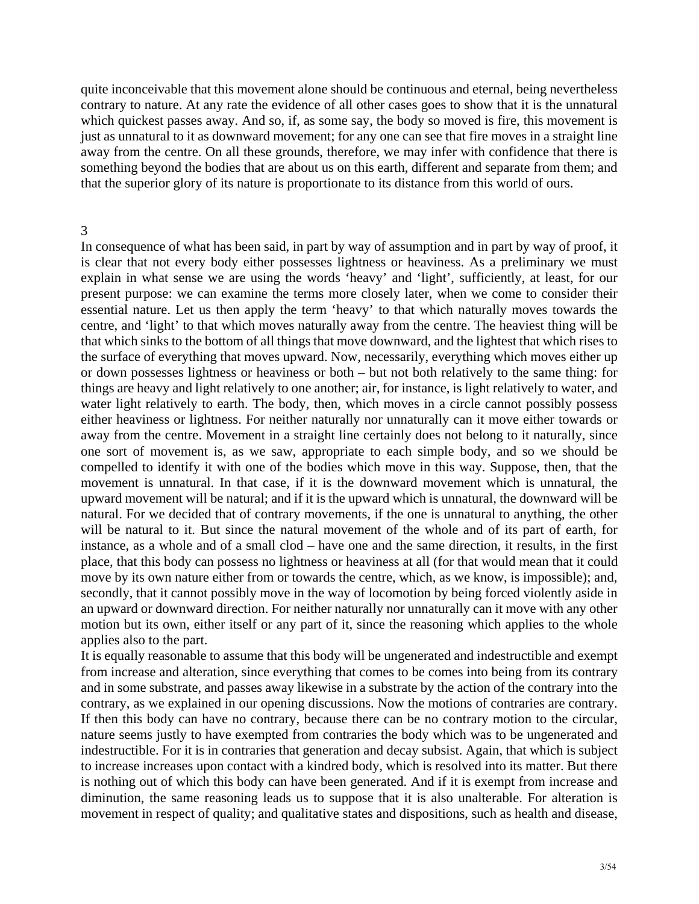quite inconceivable that this movement alone should be continuous and eternal, being nevertheless contrary to nature. At any rate the evidence of all other cases goes to show that it is the unnatural which quickest passes away. And so, if, as some say, the body so moved is fire, this movement is just as unnatural to it as downward movement; for any one can see that fire moves in a straight line away from the centre. On all these grounds, therefore, we may infer with confidence that there is something beyond the bodies that are about us on this earth, different and separate from them; and that the superior glory of its nature is proportionate to its distance from this world of ours.

## 3

In consequence of what has been said, in part by way of assumption and in part by way of proof, it is clear that not every body either possesses lightness or heaviness. As a preliminary we must explain in what sense we are using the words 'heavy' and 'light', sufficiently, at least, for our present purpose: we can examine the terms more closely later, when we come to consider their essential nature. Let us then apply the term 'heavy' to that which naturally moves towards the centre, and 'light' to that which moves naturally away from the centre. The heaviest thing will be that which sinks to the bottom of all things that move downward, and the lightest that which rises to the surface of everything that moves upward. Now, necessarily, everything which moves either up or down possesses lightness or heaviness or both – but not both relatively to the same thing: for things are heavy and light relatively to one another; air, for instance, is light relatively to water, and water light relatively to earth. The body, then, which moves in a circle cannot possibly possess either heaviness or lightness. For neither naturally nor unnaturally can it move either towards or away from the centre. Movement in a straight line certainly does not belong to it naturally, since one sort of movement is, as we saw, appropriate to each simple body, and so we should be compelled to identify it with one of the bodies which move in this way. Suppose, then, that the movement is unnatural. In that case, if it is the downward movement which is unnatural, the upward movement will be natural; and if it is the upward which is unnatural, the downward will be natural. For we decided that of contrary movements, if the one is unnatural to anything, the other will be natural to it. But since the natural movement of the whole and of its part of earth, for instance, as a whole and of a small clod – have one and the same direction, it results, in the first place, that this body can possess no lightness or heaviness at all (for that would mean that it could move by its own nature either from or towards the centre, which, as we know, is impossible); and, secondly, that it cannot possibly move in the way of locomotion by being forced violently aside in an upward or downward direction. For neither naturally nor unnaturally can it move with any other motion but its own, either itself or any part of it, since the reasoning which applies to the whole applies also to the part.

from increase and alteration, since everything that comes to be comes into being from its contrary It is equally reasonable to assume that this body will be ungenerated and indestructible and exempt and in some substrate, and passes away likewise in a substrate by the action of the contrary into the contrary, as we explained in our opening discussions. Now the motions of contraries are contrary. If then this body can have no contrary, because there can be no contrary motion to the circular, nature seems justly to have exempted from contraries the body which was to be ungenerated and indestructible. For it is in contraries that generation and decay subsist. Again, that which is subject to increase increases upon contact with a kindred body, which is resolved into its matter. But there is nothing out of which this body can have been generated. And if it is exempt from increase and diminution, the same reasoning leads us to suppose that it is also unalterable. For alteration is movement in respect of quality; and qualitative states and dispositions, such as health and disease,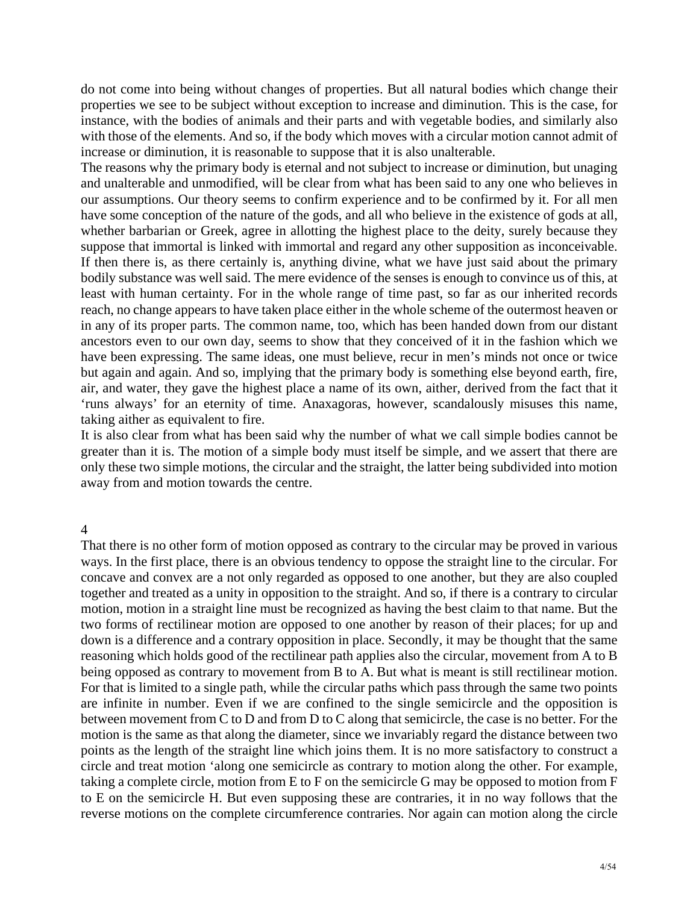do not come into being without changes of properties. But all natural bodies which change their properties we see to be subject without exception to increase and diminution. This is the case, for instance, with the bodies of animals and their parts and with vegetable bodies, and similarly also with those of the elements. And so, if the body which moves with a circular motion cannot admit of increase or diminution, it is reasonable to suppose that it is also unalterable.

The reasons why the primary body is eternal and not subject to increase or diminution, but unaging and unalterable and unmodified, will be clear from what has been said to any one who believes in our assumptions. Our theory seems to confirm experience and to be confirmed by it. For all men have some conception of the nature of the gods, and all who believe in the existence of gods at all, whether barbarian or Greek, agree in allotting the highest place to the deity, surely because they suppose that immortal is linked with immortal and regard any other supposition as inconceivable. If then there is, as there certainly is, anything divine, what we have just said about the primary bodily substance was well said. The mere evidence of the senses is enough to convince us of this, at least with human certainty. For in the whole range of time past, so far as our inherited records reach, no change appears to have taken place either in the whole scheme of the outermost heaven or in any of its proper parts. The common name, too, which has been handed down from our distant ancestors even to our own day, seems to show that they conceived of it in the fashion which we have been expressing. The same ideas, one must believe, recur in men's minds not once or twice but again and again. And so, implying that the primary body is something else beyond earth, fire, air, and water, they gave the highest place a name of its own, aither, derived from the fact that it 'runs always' for an eternity of time. Anaxagoras, however, scandalously misuses this name, taking aither as equivalent to fire.

only these two simple motions, the circular and the straight, the latter being subdivided into motion It is also clear from what has been said why the number of what we call simple bodies cannot be greater than it is. The motion of a simple body must itself be simple, and we assert that there are away from and motion towards the centre.

4

That there is no other form of motion opposed as contrary to the circular may be proved in various ways. In the first place, there is an obvious tendency to oppose the straight line to the circular. For concave and convex are a not only regarded as opposed to one another, but they are also coupled together and treated as a unity in opposition to the straight. And so, if there is a contrary to circular motion, motion in a straight line must be recognized as having the best claim to that name. But the two forms of rectilinear motion are opposed to one another by reason of their places; for up and down is a difference and a contrary opposition in place. Secondly, it may be thought that the same reasoning which holds good of the rectilinear path applies also the circular, movement from A to B being opposed as contrary to movement from B to A. But what is meant is still rectilinear motion. For that is limited to a single path, while the circular paths which pass through the same two points are infinite in number. Even if we are confined to the single semicircle and the opposition is between movement from C to D and from D to C along that semicircle, the case is no better. For the motion is the same as that along the diameter, since we invariably regard the distance between two points as the length of the straight line which joins them. It is no more satisfactory to construct a circle and treat motion 'along one semicircle as contrary to motion along the other. For example, taking a complete circle, motion from E to F on the semicircle G may be opposed to motion from F to E on the semicircle H. But even supposing these are contraries, it in no way follows that the reverse motions on the complete circumference contraries. Nor again can motion along the circle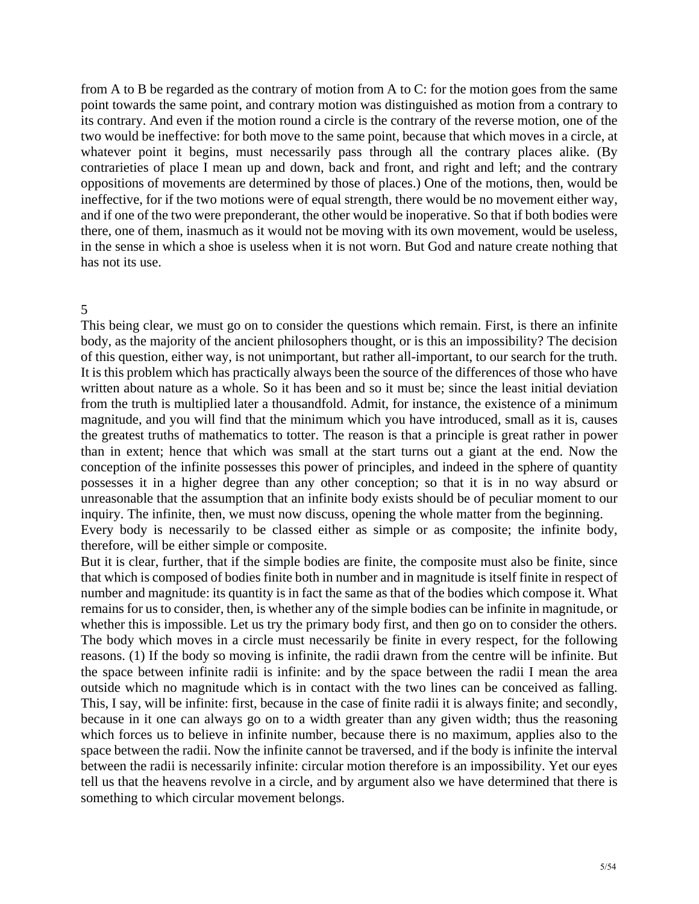from A to B be regarded as the contrary of motion from A to C: for the motion goes from the same point towards the same point, and contrary motion was distinguished as motion from a contrary to its contrary. And even if the motion round a circle is the contrary of the reverse motion, one of the two would be ineffective: for both move to the same point, because that which moves in a circle, at whatever point it begins, must necessarily pass through all the contrary places alike. (By contrarieties of place I mean up and down, back and front, and right and left; and the contrary oppositions of movements are determined by those of places.) One of the motions, then, would be ineffective, for if the two motions were of equal strength, there would be no movement either way, and if one of the two were preponderant, the other would be inoperative. So that if both bodies were there, one of them, inasmuch as it would not be moving with its own movement, would be useless, in the sense in which a shoe is useless when it is not worn. But God and nature create nothing that has not its use.

## 5

This being clear, we must go on to consider the questions which remain. First, is there an infinite body, as the majority of the ancient philosophers thought, or is this an impossibility? The decision of this question, either way, is not unimportant, but rather all-important, to our search for the truth. It is this problem which has practically always been the source of the differences of those who have written about nature as a whole. So it has been and so it must be; since the least initial deviation from the truth is multiplied later a thousandfold. Admit, for instance, the existence of a minimum magnitude, and you will find that the minimum which you have introduced, small as it is, causes the greatest truths of mathematics to totter. The reason is that a principle is great rather in power than in extent; hence that which was small at the start turns out a giant at the end. Now the conception of the infinite possesses this power of principles, and indeed in the sphere of quantity possesses it in a higher degree than any other conception; so that it is in no way absurd or unreasonable that the assumption that an infinite body exists should be of peculiar moment to our inquiry. The infinite, then, we must now discuss, opening the whole matter from the beginning. Every body is necessarily to be classed either as simple or as composite; the infinite body, therefore, will be either simple or composite.

number and magnitude: its quantity is in fact the same as that of the bodies which compose it. What whether this is impossible. Let us try the primary body first, and then go on to consider the others. because in it one can always go on to a width greater than any given width; thus the reasoning But it is clear, further, that if the simple bodies are finite, the composite must also be finite, since that which is composed of bodies finite both in number and in magnitude is itself finite in respect of remains for us to consider, then, is whether any of the simple bodies can be infinite in magnitude, or The body which moves in a circle must necessarily be finite in every respect, for the following reasons. (1) If the body so moving is infinite, the radii drawn from the centre will be infinite. But the space between infinite radii is infinite: and by the space between the radii I mean the area outside which no magnitude which is in contact with the two lines can be conceived as falling. This, I say, will be infinite: first, because in the case of finite radii it is always finite; and secondly, which forces us to believe in infinite number, because there is no maximum, applies also to the space between the radii. Now the infinite cannot be traversed, and if the body is infinite the interval between the radii is necessarily infinite: circular motion therefore is an impossibility. Yet our eyes tell us that the heavens revolve in a circle, and by argument also we have determined that there is something to which circular movement belongs.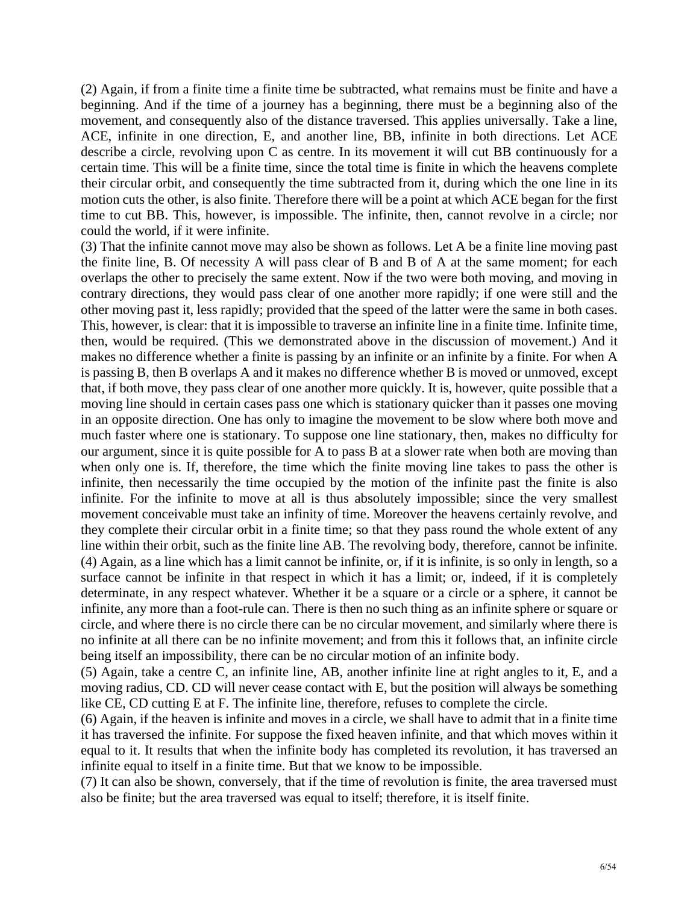(2) Again, if from a finite time a finite time be subtracted, what remains must be finite and have a beginning. And if the time of a journey has a beginning, there must be a beginning also of the movement, and consequently also of the distance traversed. This applies universally. Take a line, ACE, infinite in one direction, E, and another line, BB, infinite in both directions. Let ACE describe a circle, revolving upon C as centre. In its movement it will cut BB continuously for a certain time. This will be a finite time, since the total time is finite in which the heavens complete their circular orbit, and consequently the time subtracted from it, during which the one line in its motion cuts the other, is also finite. Therefore there will be a point at which ACE began for the first time to cut BB. This, however, is impossible. The infinite, then, cannot revolve in a circle; nor could the world, if it were infinite.

other moving past it, less rapidly; provided that the speed of the latter were the same in both cases. no infinite at all there can be no infinite movement; and from this it follows that, an infinite circle (3) That the infinite cannot move may also be shown as follows. Let A be a finite line moving past the finite line, B. Of necessity A will pass clear of B and B of A at the same moment; for each overlaps the other to precisely the same extent. Now if the two were both moving, and moving in contrary directions, they would pass clear of one another more rapidly; if one were still and the This, however, is clear: that it is impossible to traverse an infinite line in a finite time. Infinite time, then, would be required. (This we demonstrated above in the discussion of movement.) And it makes no difference whether a finite is passing by an infinite or an infinite by a finite. For when A is passing B, then B overlaps A and it makes no difference whether B is moved or unmoved, except that, if both move, they pass clear of one another more quickly. It is, however, quite possible that a moving line should in certain cases pass one which is stationary quicker than it passes one moving in an opposite direction. One has only to imagine the movement to be slow where both move and much faster where one is stationary. To suppose one line stationary, then, makes no difficulty for our argument, since it is quite possible for A to pass B at a slower rate when both are moving than when only one is. If, therefore, the time which the finite moving line takes to pass the other is infinite, then necessarily the time occupied by the motion of the infinite past the finite is also infinite. For the infinite to move at all is thus absolutely impossible; since the very smallest movement conceivable must take an infinity of time. Moreover the heavens certainly revolve, and they complete their circular orbit in a finite time; so that they pass round the whole extent of any line within their orbit, such as the finite line AB. The revolving body, therefore, cannot be infinite. (4) Again, as a line which has a limit cannot be infinite, or, if it is infinite, is so only in length, so a surface cannot be infinite in that respect in which it has a limit; or, indeed, if it is completely determinate, in any respect whatever. Whether it be a square or a circle or a sphere, it cannot be infinite, any more than a foot-rule can. There is then no such thing as an infinite sphere or square or circle, and where there is no circle there can be no circular movement, and similarly where there is being itself an impossibility, there can be no circular motion of an infinite body.

(5) Again, take a centre C, an infinite line, AB, another infinite line at right angles to it, E, and a moving radius, CD. CD will never cease contact with E, but the position will always be something like CE, CD cutting E at F. The infinite line, therefore, refuses to complete the circle.

equal to it. It results that when the infinite body has completed its revolution, it has traversed an (6) Again, if the heaven is infinite and moves in a circle, we shall have to admit that in a finite time it has traversed the infinite. For suppose the fixed heaven infinite, and that which moves within it infinite equal to itself in a finite time. But that we know to be impossible.

(7) It can also be shown, conversely, that if the time of revolution is finite, the area traversed must also be finite; but the area traversed was equal to itself; therefore, it is itself finite.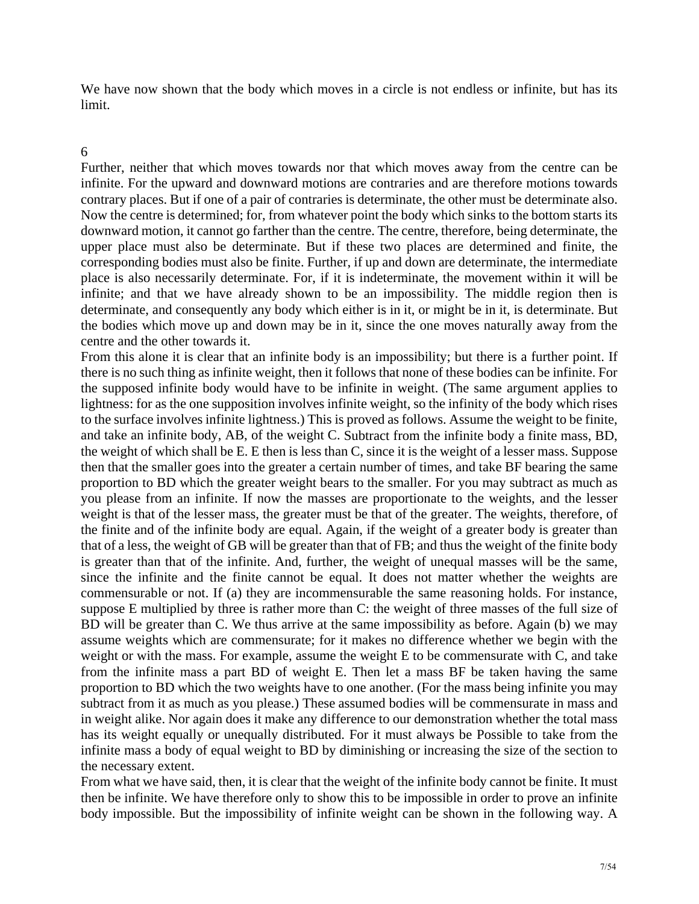We have now shown that the body which moves in a circle is not endless or infinite, but has its limit.

## 6

Further, neither that which moves towards nor that which moves away from the centre can be contrary places. But if one of a pair of contraries is determinate, the other must be determinate also. Now the centre is determined; for, from whatever point the body which sinks to the bottom starts its downward motion, it cannot go farther than the centre. The centre, therefore, being determinate, the upper place must also be determinate. But if these two places are determined and finite, the infinite. For the upward and downward motions are contraries and are therefore motions towards corresponding bodies must also be finite. Further, if up and down are determinate, the intermediate place is also necessarily determinate. For, if it is indeterminate, the movement within it will be infinite; and that we have already shown to be an impossibility. The middle region then is determinate, and consequently any body which either is in it, or might be in it, is determinate. But the bodies which move up and down may be in it, since the one moves naturally away from the centre and the other towards it.

and take an infinite body, AB, of the weight C. Subtract from the infinite body a finite mass, BD, From this alone it is clear that an infinite body is an impossibility; but there is a further point. If there is no such thing as infinite weight, then it follows that none of these bodies can be infinite. For the supposed infinite body would have to be infinite in weight. (The same argument applies to lightness: for as the one supposition involves infinite weight, so the infinity of the body which rises to the surface involves infinite lightness.) This is proved as follows. Assume the weight to be finite, the weight of which shall be E. E then is less than C, since it is the weight of a lesser mass. Suppose then that the smaller goes into the greater a certain number of times, and take BF bearing the same proportion to BD which the greater weight bears to the smaller. For you may subtract as much as you please from an infinite. If now the masses are proportionate to the weights, and the lesser weight is that of the lesser mass, the greater must be that of the greater. The weights, therefore, of the finite and of the infinite body are equal. Again, if the weight of a greater body is greater than that of a less, the weight of GB will be greater than that of FB; and thus the weight of the finite body is greater than that of the infinite. And, further, the weight of unequal masses will be the same, since the infinite and the finite cannot be equal. It does not matter whether the weights are commensurable or not. If (a) they are incommensurable the same reasoning holds. For instance, suppose E multiplied by three is rather more than C: the weight of three masses of the full size of BD will be greater than C. We thus arrive at the same impossibility as before. Again (b) we may assume weights which are commensurate; for it makes no difference whether we begin with the weight or with the mass. For example, assume the weight E to be commensurate with C, and take from the infinite mass a part BD of weight E. Then let a mass BF be taken having the same proportion to BD which the two weights have to one another. (For the mass being infinite you may subtract from it as much as you please.) These assumed bodies will be commensurate in mass and in weight alike. Nor again does it make any difference to our demonstration whether the total mass has its weight equally or unequally distributed. For it must always be Possible to take from the infinite mass a body of equal weight to BD by diminishing or increasing the size of the section to the necessary extent.

From what we have said, then, it is clear that the weight of the infinite body cannot be finite. It must then be infinite. We have therefore only to show this to be impossible in order to prove an infinite body impossible. But the impossibility of infinite weight can be shown in the following way. A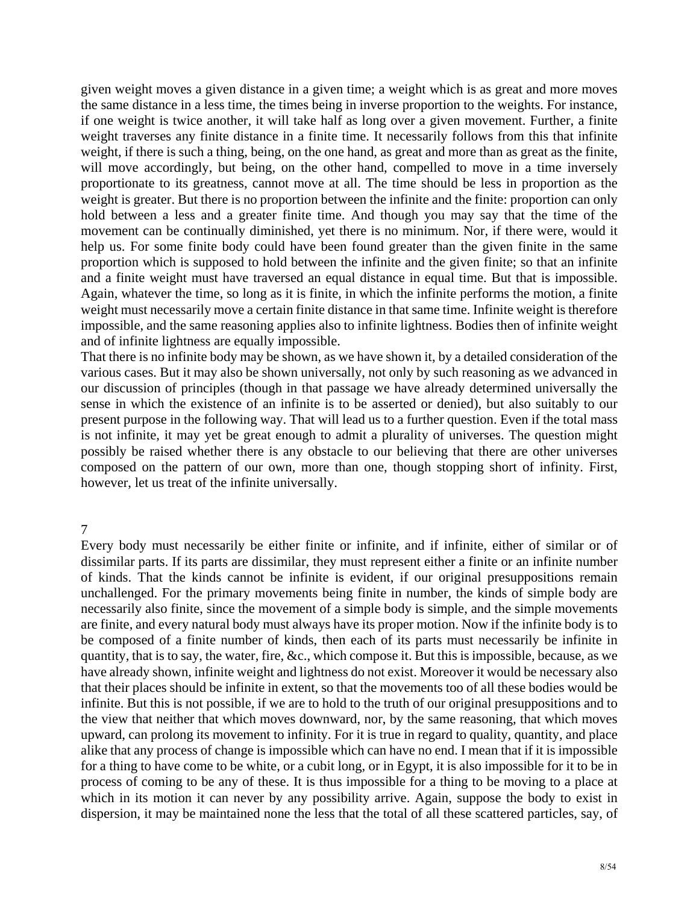given weight moves a given distance in a given time; a weight which is as great and more moves the same distance in a less time, the times being in inverse proportion to the weights. For instance, if one weight is twice another, it will take half as long over a given movement. Further, a finite weight traverses any finite distance in a finite time. It necessarily follows from this that infinite weight, if there is such a thing, being, on the one hand, as great and more than as great as the finite, will move accordingly, but being, on the other hand, compelled to move in a time inversely proportionate to its greatness, cannot move at all. The time should be less in proportion as the weight is greater. But there is no proportion between the infinite and the finite: proportion can only hold between a less and a greater finite time. And though you may say that the time of the movement can be continually diminished, yet there is no minimum. Nor, if there were, would it help us. For some finite body could have been found greater than the given finite in the same proportion which is supposed to hold between the infinite and the given finite; so that an infinite and a finite weight must have traversed an equal distance in equal time. But that is impossible. Again, whatever the time, so long as it is finite, in which the infinite performs the motion, a finite weight must necessarily move a certain finite distance in that same time. Infinite weight is therefore impossible, and the same reasoning applies also to infinite lightness. Bodies then of infinite weight and of infinite lightness are equally impossible.

is not infinite, it may yet be great enough to admit a plurality of universes. The question might That there is no infinite body may be shown, as we have shown it, by a detailed consideration of the various cases. But it may also be shown universally, not only by such reasoning as we advanced in our discussion of principles (though in that passage we have already determined universally the sense in which the existence of an infinite is to be asserted or denied), but also suitably to our present purpose in the following way. That will lead us to a further question. Even if the total mass possibly be raised whether there is any obstacle to our believing that there are other universes composed on the pattern of our own, more than one, though stopping short of infinity. First, however, let us treat of the infinite universally.

7

of kinds. That the kinds cannot be infinite is evident, if our original presuppositions remain unchallenged. For the primary movements being finite in number, the kinds of simple body are necessarily also finite, since the movement of a simple body is simple, and the simple movements are finite, and every natural body must always have its proper motion. Now if the infinite body is to Every body must necessarily be either finite or infinite, and if infinite, either of similar or of dissimilar parts. If its parts are dissimilar, they must represent either a finite or an infinite number be composed of a finite number of kinds, then each of its parts must necessarily be infinite in quantity, that is to say, the water, fire, &c., which compose it. But this is impossible, because, as we have already shown, infinite weight and lightness do not exist. Moreover it would be necessary also that their places should be infinite in extent, so that the movements too of all these bodies would be infinite. But this is not possible, if we are to hold to the truth of our original presuppositions and to the view that neither that which moves downward, nor, by the same reasoning, that which moves upward, can prolong its movement to infinity. For it is true in regard to quality, quantity, and place alike that any process of change is impossible which can have no end. I mean that if it is impossible for a thing to have come to be white, or a cubit long, or in Egypt, it is also impossible for it to be in process of coming to be any of these. It is thus impossible for a thing to be moving to a place at which in its motion it can never by any possibility arrive. Again, suppose the body to exist in dispersion, it may be maintained none the less that the total of all these scattered particles, say, of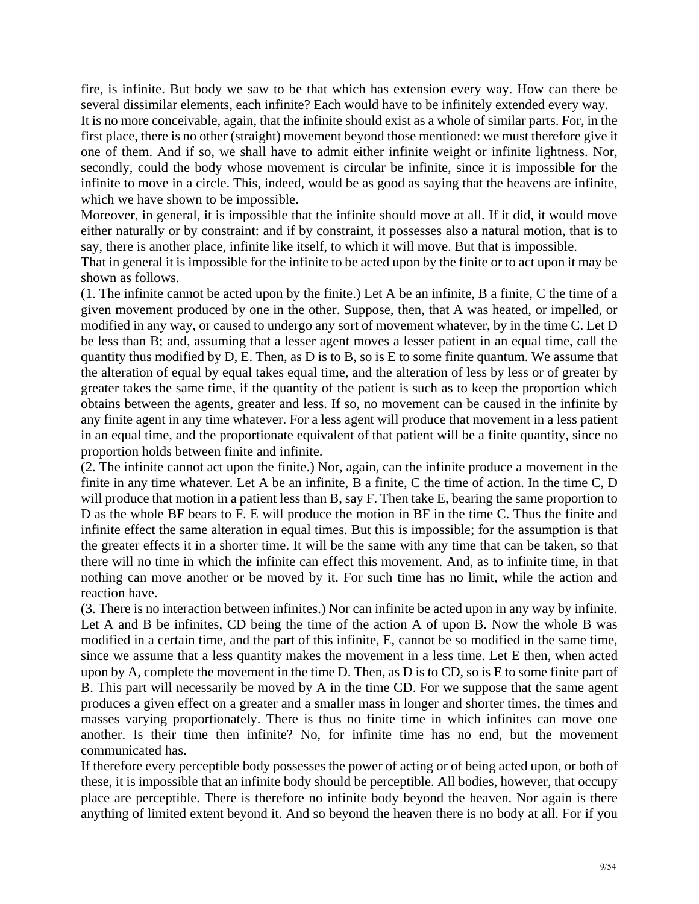fire, is infinite. But body we saw to be that which has extension every way. How can there be several dissimilar elements, each infinite? Each would have to be infinitely extended every way.

It is no more conceivable, again, that the infinite should exist as a whole of similar parts. For, in the first place, there is no other (straight) movement beyond those mentioned: we must therefore give it one of them. And if so, we shall have to admit either infinite weight or infinite lightness. Nor, secondly, could the body whose movement is circular be infinite, since it is impossible for the infinite to move in a circle. This, indeed, would be as good as saying that the heavens are infinite, which we have shown to be impossible.

Moreover, in general, it is impossible that the infinite should move at all. If it did, it would move either naturally or by constraint: and if by constraint, it possesses also a natural motion, that is to say, there is another place, infinite like itself, to which it will move. But that is impossible.

That in general it is impossible for the infinite to be acted upon by the finite or to act upon it may be shown as follows.

given movement produced by one in the other. Suppose, then, that A was heated, or impelled, or quantity thus modified by  $D$ , E. Then, as  $D$  is to  $B$ , so is  $E$  to some finite quantum. We assume that greater takes the same time, if the quantity of the patient is such as to keep the proportion which (1. The infinite cannot be acted upon by the finite.) Let A be an infinite, B a finite, C the time of a modified in any way, or caused to undergo any sort of movement whatever, by in the time C. Let D be less than B; and, assuming that a lesser agent moves a lesser patient in an equal time, call the the alteration of equal by equal takes equal time, and the alteration of less by less or of greater by obtains between the agents, greater and less. If so, no movement can be caused in the infinite by any finite agent in any time whatever. For a less agent will produce that movement in a less patient in an equal time, and the proportionate equivalent of that patient will be a finite quantity, since no proportion holds between finite and infinite.

there will no time in which the infinite can effect this movement. And, as to infinite time, in that (2. The infinite cannot act upon the finite.) Nor, again, can the infinite produce a movement in the finite in any time whatever. Let A be an infinite, B a finite, C the time of action. In the time C, D will produce that motion in a patient less than B, say F. Then take E, bearing the same proportion to D as the whole BF bears to F. E will produce the motion in BF in the time C. Thus the finite and infinite effect the same alteration in equal times. But this is impossible; for the assumption is that the greater effects it in a shorter time. It will be the same with any time that can be taken, so that nothing can move another or be moved by it. For such time has no limit, while the action and reaction have.

produces a given effect on a greater and a smaller mass in longer and shorter times, the times and (3. There is no interaction between infinites.) Nor can infinite be acted upon in any way by infinite. Let A and B be infinites, CD being the time of the action A of upon B. Now the whole B was modified in a certain time, and the part of this infinite, E, cannot be so modified in the same time, since we assume that a less quantity makes the movement in a less time. Let E then, when acted upon by A, complete the movement in the time D. Then, as D is to CD, so is E to some finite part of B. This part will necessarily be moved by A in the time CD. For we suppose that the same agent masses varying proportionately. There is thus no finite time in which infinites can move one another. Is their time then infinite? No, for infinite time has no end, but the movement communicated has.

If therefore every perceptible body possesses the power of acting or of being acted upon, or both of these, it is impossible that an infinite body should be perceptible. All bodies, however, that occupy place are perceptible. There is therefore no infinite body beyond the heaven. Nor again is there anything of limited extent beyond it. And so beyond the heaven there is no body at all. For if you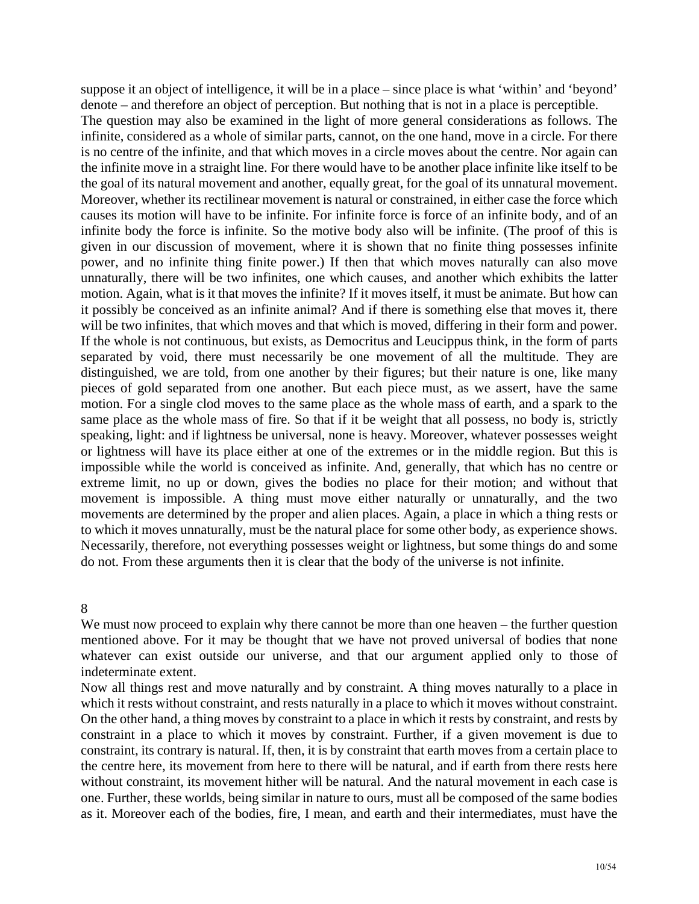suppose it an object of intelligence, it will be in a place – since place is what 'within' and 'beyond' denote – and therefore an object of perception. But nothing that is not in a place is perceptible. The question may also be examined in the light of more general considerations as follows. The infinite body the force is infinite. So the motive body also will be infinite. (The proof of this is impossible while the world is conceived as infinite. And, generally, that which has no centre or infinite, considered as a whole of similar parts, cannot, on the one hand, move in a circle. For there is no centre of the infinite, and that which moves in a circle moves about the centre. Nor again can the infinite move in a straight line. For there would have to be another place infinite like itself to be the goal of its natural movement and another, equally great, for the goal of its unnatural movement. Moreover, whether its rectilinear movement is natural or constrained, in either case the force which causes its motion will have to be infinite. For infinite force is force of an infinite body, and of an given in our discussion of movement, where it is shown that no finite thing possesses infinite power, and no infinite thing finite power.) If then that which moves naturally can also move unnaturally, there will be two infinites, one which causes, and another which exhibits the latter motion. Again, what is it that moves the infinite? If it moves itself, it must be animate. But how can it possibly be conceived as an infinite animal? And if there is something else that moves it, there will be two infinites, that which moves and that which is moved, differing in their form and power. If the whole is not continuous, but exists, as Democritus and Leucippus think, in the form of parts separated by void, there must necessarily be one movement of all the multitude. They are distinguished, we are told, from one another by their figures; but their nature is one, like many pieces of gold separated from one another. But each piece must, as we assert, have the same motion. For a single clod moves to the same place as the whole mass of earth, and a spark to the same place as the whole mass of fire. So that if it be weight that all possess, no body is, strictly speaking, light: and if lightness be universal, none is heavy. Moreover, whatever possesses weight or lightness will have its place either at one of the extremes or in the middle region. But this is extreme limit, no up or down, gives the bodies no place for their motion; and without that movement is impossible. A thing must move either naturally or unnaturally, and the two movements are determined by the proper and alien places. Again, a place in which a thing rests or to which it moves unnaturally, must be the natural place for some other body, as experience shows. Necessarily, therefore, not everything possesses weight or lightness, but some things do and some do not. From these arguments then it is clear that the body of the universe is not infinite.

## 8

We must now proceed to explain why there cannot be more than one heaven – the further question mentioned above. For it may be thought that we have not proved universal of bodies that none whatever can exist outside our universe, and that our argument applied only to those of indeterminate extent.

On the other hand, a thing moves by constraint to a place in which it rests by constraint, and rests by constraint in a place to which it moves by constraint. Further, if a given movement is due to constraint, its contrary is natural. If, then, it is by constraint that earth moves from a certain place to the centre here, its movement from here to there will be natural, and if earth from there rests here as it. Moreover each of the bodies, fire, I mean, and earth and their intermediates, must have the Now all things rest and move naturally and by constraint. A thing moves naturally to a place in which it rests without constraint, and rests naturally in a place to which it moves without constraint. without constraint, its movement hither will be natural. And the natural movement in each case is one. Further, these worlds, being similar in nature to ours, must all be composed of the same bodies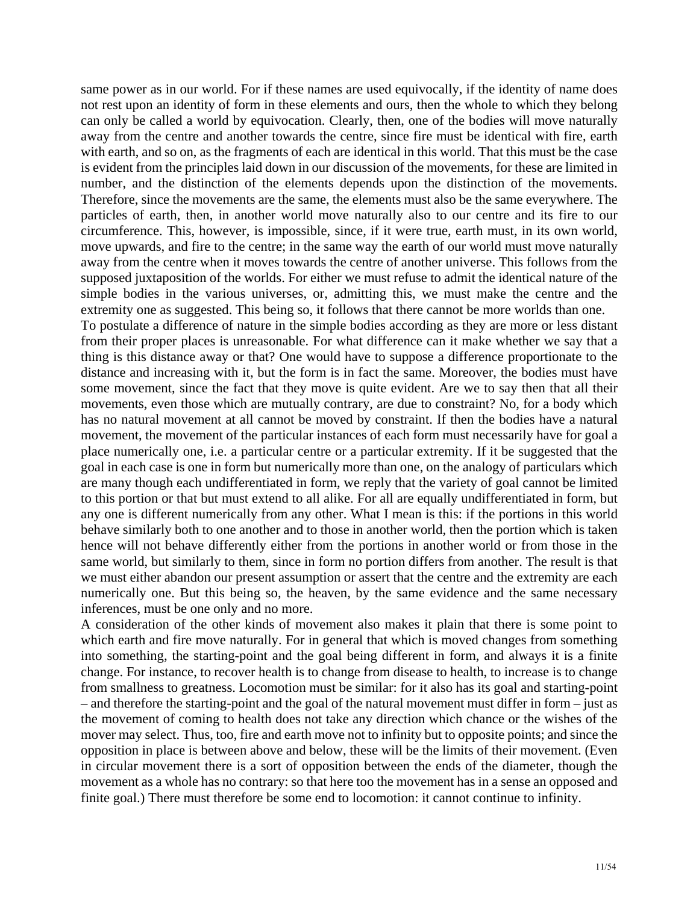same power as in our world. For if these names are used equivocally, if the identity of name does not rest upon an identity of form in these elements and ours, then the whole to which they belong can only be called a world by equivocation. Clearly, then, one of the bodies will move naturally away from the centre and another towards the centre, since fire must be identical with fire, earth with earth, and so on, as the fragments of each are identical in this world. That this must be the case is evident from the principles laid down in our discussion of the movements, for these are limited in number, and the distinction of the elements depends upon the distinction of the movements. Therefore, since the movements are the same, the elements must also be the same everywhere. The particles of earth, then, in another world move naturally also to our centre and its fire to our circumference. This, however, is impossible, since, if it were true, earth must, in its own world, move upwards, and fire to the centre; in the same way the earth of our world must move naturally away from the centre when it moves towards the centre of another universe. This follows from the supposed juxtaposition of the worlds. For either we must refuse to admit the identical nature of the simple bodies in the various universes, or, admitting this, we must make the centre and the extremity one as suggested. This being so, it follows that there cannot be more worlds than one.

to this portion or that but must extend to all alike. For all are equally undifferentiated in form, but To postulate a difference of nature in the simple bodies according as they are more or less distant from their proper places is unreasonable. For what difference can it make whether we say that a thing is this distance away or that? One would have to suppose a difference proportionate to the distance and increasing with it, but the form is in fact the same. Moreover, the bodies must have some movement, since the fact that they move is quite evident. Are we to say then that all their movements, even those which are mutually contrary, are due to constraint? No, for a body which has no natural movement at all cannot be moved by constraint. If then the bodies have a natural movement, the movement of the particular instances of each form must necessarily have for goal a place numerically one, i.e. a particular centre or a particular extremity. If it be suggested that the goal in each case is one in form but numerically more than one, on the analogy of particulars which are many though each undifferentiated in form, we reply that the variety of goal cannot be limited any one is different numerically from any other. What I mean is this: if the portions in this world behave similarly both to one another and to those in another world, then the portion which is taken hence will not behave differently either from the portions in another world or from those in the same world, but similarly to them, since in form no portion differs from another. The result is that we must either abandon our present assumption or assert that the centre and the extremity are each numerically one. But this being so, the heaven, by the same evidence and the same necessary inferences, must be one only and no more.

finite goal.) There must therefore be some end to locomotion: it cannot continue to infinity. A consideration of the other kinds of movement also makes it plain that there is some point to which earth and fire move naturally. For in general that which is moved changes from something into something, the starting-point and the goal being different in form, and always it is a finite change. For instance, to recover health is to change from disease to health, to increase is to change from smallness to greatness. Locomotion must be similar: for it also has its goal and starting-point – and therefore the starting-point and the goal of the natural movement must differ in form – just as the movement of coming to health does not take any direction which chance or the wishes of the mover may select. Thus, too, fire and earth move not to infinity but to opposite points; and since the opposition in place is between above and below, these will be the limits of their movement. (Even in circular movement there is a sort of opposition between the ends of the diameter, though the movement as a whole has no contrary: so that here too the movement has in a sense an opposed and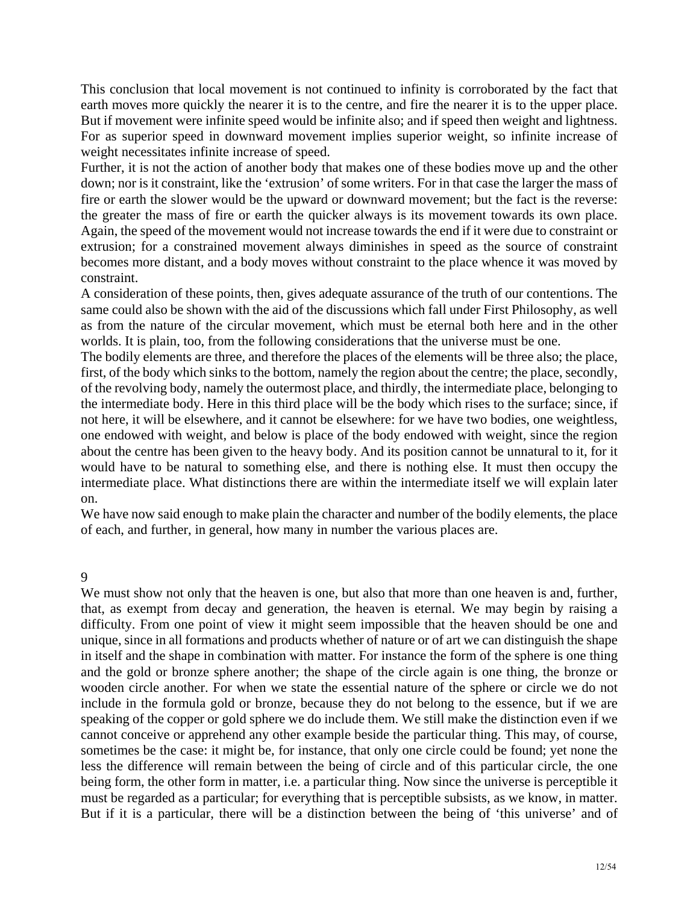This conclusion that local movement is not continued to infinity is corroborated by the fact that earth moves more quickly the nearer it is to the centre, and fire the nearer it is to the upper place. But if movement were infinite speed would be infinite also; and if speed then weight and lightness. For as superior speed in downward movement implies superior weight, so infinite increase of weight necessitates infinite increase of speed.

Further, it is not the action of another body that makes one of these bodies move up and the other down; nor is it constraint, like the 'extrusion' of some writers. For in that case the larger the mass of fire or earth the slower would be the upward or downward movement; but the fact is the reverse: the greater the mass of fire or earth the quicker always is its movement towards its own place. Again, the speed of the movement would not increase towards the end if it were due to constraint or extrusion; for a constrained movement always diminishes in speed as the source of constraint becomes more distant, and a body moves without constraint to the place whence it was moved by constraint.

A consideration of these points, then, gives adequate assurance of the truth of our contentions. The same could also be shown with the aid of the discussions which fall under First Philosophy, as well as from the nature of the circular movement, which must be eternal both here and in the other worlds. It is plain, too, from the following considerations that the universe must be one.

The bodily elements are three, and therefore the places of the elements will be three also; the place, intermediate place. What distinctions there are within the intermediate itself we will explain later first, of the body which sinks to the bottom, namely the region about the centre; the place, secondly, of the revolving body, namely the outermost place, and thirdly, the intermediate place, belonging to the intermediate body. Here in this third place will be the body which rises to the surface; since, if not here, it will be elsewhere, and it cannot be elsewhere: for we have two bodies, one weightless, one endowed with weight, and below is place of the body endowed with weight, since the region about the centre has been given to the heavy body. And its position cannot be unnatural to it, for it would have to be natural to something else, and there is nothing else. It must then occupy the on.

We have now said enough to make plain the character and number of the bodily elements, the place of each, and further, in general, how many in number the various places are.

9

include in the formula gold or bronze, because they do not belong to the essence, but if we are cannot conceive or apprehend any other example beside the particular thing. This may, of course, sometimes be the case: it might be, for instance, that only one circle could be found; yet none the less the difference will remain between the being of circle and of this particular circle, the one being form, the other form in matter, i.e. a particular thing. Now since the universe is perceptible it We must show not only that the heaven is one, but also that more than one heaven is and, further, that, as exempt from decay and generation, the heaven is eternal. We may begin by raising a difficulty. From one point of view it might seem impossible that the heaven should be one and unique, since in all formations and products whether of nature or of art we can distinguish the shape in itself and the shape in combination with matter. For instance the form of the sphere is one thing and the gold or bronze sphere another; the shape of the circle again is one thing, the bronze or wooden circle another. For when we state the essential nature of the sphere or circle we do not speaking of the copper or gold sphere we do include them. We still make the distinction even if we must be regarded as a particular; for everything that is perceptible subsists, as we know, in matter. But if it is a particular, there will be a distinction between the being of 'this universe' and of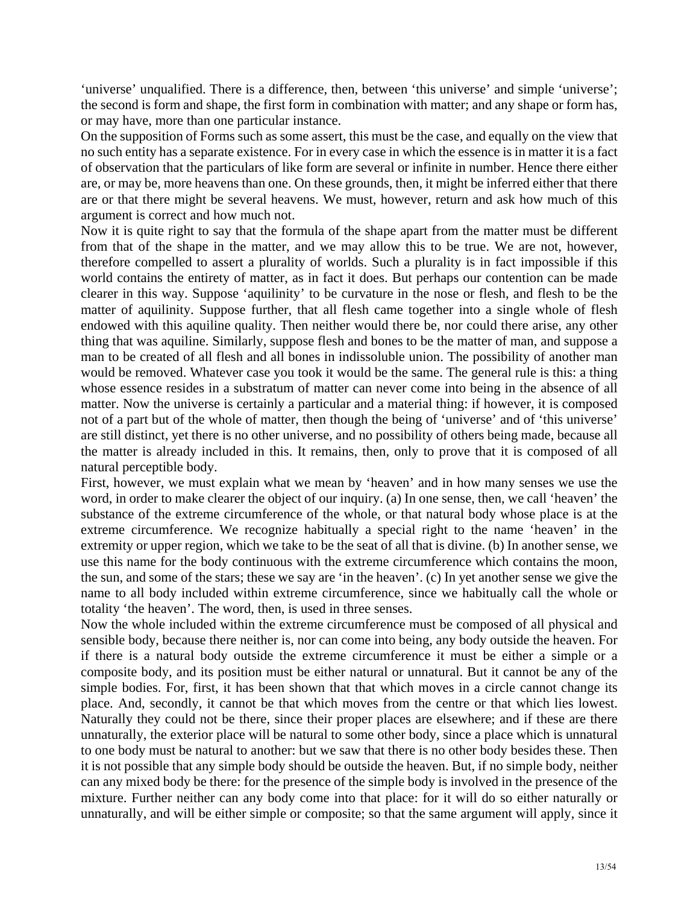'universe' unqualified. There is a difference, then, between 'this universe' and simple 'universe'; the second is form and shape, the first form in combination with matter; and any shape or form has, or may have, more than one particular instance.

On the supposition of Forms such as some assert, this must be the case, and equally on the view that no such entity has a separate existence. For in every case in which the essence is in matter it is a fact of observation that the particulars of like form are several or infinite in number. Hence there either are, or may be, more heavens than one. On these grounds, then, it might be inferred either that there are or that there might be several heavens. We must, however, return and ask how much of this argument is correct and how much not.

Now it is quite right to say that the formula of the shape apart from the matter must be different from that of the shape in the matter, and we may allow this to be true. We are not, however, therefore compelled to assert a plurality of worlds. Such a plurality is in fact impossible if this world contains the entirety of matter, as in fact it does. But perhaps our contention can be made clearer in this way. Suppose 'aquilinity' to be curvature in the nose or flesh, and flesh to be the matter of aquilinity. Suppose further, that all flesh came together into a single whole of flesh endowed with this aquiline quality. Then neither would there be, nor could there arise, any other not of a part but of the whole of matter, then though the being of 'universe' and of 'this universe' thing that was aquiline. Similarly, suppose flesh and bones to be the matter of man, and suppose a man to be created of all flesh and all bones in indissoluble union. The possibility of another man would be removed. Whatever case you took it would be the same. The general rule is this: a thing whose essence resides in a substratum of matter can never come into being in the absence of all matter. Now the universe is certainly a particular and a material thing: if however, it is composed are still distinct, yet there is no other universe, and no possibility of others being made, because all the matter is already included in this. It remains, then, only to prove that it is composed of all natural perceptible body.

First, however, we must explain what we mean by 'heaven' and in how many senses we use the word, in order to make clearer the object of our inquiry. (a) In one sense, then, we call 'heaven' the substance of the extreme circumference of the whole, or that natural body whose place is at the extreme circumference. We recognize habitually a special right to the name 'heaven' in the extremity or upper region, which we take to be the seat of all that is divine. (b) In another sense, we use this name for the body continuous with the extreme circumference which contains the moon, the sun, and some of the stars; these we say are 'in the heaven'. (c) In yet another sense we give the name to all body included within extreme circumference, since we habitually call the whole or totality 'the heaven'. The word, then, is used in three senses.

composite body, and its position must be either natural or unnatural. But it cannot be any of the unnaturally, and will be either simple or composite; so that the same argument will apply, since it Now the whole included within the extreme circumference must be composed of all physical and sensible body, because there neither is, nor can come into being, any body outside the heaven. For if there is a natural body outside the extreme circumference it must be either a simple or a simple bodies. For, first, it has been shown that that which moves in a circle cannot change its place. And, secondly, it cannot be that which moves from the centre or that which lies lowest. Naturally they could not be there, since their proper places are elsewhere; and if these are there unnaturally, the exterior place will be natural to some other body, since a place which is unnatural to one body must be natural to another: but we saw that there is no other body besides these. Then it is not possible that any simple body should be outside the heaven. But, if no simple body, neither can any mixed body be there: for the presence of the simple body is involved in the presence of the mixture. Further neither can any body come into that place: for it will do so either naturally or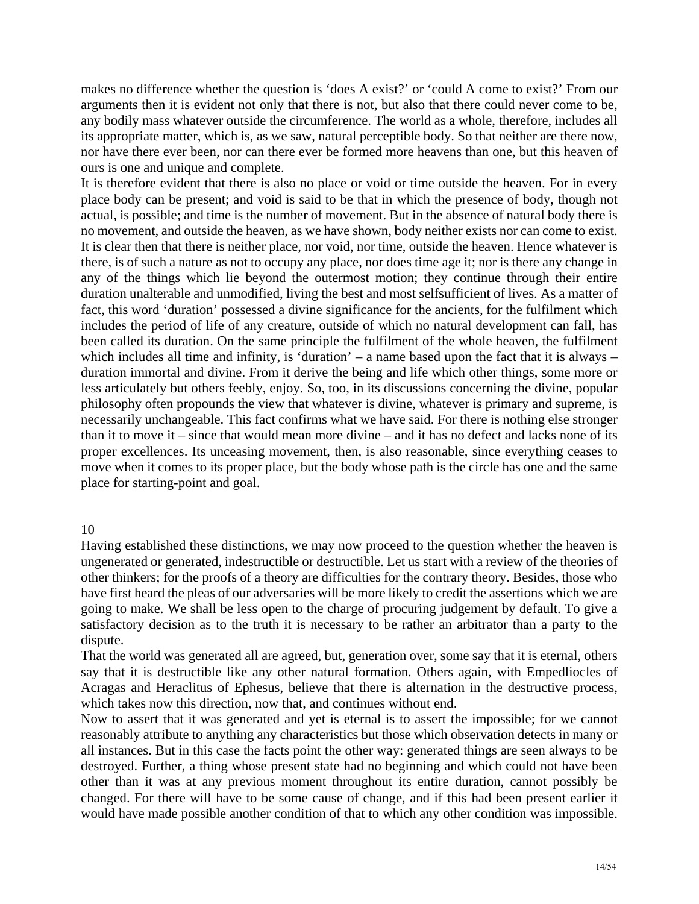makes no difference whether the question is 'does A exist?' or 'could A come to exist?' From our arguments then it is evident not only that there is not, but also that there could never come to be, any bodily mass whatever outside the circumference. The world as a whole, therefore, includes all its appropriate matter, which is, as we saw, natural perceptible body. So that neither are there now, nor have there ever been, nor can there ever be formed more heavens than one, but this heaven of ours is one and unique and complete.

It is therefore evident that there is also no place or void or time outside the heaven. For in every place body can be present; and void is said to be that in which the presence of body, though not actual, is possible; and time is the number of movement. But in the absence of natural body there is no movement, and outside the heaven, as we have shown, body neither exists nor can come to exist. It is clear then that there is neither place, nor void, nor time, outside the heaven. Hence whatever is there, is of such a nature as not to occupy any place, nor does time age it; nor is there any change in any of the things which lie beyond the outermost motion; they continue through their entire duration unalterable and unmodified, living the best and most selfsufficient of lives. As a matter of fact, this word 'duration' possessed a divine significance for the ancients, for the fulfilment which includes the period of life of any creature, outside of which no natural development can fall, has been called its duration. On the same principle the fulfilment of the whole heaven, the fulfilment which includes all time and infinity, is 'duration' – a name based upon the fact that it is always – duration immortal and divine. From it derive the being and life which other things, some more or less articulately but others feebly, enjoy. So, too, in its discussions concerning the divine, popular philosophy often propounds the view that whatever is divine, whatever is primary and supreme, is necessarily unchangeable. This fact confirms what we have said. For there is nothing else stronger than it to move it – since that would mean more divine – and it has no defect and lacks none of its proper excellences. Its unceasing movement, then, is also reasonable, since everything ceases to move when it comes to its proper place, but the body whose path is the circle has one and the same place for starting-point and goal.

# 10

Having established these distinctions, we may now proceed to the question whether the heaven is ungenerated or generated, indestructible or destructible. Let us start with a review of the theories of other thinkers; for the proofs of a theory are difficulties for the contrary theory. Besides, those who have first heard the pleas of our adversaries will be more likely to credit the assertions which we are going to make. We shall be less open to the charge of procuring judgement by default. To give a satisfactory decision as to the truth it is necessary to be rather an arbitrator than a party to the dispute.

Acragas and Heraclitus of Ephesus, believe that there is alternation in the destructive process, which takes now this direction, now that, and continues without end. That the world was generated all are agreed, but, generation over, some say that it is eternal, others say that it is destructible like any other natural formation. Others again, with Empedliocles of

Now to assert that it was generated and yet is eternal is to assert the impossible; for we cannot reasonably attribute to anything any characteristics but those which observation detects in many or all instances. But in this case the facts point the other way: generated things are seen always to be destroyed. Further, a thing whose present state had no beginning and which could not have been other than it was at any previous moment throughout its entire duration, cannot possibly be changed. For there will have to be some cause of change, and if this had been present earlier it would have made possible another condition of that to which any other condition was impossible.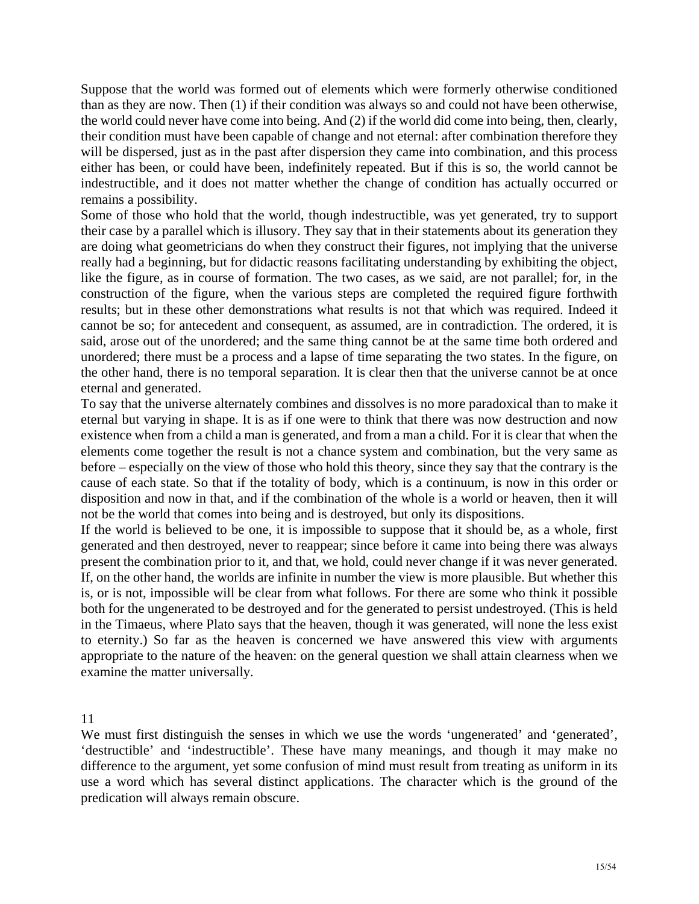Suppose that the world was formed out of elements which were formerly otherwise conditioned than as they are now. Then (1) if their condition was always so and could not have been otherwise, either has been, or could have been, indefinitely repeated. But if this is so, the world cannot be the world could never have come into being. And (2) if the world did come into being, then, clearly, their condition must have been capable of change and not eternal: after combination therefore they will be dispersed, just as in the past after dispersion they came into combination, and this process indestructible, and it does not matter whether the change of condition has actually occurred or remains a possibility.

Some of those who hold that the world, though indestructible, was yet generated, try to support their case by a parallel which is illusory. They say that in their statements about its generation they are doing what geometricians do when they construct their figures, not implying that the universe really had a beginning, but for didactic reasons facilitating understanding by exhibiting the object, like the figure, as in course of formation. The two cases, as we said, are not parallel; for, in the construction of the figure, when the various steps are completed the required figure forthwith results; but in these other demonstrations what results is not that which was required. Indeed it cannot be so; for antecedent and consequent, as assumed, are in contradiction. The ordered, it is said, arose out of the unordered; and the same thing cannot be at the same time both ordered and unordered; there must be a process and a lapse of time separating the two states. In the figure, on the other hand, there is no temporal separation. It is clear then that the universe cannot be at once eternal and generated.

To say that the universe alternately combines and dissolves is no more paradoxical than to make it eternal but varying in shape. It is as if one were to think that there was now destruction and now existence when from a child a man is generated, and from a man a child. For it is clear that when the elements come together the result is not a chance system and combination, but the very same as before – especially on the view of those who hold this theory, since they say that the contrary is the cause of each state. So that if the totality of body, which is a continuum, is now in this order or disposition and now in that, and if the combination of the whole is a world or heaven, then it will not be the world that comes into being and is destroyed, but only its dispositions.

is, or is not, impossible will be clear from what follows. For there are some who think it possible If the world is believed to be one, it is impossible to suppose that it should be, as a whole, first generated and then destroyed, never to reappear; since before it came into being there was always present the combination prior to it, and that, we hold, could never change if it was never generated. If, on the other hand, the worlds are infinite in number the view is more plausible. But whether this both for the ungenerated to be destroyed and for the generated to persist undestroyed. (This is held in the Timaeus, where Plato says that the heaven, though it was generated, will none the less exist to eternity.) So far as the heaven is concerned we have answered this view with arguments appropriate to the nature of the heaven: on the general question we shall attain clearness when we examine the matter universally.

11

We must first distinguish the senses in which we use the words 'ungenerated' and 'generated', 'destructible' and 'indestructible'. These have many meanings, and though it may make no difference to the argument, yet some confusion of mind must result from treating as uniform in its use a word which has several distinct applications. The character which is the ground of the predication will always remain obscure.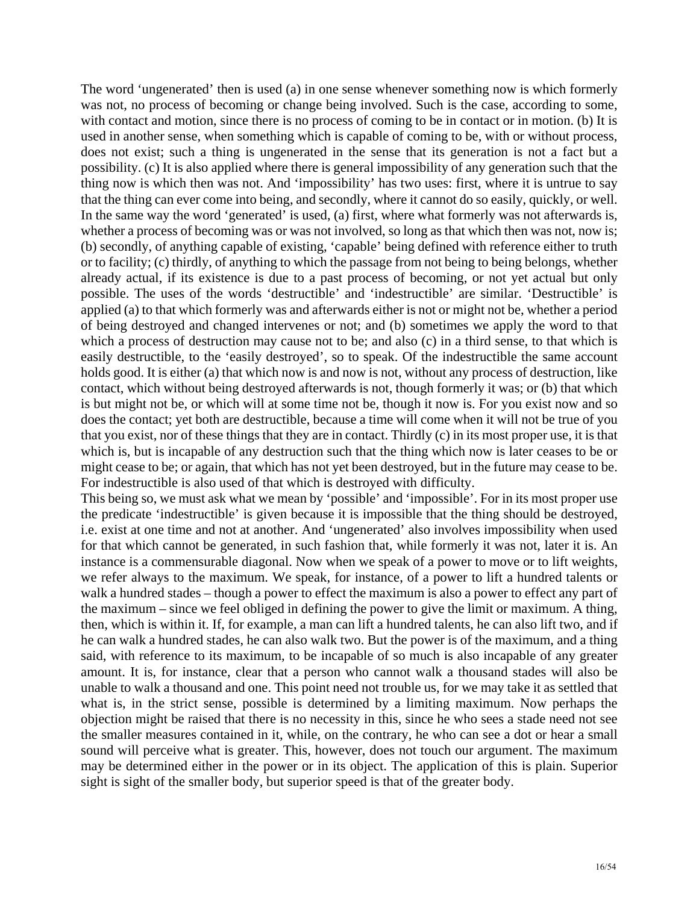The word 'ungenerated' then is used (a) in one sense whenever something now is which formerly was not, no process of becoming or change being involved. Such is the case, according to some, with contact and motion, since there is no process of coming to be in contact or in motion. (b) It is used in another sense, when something which is capable of coming to be, with or without process, does not exist; such a thing is ungenerated in the sense that its generation is not a fact but a possibility. (c) It is also applied where there is general impossibility of any generation such that the thing now is which then was not. And 'impossibility' has two uses: first, where it is untrue to say that the thing can ever come into being, and secondly, where it cannot do so easily, quickly, or well. already actual, if its existence is due to a past process of becoming, or not yet actual but only In the same way the word 'generated' is used, (a) first, where what formerly was not afterwards is, whether a process of becoming was or was not involved, so long as that which then was not, now is; (b) secondly, of anything capable of existing, 'capable' being defined with reference either to truth or to facility; (c) thirdly, of anything to which the passage from not being to being belongs, whether possible. The uses of the words 'destructible' and 'indestructible' are similar. 'Destructible' is applied (a) to that which formerly was and afterwards either is not or might not be, whether a period of being destroyed and changed intervenes or not; and (b) sometimes we apply the word to that which a process of destruction may cause not to be; and also (c) in a third sense, to that which is easily destructible, to the 'easily destroyed', so to speak. Of the indestructible the same account holds good. It is either (a) that which now is and now is not, without any process of destruction, like contact, which without being destroyed afterwards is not, though formerly it was; or (b) that which is but might not be, or which will at some time not be, though it now is. For you exist now and so does the contact; yet both are destructible, because a time will come when it will not be true of you that you exist, nor of these things that they are in contact. Thirdly (c) in its most proper use, it is that which is, but is incapable of any destruction such that the thing which now is later ceases to be or might cease to be; or again, that which has not yet been destroyed, but in the future may cease to be. For indestructible is also used of that which is destroyed with difficulty.

what is, in the strict sense, possible is determined by a limiting maximum. Now perhaps the This being so, we must ask what we mean by 'possible' and 'impossible'. For in its most proper use the predicate 'indestructible' is given because it is impossible that the thing should be destroyed, i.e. exist at one time and not at another. And 'ungenerated' also involves impossibility when used for that which cannot be generated, in such fashion that, while formerly it was not, later it is. An instance is a commensurable diagonal. Now when we speak of a power to move or to lift weights, we refer always to the maximum. We speak, for instance, of a power to lift a hundred talents or walk a hundred stades – though a power to effect the maximum is also a power to effect any part of the maximum – since we feel obliged in defining the power to give the limit or maximum. A thing, then, which is within it. If, for example, a man can lift a hundred talents, he can also lift two, and if he can walk a hundred stades, he can also walk two. But the power is of the maximum, and a thing said, with reference to its maximum, to be incapable of so much is also incapable of any greater amount. It is, for instance, clear that a person who cannot walk a thousand stades will also be unable to walk a thousand and one. This point need not trouble us, for we may take it as settled that objection might be raised that there is no necessity in this, since he who sees a stade need not see the smaller measures contained in it, while, on the contrary, he who can see a dot or hear a small sound will perceive what is greater. This, however, does not touch our argument. The maximum may be determined either in the power or in its object. The application of this is plain. Superior sight is sight of the smaller body, but superior speed is that of the greater body.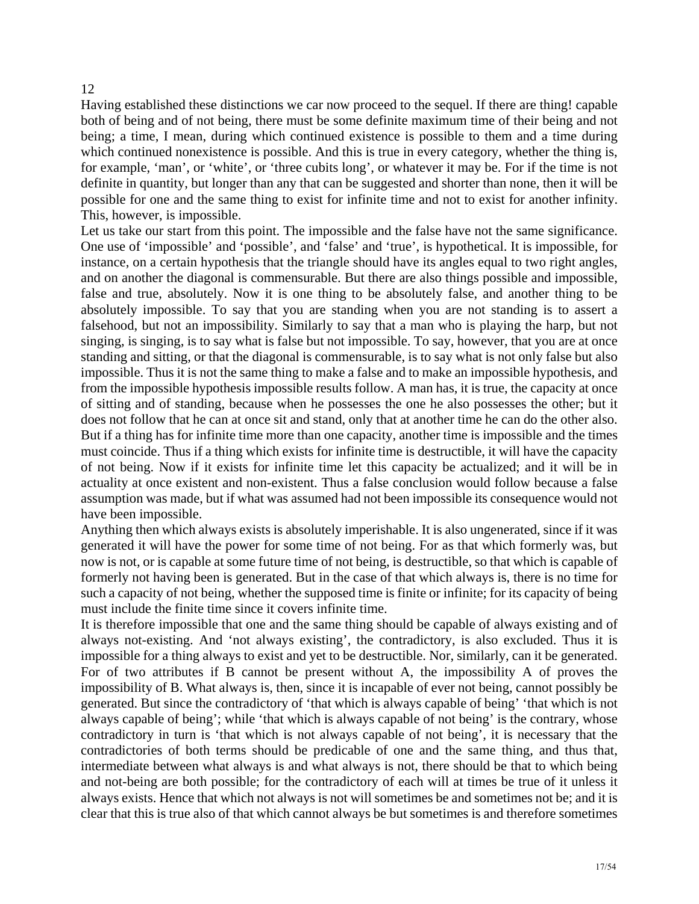# 12

Having established these distinctions we car now proceed to the sequel. If there are thing! capable both of being and of not being, there must be some definite maximum time of their being and not being; a time, I mean, during which continued existence is possible to them and a time during which continued nonexistence is possible. And this is true in every category, whether the thing is, for example, 'man', or 'white', or 'three cubits long', or whatever it may be. For if the time is not definite in quantity, but longer than any that can be suggested and shorter than none, then it will be possible for one and the same thing to exist for infinite time and not to exist for another infinity. This, however, is impossible.

Let us take our start from this point. The impossible and the false have not the same significance. One use of 'impossible' and 'possible', and 'false' and 'true', is hypothetical. It is impossible, for instance, on a certain hypothesis that the triangle should have its angles equal to two right angles, and on another the diagonal is commensurable. But there are also things possible and impossible, false and true, absolutely. Now it is one thing to be absolutely false, and another thing to be absolutely impossible. To say that you are standing when you are not standing is to assert a falsehood, but not an impossibility. Similarly to say that a man who is playing the harp, but not must coincide. Thus if a thing which exists for infinite time is destructible, it will have the capacity singing, is singing, is to say what is false but not impossible. To say, however, that you are at once standing and sitting, or that the diagonal is commensurable, is to say what is not only false but also impossible. Thus it is not the same thing to make a false and to make an impossible hypothesis, and from the impossible hypothesis impossible results follow. A man has, it is true, the capacity at once of sitting and of standing, because when he possesses the one he also possesses the other; but it does not follow that he can at once sit and stand, only that at another time he can do the other also. But if a thing has for infinite time more than one capacity, another time is impossible and the times of not being. Now if it exists for infinite time let this capacity be actualized; and it will be in actuality at once existent and non-existent. Thus a false conclusion would follow because a false assumption was made, but if what was assumed had not been impossible its consequence would not have been impossible.

Anything then which always exists is absolutely imperishable. It is also ungenerated, since if it was generated it will have the power for some time of not being. For as that which formerly was, but now is not, or is capable at some future time of not being, is destructible, so that which is capable of formerly not having been is generated. But in the case of that which always is, there is no time for such a capacity of not being, whether the supposed time is finite or infinite; for its capacity of being must include the finite time since it covers infinite time.

contradictories of both terms should be predicable of one and the same thing, and thus that, It is therefore impossible that one and the same thing should be capable of always existing and of always not-existing. And 'not always existing', the contradictory, is also excluded. Thus it is impossible for a thing always to exist and yet to be destructible. Nor, similarly, can it be generated. For of two attributes if B cannot be present without A, the impossibility A of proves the impossibility of B. What always is, then, since it is incapable of ever not being, cannot possibly be generated. But since the contradictory of 'that which is always capable of being' 'that which is not always capable of being'; while 'that which is always capable of not being' is the contrary, whose contradictory in turn is 'that which is not always capable of not being', it is necessary that the intermediate between what always is and what always is not, there should be that to which being and not-being are both possible; for the contradictory of each will at times be true of it unless it always exists. Hence that which not always is not will sometimes be and sometimes not be; and it is clear that this is true also of that which cannot always be but sometimes is and therefore sometimes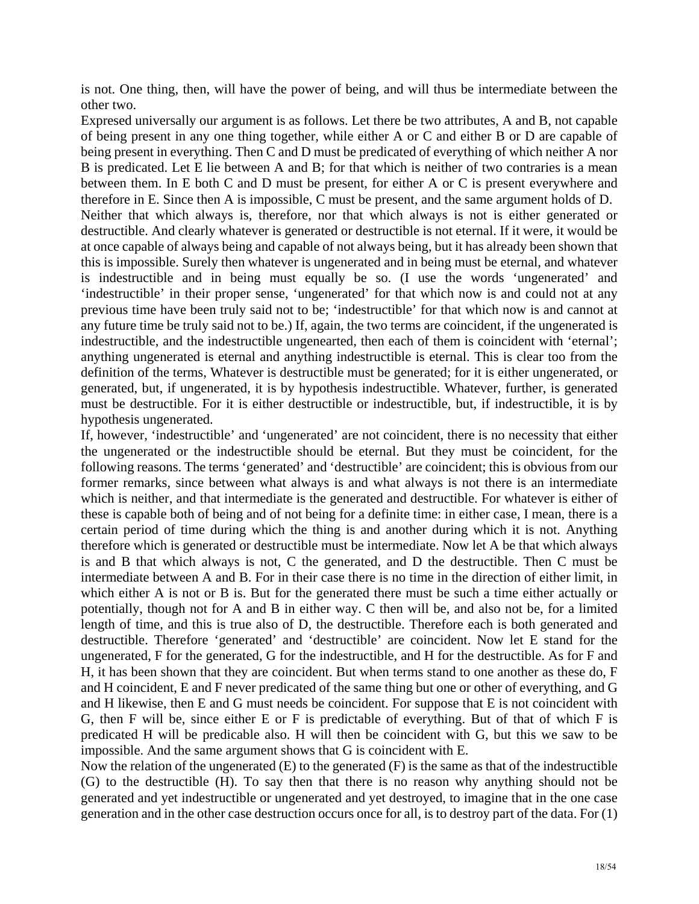is not. One thing, then, will have the power of being, and will thus be intermediate between the other two.

Expresed universally our argument is as follows. Let there be two attributes, A and B, not capable of being present in any one thing together, while either A or C and either B or D are capable of being present in everything. Then C and D must be predicated of everything of which neither A nor B is predicated. Let E lie between A and B; for that which is neither of two contraries is a mean between them. In E both C and D must be present, for either A or C is present everywhere and therefore in E. Since then A is impossible, C must be present, and the same argument holds of D. Neither that which always is, therefore, nor that which always is not is either generated or destructible. And clearly whatever is generated or destructible is not eternal. If it were, it would be at once capable of always being and capable of not always being, but it has already been shown that this is impossible. Surely then whatever is ungenerated and in being must be eternal, and whatever is indestructible and in being must equally be so. (I use the words 'ungenerated' and 'indestructible' in their proper sense, 'ungenerated' for that which now is and could not at any previous time have been truly said not to be; 'indestructible' for that which now is and cannot at any future time be truly said not to be.) If, again, the two terms are coincident, if the ungenerated is indestructible, and the indestructible ungenearted, then each of them is coincident with 'eternal'; anything ungenerated is eternal and anything indestructible is eternal. This is clear too from the definition of the terms, Whatever is destructible must be generated; for it is either ungenerated, or generated, but, if ungenerated, it is by hypothesis indestructible. Whatever, further, is generated must be destructible. For it is either destructible or indestructible, but, if indestructible, it is by hypothesis ungenerated.

the ungenerated or the indestructible should be eternal. But they must be coincident, for the H, it has been shown that they are coincident. But when terms stand to one another as these do, F If, however, 'indestructible' and 'ungenerated' are not coincident, there is no necessity that either following reasons. The terms 'generated' and 'destructible' are coincident; this is obvious from our former remarks, since between what always is and what always is not there is an intermediate which is neither, and that intermediate is the generated and destructible. For whatever is either of these is capable both of being and of not being for a definite time: in either case, I mean, there is a certain period of time during which the thing is and another during which it is not. Anything therefore which is generated or destructible must be intermediate. Now let A be that which always is and B that which always is not, C the generated, and D the destructible. Then C must be intermediate between A and B. For in their case there is no time in the direction of either limit, in which either A is not or B is. But for the generated there must be such a time either actually or potentially, though not for A and B in either way. C then will be, and also not be, for a limited length of time, and this is true also of D, the destructible. Therefore each is both generated and destructible. Therefore 'generated' and 'destructible' are coincident. Now let E stand for the ungenerated, F for the generated, G for the indestructible, and H for the destructible. As for F and and H coincident, E and F never predicated of the same thing but one or other of everything, and G and H likewise, then E and G must needs be coincident. For suppose that E is not coincident with G, then F will be, since either E or F is predictable of everything. But of that of which F is predicated H will be predicable also. H will then be coincident with G, but this we saw to be impossible. And the same argument shows that G is coincident with E.

Now the relation of the ungenerated (E) to the generated (F) is the same as that of the indestructible (G) to the destructible (H). To say then that there is no reason why anything should not be generated and yet indestructible or ungenerated and yet destroyed, to imagine that in the one case generation and in the other case destruction occurs once for all, is to destroy part of the data. For (1)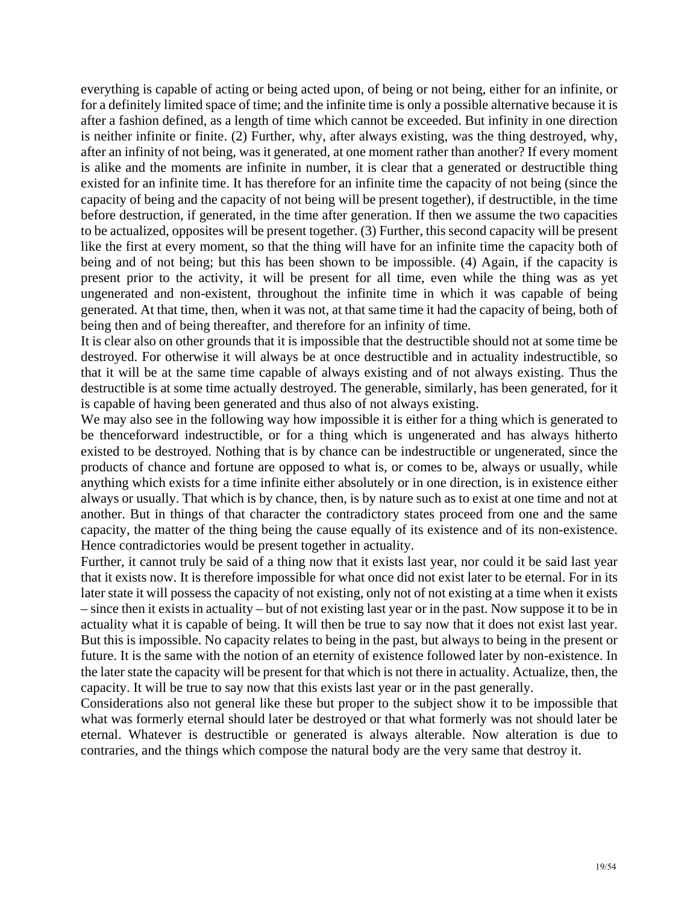everything is capable of acting or being acted upon, of being or not being, either for an infinite, or for a definitely limited space of time; and the infinite time is only a possible alternative because it is after a fashion defined, as a length of time which cannot be exceeded. But infinity in one direction is neither infinite or finite. (2) Further, why, after always existing, was the thing destroyed, why, after an infinity of not being, was it generated, at one moment rather than another? If every moment is alike and the moments are infinite in number, it is clear that a generated or destructible thing existed for an infinite time. It has therefore for an infinite time the capacity of not being (since the capacity of being and the capacity of not being will be present together), if destructible, in the time before destruction, if generated, in the time after generation. If then we assume the two capacities to be actualized, opposites will be present together. (3) Further, this second capacity will be present like the first at every moment, so that the thing will have for an infinite time the capacity both of being and of not being; but this has been shown to be impossible. (4) Again, if the capacity is present prior to the activity, it will be present for all time, even while the thing was as yet ungenerated and non-existent, throughout the infinite time in which it was capable of being generated. At that time, then, when it was not, at that same time it had the capacity of being, both of being then and of being thereafter, and therefore for an infinity of time.

It is clear also on other grounds that it is impossible that the destructible should not at some time be destroyed. For otherwise it will always be at once destructible and in actuality indestructible, so that it will be at the same time capable of always existing and of not always existing. Thus the destructible is at some time actually destroyed. The generable, similarly, has been generated, for it is capable of having been generated and thus also of not always existing.

We may also see in the following way how impossible it is either for a thing which is generated to be thenceforward indestructible, or for a thing which is ungenerated and has always hitherto existed to be destroyed. Nothing that is by chance can be indestructible or ungenerated, since the products of chance and fortune are opposed to what is, or comes to be, always or usually, while anything which exists for a time infinite either absolutely or in one direction, is in existence either always or usually. That which is by chance, then, is by nature such as to exist at one time and not at another. But in things of that character the contradictory states proceed from one and the same capacity, the matter of the thing being the cause equally of its existence and of its non-existence. Hence contradictories would be present together in actuality.

later state it will possess the capacity of not existing, only not of not existing at a time when it exists the later state the capacity will be present for that which is not there in actuality. Actualize, then, the Further, it cannot truly be said of a thing now that it exists last year, nor could it be said last year that it exists now. It is therefore impossible for what once did not exist later to be eternal. For in its – since then it exists in actuality – but of not existing last year or in the past. Now suppose it to be in actuality what it is capable of being. It will then be true to say now that it does not exist last year. But this is impossible. No capacity relates to being in the past, but always to being in the present or future. It is the same with the notion of an eternity of existence followed later by non-existence. In capacity. It will be true to say now that this exists last year or in the past generally.

Considerations also not general like these but proper to the subject show it to be impossible that what was formerly eternal should later be destroyed or that what formerly was not should later be eternal. Whatever is destructible or generated is always alterable. Now alteration is due to contraries, and the things which compose the natural body are the very same that destroy it.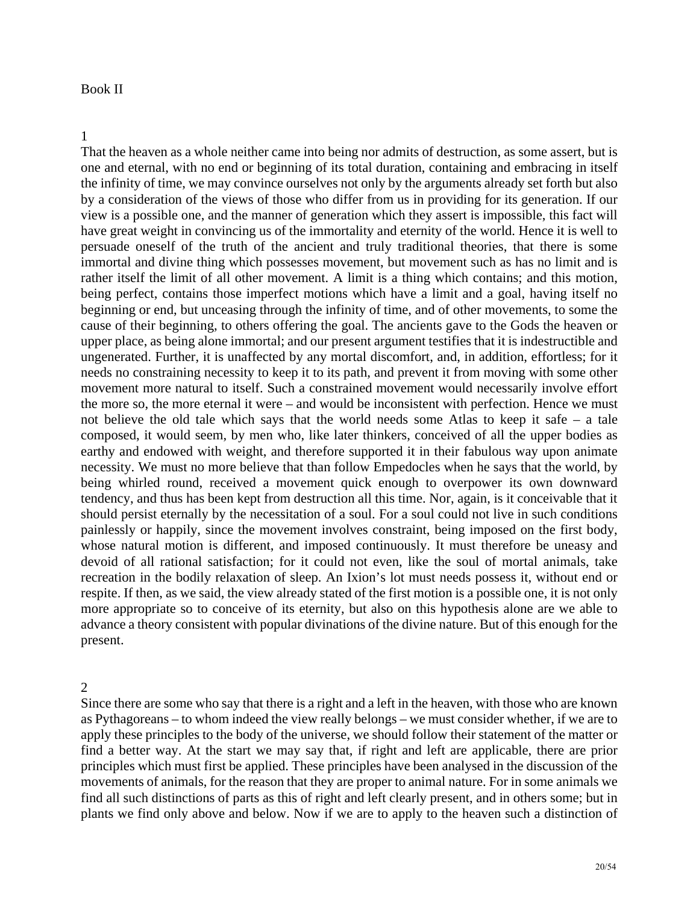## Book II

#### 1

That the heaven as a whole neither came into being nor admits of destruction, as some assert, but is one and eternal, with no end or beginning of its total duration, containing and embracing in itself the infinity of time, we may convince ourselves not only by the arguments already set forth but also by a consideration of the views of those who differ from us in providing for its generation. If our view is a possible one, and the manner of generation which they assert is impossible, this fact will have great weight in convincing us of the immortality and eternity of the world. Hence it is well to being perfect, contains those imperfect motions which have a limit and a goal, having itself no beginning or end, but unceasing through the infinity of time, and of other movements, to some the cause of their beginning, to others offering the goal. The ancients gave to the Gods the heaven or upper place, as being alone immortal; and our present argument testifies that it is indestructible and ungenerated. Further, it is unaffected by any mortal discomfort, and, in addition, effortless; for it needs no constraining necessity to keep it to its path, and prevent it from moving with some other movement more natural to itself. Such a constrained movement would necessarily involve effort the more so, the more eternal it were – and would be inconsistent with perfection. Hence we must persuade oneself of the truth of the ancient and truly traditional theories, that there is some immortal and divine thing which possesses movement, but movement such as has no limit and is rather itself the limit of all other movement. A limit is a thing which contains; and this motion, not believe the old tale which says that the world needs some Atlas to keep it safe  $-$  a tale composed, it would seem, by men who, like later thinkers, conceived of all the upper bodies as earthy and endowed with weight, and therefore supported it in their fabulous way upon animate necessity. We must no more believe that than follow Empedocles when he says that the world, by being whirled round, received a movement quick enough to overpower its own downward tendency, and thus has been kept from destruction all this time. Nor, again, is it conceivable that it should persist eternally by the necessitation of a soul. For a soul could not live in such conditions painlessly or happily, since the movement involves constraint, being imposed on the first body, whose natural motion is different, and imposed continuously. It must therefore be uneasy and devoid of all rational satisfaction; for it could not even, like the soul of mortal animals, take recreation in the bodily relaxation of sleep. An Ixion's lot must needs possess it, without end or respite. If then, as we said, the view already stated of the first motion is a possible one, it is not only more appropriate so to conceive of its eternity, but also on this hypothesis alone are we able to advance a theory consistent with popular divinations of the divine nature. But of this enough for the present.

# $\mathcal{L}$

Since there are some who say that there is a right and a left in the heaven, with those who are known as Pythagoreans – to whom indeed the view really belongs – we must consider whether, if we are to apply these principles to the body of the universe, we should follow their statement of the matter or find a better way. At the start we may say that, if right and left are applicable, there are prior principles which must first be applied. These principles have been analysed in the discussion of the movements of animals, for the reason that they are proper to animal nature. For in some animals we find all such distinctions of parts as this of right and left clearly present, and in others some; but in plants we find only above and below. Now if we are to apply to the heaven such a distinction of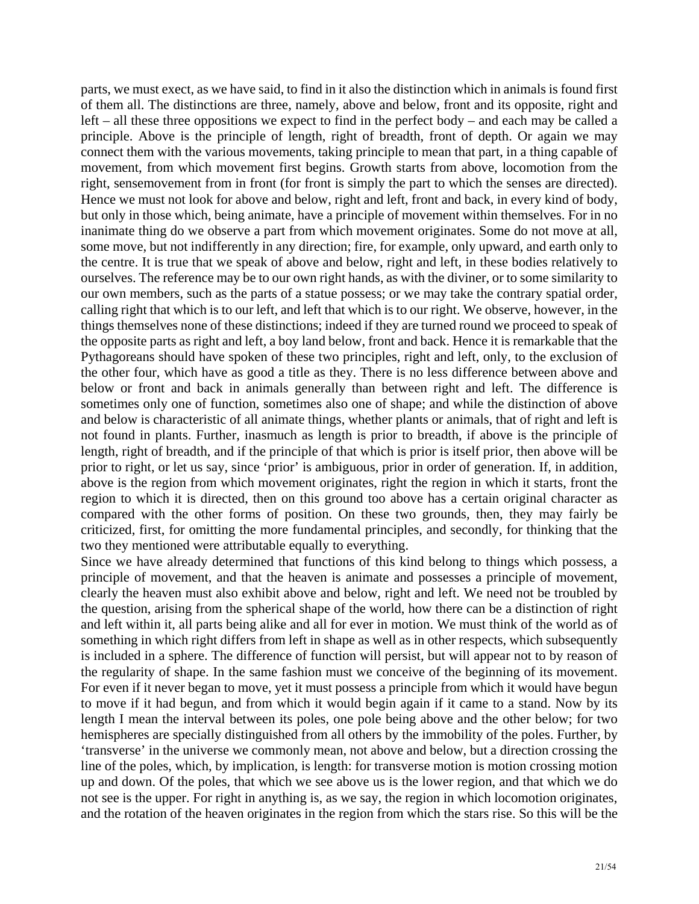parts, we must exect, as we have said, to find in it also the distinction which in animals is found first of them all. The distinctions are three, namely, above and below, front and its opposite, right and left – all these three oppositions we expect to find in the perfect body – and each may be called a principle. Above is the principle of length, right of breadth, front of depth. Or again we may connect them with the various movements, taking principle to mean that part, in a thing capable of movement, from which movement first begins. Growth starts from above, locomotion from the right, sensemovement from in front (for front is simply the part to which the senses are directed). Hence we must not look for above and below, right and left, front and back, in every kind of body, but only in those which, being animate, have a principle of movement within themselves. For in no inanimate thing do we observe a part from which movement originates. Some do not move at all, some move, but not indifferently in any direction; fire, for example, only upward, and earth only to the centre. It is true that we speak of above and below, right and left, in these bodies relatively to ourselves. The reference may be to our own right hands, as with the diviner, or to some similarity to our own members, such as the parts of a statue possess; or we may take the contrary spatial order, calling right that which is to our left, and left that which is to our right. We observe, however, in the things themselves none of these distinctions; indeed if they are turned round we proceed to speak of the opposite parts as right and left, a boy land below, front and back. Hence it is remarkable that the Pythagoreans should have spoken of these two principles, right and left, only, to the exclusion of the other four, which have as good a title as they. There is no less difference between above and below or front and back in animals generally than between right and left. The difference is sometimes only one of function, sometimes also one of shape; and while the distinction of above and below is characteristic of all animate things, whether plants or animals, that of right and left is not found in plants. Further, inasmuch as length is prior to breadth, if above is the principle of length, right of breadth, and if the principle of that which is prior is itself prior, then above will be prior to right, or let us say, since 'prior' is ambiguous, prior in order of generation. If, in addition, above is the region from which movement originates, right the region in which it starts, front the region to which it is directed, then on this ground too above has a certain original character as compared with the other forms of position. On these two grounds, then, they may fairly be criticized, first, for omitting the more fundamental principles, and secondly, for thinking that the two they mentioned were attributable equally to everything.

and the rotation of the heaven originates in the region from which the stars rise. So this will be the Since we have already determined that functions of this kind belong to things which possess, a principle of movement, and that the heaven is animate and possesses a principle of movement, clearly the heaven must also exhibit above and below, right and left. We need not be troubled by the question, arising from the spherical shape of the world, how there can be a distinction of right and left within it, all parts being alike and all for ever in motion. We must think of the world as of something in which right differs from left in shape as well as in other respects, which subsequently is included in a sphere. The difference of function will persist, but will appear not to by reason of the regularity of shape. In the same fashion must we conceive of the beginning of its movement. For even if it never began to move, yet it must possess a principle from which it would have begun to move if it had begun, and from which it would begin again if it came to a stand. Now by its length I mean the interval between its poles, one pole being above and the other below; for two hemispheres are specially distinguished from all others by the immobility of the poles. Further, by 'transverse' in the universe we commonly mean, not above and below, but a direction crossing the line of the poles, which, by implication, is length: for transverse motion is motion crossing motion up and down. Of the poles, that which we see above us is the lower region, and that which we do not see is the upper. For right in anything is, as we say, the region in which locomotion originates,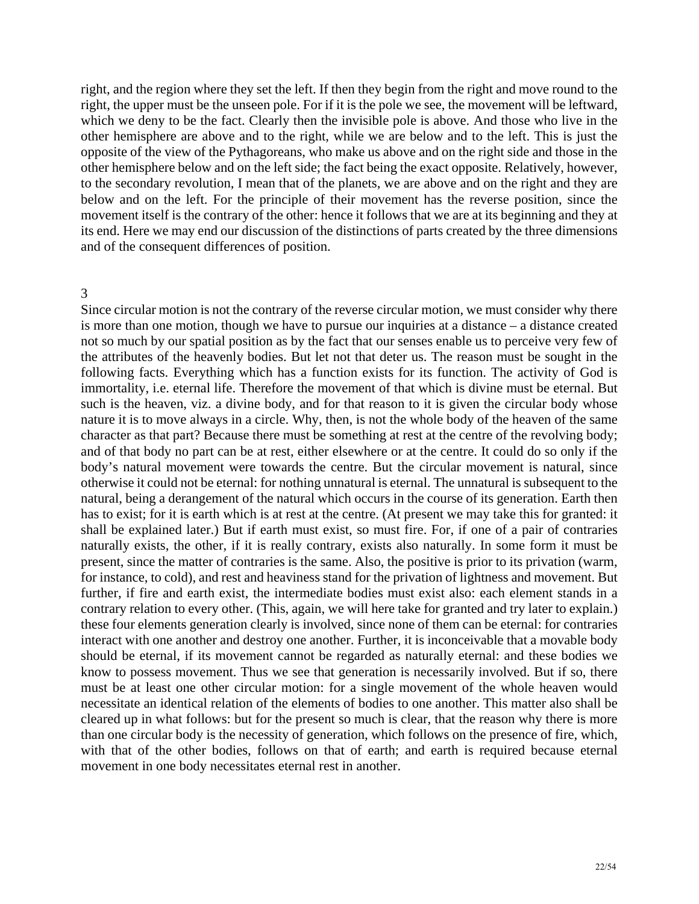right, and the region where they set the left. If then they begin from the right and move round to the right, the upper must be the unseen pole. For if it is the pole we see, the movement will be leftward, which we deny to be the fact. Clearly then the invisible pole is above. And those who live in the other hemisphere are above and to the right, while we are below and to the left. This is just the opposite of the view of the Pythagoreans, who make us above and on the right side and those in the other hemisphere below and on the left side; the fact being the exact opposite. Relatively, however, to the secondary revolution, I mean that of the planets, we are above and on the right and they are below and on the left. For the principle of their movement has the reverse position, since the movement itself is the contrary of the other: hence it follows that we are at its beginning and they at its end. Here we may end our discussion of the distinctions of parts created by the three dimensions and of the consequent differences of position.

## 3

present, since the matter of contraries is the same. Also, the positive is prior to its privation (warm, for instance, to cold), and rest and heaviness stand for the privation of lightness and movement. But further, if fire and earth exist, the intermediate bodies must exist also: each element stands in a contrary relation to every other. (This, again, we will here take for granted and try later to explain.) Since circular motion is not the contrary of the reverse circular motion, we must consider why there is more than one motion, though we have to pursue our inquiries at a distance – a distance created not so much by our spatial position as by the fact that our senses enable us to perceive very few of the attributes of the heavenly bodies. But let not that deter us. The reason must be sought in the following facts. Everything which has a function exists for its function. The activity of God is immortality, i.e. eternal life. Therefore the movement of that which is divine must be eternal. But such is the heaven, viz. a divine body, and for that reason to it is given the circular body whose nature it is to move always in a circle. Why, then, is not the whole body of the heaven of the same character as that part? Because there must be something at rest at the centre of the revolving body; and of that body no part can be at rest, either elsewhere or at the centre. It could do so only if the body's natural movement were towards the centre. But the circular movement is natural, since otherwise it could not be eternal: for nothing unnatural is eternal. The unnatural is subsequent to the natural, being a derangement of the natural which occurs in the course of its generation. Earth then has to exist; for it is earth which is at rest at the centre. (At present we may take this for granted: it shall be explained later.) But if earth must exist, so must fire. For, if one of a pair of contraries naturally exists, the other, if it is really contrary, exists also naturally. In some form it must be these four elements generation clearly is involved, since none of them can be eternal: for contraries interact with one another and destroy one another. Further, it is inconceivable that a movable body should be eternal, if its movement cannot be regarded as naturally eternal: and these bodies we know to possess movement. Thus we see that generation is necessarily involved. But if so, there must be at least one other circular motion: for a single movement of the whole heaven would necessitate an identical relation of the elements of bodies to one another. This matter also shall be cleared up in what follows: but for the present so much is clear, that the reason why there is more than one circular body is the necessity of generation, which follows on the presence of fire, which, with that of the other bodies, follows on that of earth; and earth is required because eternal movement in one body necessitates eternal rest in another.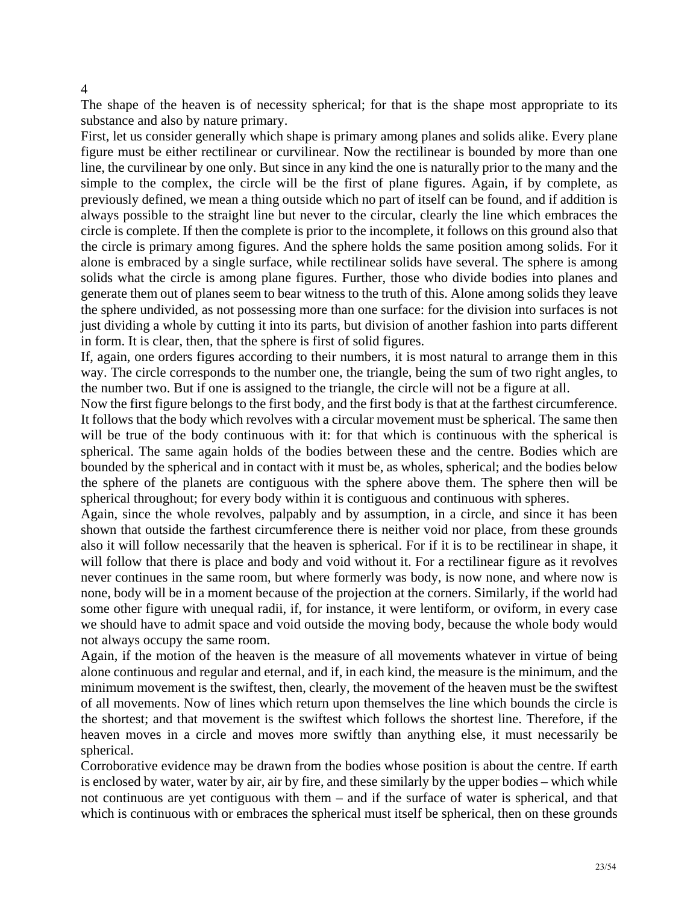4

The shape of the heaven is of necessity spherical; for that is the shape most appropriate to its substance and also by nature primary.

First, let us consider generally which shape is primary among planes and solids alike. Every plane figure must be either rectilinear or curvilinear. Now the rectilinear is bounded by more than one line, the curvilinear by one only. But since in any kind the one is naturally prior to the many and the simple to the complex, the circle will be the first of plane figures. Again, if by complete, as previously defined, we mean a thing outside which no part of itself can be found, and if addition is always possible to the straight line but never to the circular, clearly the line which embraces the circle is complete. If then the complete is prior to the incomplete, it follows on this ground also that the circle is primary among figures. And the sphere holds the same position among solids. For it alone is embraced by a single surface, while rectilinear solids have several. The sphere is among solids what the circle is among plane figures. Further, those who divide bodies into planes and generate them out of planes seem to bear witness to the truth of this. Alone among solids they leave the sphere undivided, as not possessing more than one surface: for the division into surfaces is not just dividing a whole by cutting it into its parts, but division of another fashion into parts different in form. It is clear, then, that the sphere is first of solid figures.

If, again, one orders figures according to their numbers, it is most natural to arrange them in this way. The circle corresponds to the number one, the triangle, being the sum of two right angles, to the number two. But if one is assigned to the triangle, the circle will not be a figure at all.

Now the first figure belongs to the first body, and the first body is that at the farthest circumference. will be true of the body continuous with it: for that which is continuous with the spherical is It follows that the body which revolves with a circular movement must be spherical. The same then spherical. The same again holds of the bodies between these and the centre. Bodies which are bounded by the spherical and in contact with it must be, as wholes, spherical; and the bodies below the sphere of the planets are contiguous with the sphere above them. The sphere then will be spherical throughout; for every body within it is contiguous and continuous with spheres.

Again, since the whole revolves, palpably and by assumption, in a circle, and since it has been shown that outside the farthest circumference there is neither void nor place, from these grounds also it will follow necessarily that the heaven is spherical. For if it is to be rectilinear in shape, it will follow that there is place and body and void without it. For a rectilinear figure as it revolves never continues in the same room, but where formerly was body, is now none, and where now is none, body will be in a moment because of the projection at the corners. Similarly, if the world had some other figure with unequal radii, if, for instance, it were lentiform, or oviform, in every case we should have to admit space and void outside the moving body, because the whole body would not always occupy the same room.

Again, if the motion of the heaven is the measure of all movements whatever in virtue of being of all movements. Now of lines which return upon themselves the line which bounds the circle is alone continuous and regular and eternal, and if, in each kind, the measure is the minimum, and the minimum movement is the swiftest, then, clearly, the movement of the heaven must be the swiftest the shortest; and that movement is the swiftest which follows the shortest line. Therefore, if the heaven moves in a circle and moves more swiftly than anything else, it must necessarily be spherical.

which is continuous with or embraces the spherical must itself be spherical, then on these grounds Corroborative evidence may be drawn from the bodies whose position is about the centre. If earth is enclosed by water, water by air, air by fire, and these similarly by the upper bodies – which while not continuous are yet contiguous with them – and if the surface of water is spherical, and that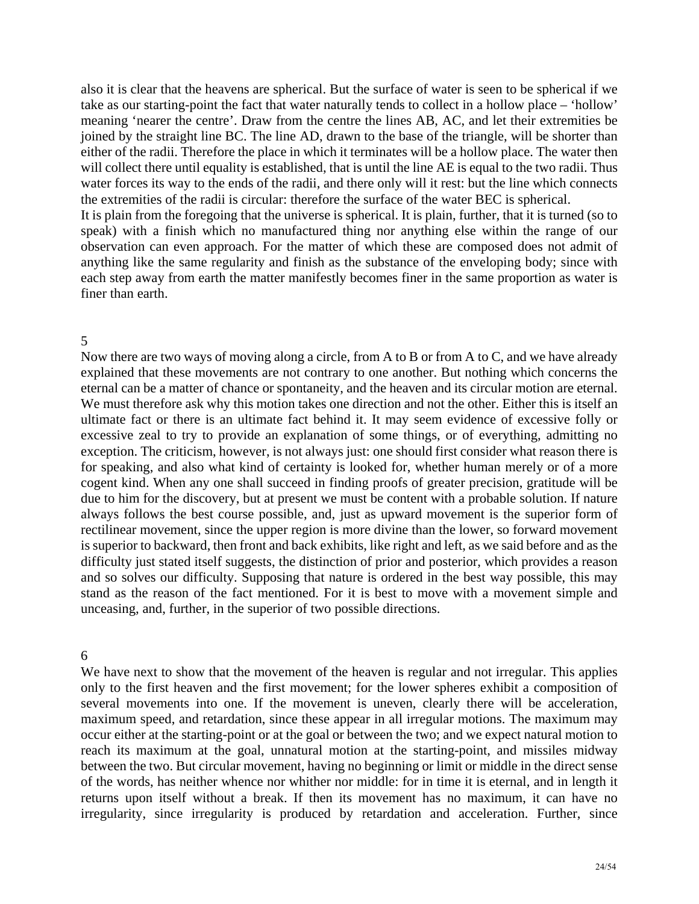also it is clear that the heavens are spherical. But the surface of water is seen to be spherical if we take as our starting-point the fact that water naturally tends to collect in a hollow place – 'hollow' observation can even approach. For the matter of which these are composed does not admit of meaning 'nearer the centre'. Draw from the centre the lines AB, AC, and let their extremities be joined by the straight line BC. The line AD, drawn to the base of the triangle, will be shorter than either of the radii. Therefore the place in which it terminates will be a hollow place. The water then will collect there until equality is established, that is until the line AE is equal to the two radii. Thus water forces its way to the ends of the radii, and there only will it rest: but the line which connects the extremities of the radii is circular: therefore the surface of the water BEC is spherical. It is plain from the foregoing that the universe is spherical. It is plain, further, that it is turned (so to speak) with a finish which no manufactured thing nor anything else within the range of our anything like the same regularity and finish as the substance of the enveloping body; since with each step away from earth the matter manifestly becomes finer in the same proportion as water is

#### 5

finer than earth.

Now there are two ways of moving along a circle, from A to B or from A to C, and we have already difficulty just stated itself suggests, the distinction of prior and posterior, which provides a reason explained that these movements are not contrary to one another. But nothing which concerns the eternal can be a matter of chance or spontaneity, and the heaven and its circular motion are eternal. We must therefore ask why this motion takes one direction and not the other. Either this is itself an ultimate fact or there is an ultimate fact behind it. It may seem evidence of excessive folly or excessive zeal to try to provide an explanation of some things, or of everything, admitting no exception. The criticism, however, is not always just: one should first consider what reason there is for speaking, and also what kind of certainty is looked for, whether human merely or of a more cogent kind. When any one shall succeed in finding proofs of greater precision, gratitude will be due to him for the discovery, but at present we must be content with a probable solution. If nature always follows the best course possible, and, just as upward movement is the superior form of rectilinear movement, since the upper region is more divine than the lower, so forward movement is superior to backward, then front and back exhibits, like right and left, as we said before and as the and so solves our difficulty. Supposing that nature is ordered in the best way possible, this may stand as the reason of the fact mentioned. For it is best to move with a movement simple and unceasing, and, further, in the superior of two possible directions.

## 6

We have next to show that the movement of the heaven is regular and not irregular. This applies only to the first heaven and the first movement; for the lower spheres exhibit a composition of several movements into one. If the movement is uneven, clearly there will be acceleration, maximum speed, and retardation, since these appear in all irregular motions. The maximum may occur either at the starting-point or at the goal or between the two; and we expect natural motion to reach its maximum at the goal, unnatural motion at the starting-point, and missiles midway between the two. But circular movement, having no beginning or limit or middle in the direct sense of the words, has neither whence nor whither nor middle: for in time it is eternal, and in length it returns upon itself without a break. If then its movement has no maximum, it can have no irregularity, since irregularity is produced by retardation and acceleration. Further, since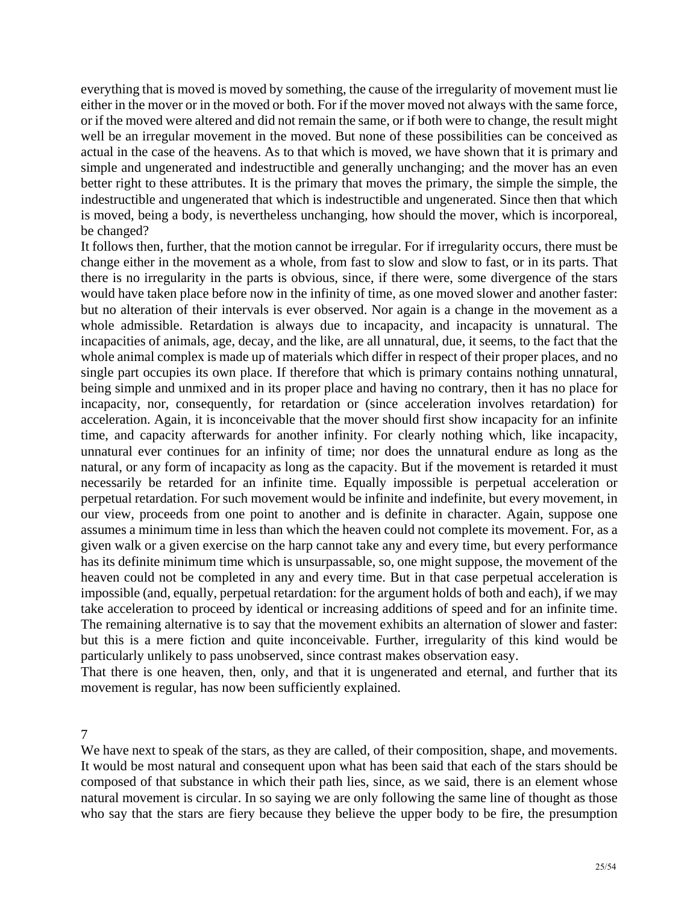everything that is moved is moved by something, the cause of the irregularity of movement must lie either in the mover or in the moved or both. For if the mover moved not always with the same force, or if the moved were altered and did not remain the same, or if both were to change, the result might well be an irregular movement in the moved. But none of these possibilities can be conceived as actual in the case of the heavens. As to that which is moved, we have shown that it is primary and simple and ungenerated and indestructible and generally unchanging; and the mover has an even better right to these attributes. It is the primary that moves the primary, the simple the simple, the indestructible and ungenerated that which is indestructible and ungenerated. Since then that which is moved, being a body, is nevertheless unchanging, how should the mover, which is incorporeal, be changed?

It follows then, further, that the motion cannot be irregular. For if irregularity occurs, there must be change either in the movement as a whole, from fast to slow and slow to fast, or in its parts. That there is no irregularity in the parts is obvious, since, if there were, some divergence of the stars impossible (and, equally, perpetual retardation: for the argument holds of both and each), if we may would have taken place before now in the infinity of time, as one moved slower and another faster: but no alteration of their intervals is ever observed. Nor again is a change in the movement as a whole admissible. Retardation is always due to incapacity, and incapacity is unnatural. The incapacities of animals, age, decay, and the like, are all unnatural, due, it seems, to the fact that the whole animal complex is made up of materials which differ in respect of their proper places, and no single part occupies its own place. If therefore that which is primary contains nothing unnatural, being simple and unmixed and in its proper place and having no contrary, then it has no place for incapacity, nor, consequently, for retardation or (since acceleration involves retardation) for acceleration. Again, it is inconceivable that the mover should first show incapacity for an infinite time, and capacity afterwards for another infinity. For clearly nothing which, like incapacity, unnatural ever continues for an infinity of time; nor does the unnatural endure as long as the natural, or any form of incapacity as long as the capacity. But if the movement is retarded it must necessarily be retarded for an infinite time. Equally impossible is perpetual acceleration or perpetual retardation. For such movement would be infinite and indefinite, but every movement, in our view, proceeds from one point to another and is definite in character. Again, suppose one assumes a minimum time in less than which the heaven could not complete its movement. For, as a given walk or a given exercise on the harp cannot take any and every time, but every performance has its definite minimum time which is unsurpassable, so, one might suppose, the movement of the heaven could not be completed in any and every time. But in that case perpetual acceleration is take acceleration to proceed by identical or increasing additions of speed and for an infinite time. The remaining alternative is to say that the movement exhibits an alternation of slower and faster: but this is a mere fiction and quite inconceivable. Further, irregularity of this kind would be particularly unlikely to pass unobserved, since contrast makes observation easy.

That there is one heaven, then, only, and that it is ungenerated and eternal, and further that its movement is regular, has now been sufficiently explained.

7

We have next to speak of the stars, as they are called, of their composition, shape, and movements. It would be most natural and consequent upon what has been said that each of the stars should be composed of that substance in which their path lies, since, as we said, there is an element whose natural movement is circular. In so saying we are only following the same line of thought as those who say that the stars are fiery because they believe the upper body to be fire, the presumption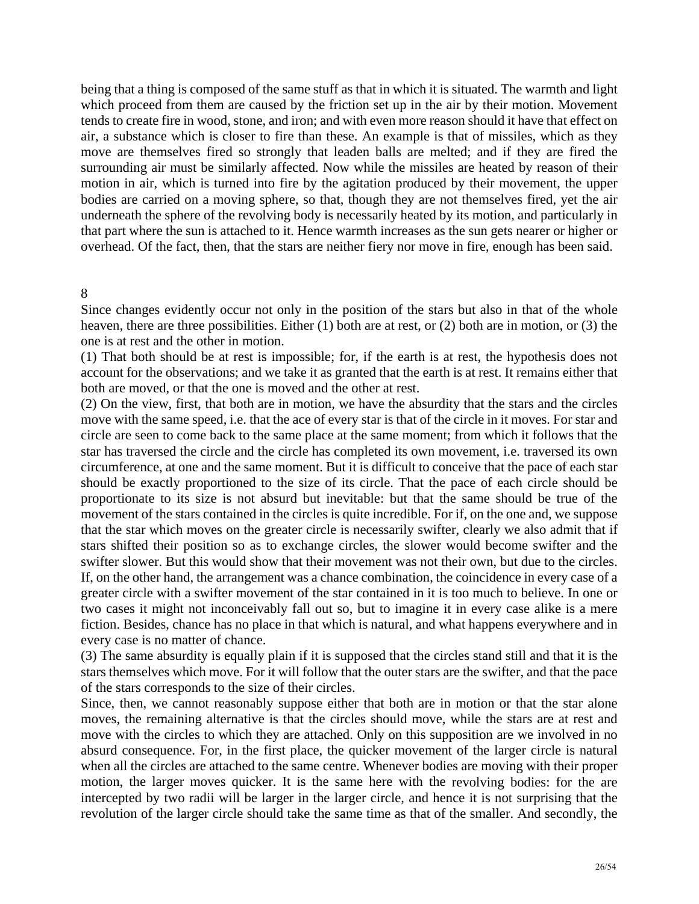being that a thing is composed of the same stuff as that in which it is situated. The warmth and light which proceed from them are caused by the friction set up in the air by their motion. Movement tends to create fire in wood, stone, and iron; and with even more reason should it have that effect on air, a substance which is closer to fire than these. An example is that of missiles, which as they move are themselves fired so strongly that leaden balls are melted; and if they are fired the surrounding air must be similarly affected. Now while the missiles are heated by reason of their motion in air, which is turned into fire by the agitation produced by their movement, the upper bodies are carried on a moving sphere, so that, though they are not themselves fired, yet the air underneath the sphere of the revolving body is necessarily heated by its motion, and particularly in that part where the sun is attached to it. Hence warmth increases as the sun gets nearer or higher or overhead. Of the fact, then, that the stars are neither fiery nor move in fire, enough has been said.

# 8

Since changes evidently occur not only in the position of the stars but also in that of the whole heaven, there are three possibilities. Either (1) both are at rest, or (2) both are in motion, or (3) the one is at rest and the other in motion.

) That both should be at rest is impossible; for, if the earth is at rest, the hypothesis does not (1 account for the observations; and we take it as granted that the earth is at rest. It remains either that both are moved, or that the one is moved and the other at rest.

(2) On the view, first, that both are in motion, we have the absurdity that the stars and the circles move with the same speed, i.e. that the ace of every star is that of the circle in it moves. For star and circle are seen to come back to the same place at the same moment; from which it follows that the star has traversed the circle and the circle has completed its own movement, i.e. traversed its own circumference, at one and the same moment. But it is difficult to conceive that the pace of each star should be exactly proportioned to the size of its circle. That the pace of each circle should be proportionate to its size is not absurd but inevitable: but that the same should be true of the movement of the stars contained in the circles is quite incredible. For if, on the one and, we suppose that the star which moves on the greater circle is necessarily swifter, clearly we also admit that if stars shifted their position so as to exchange circles, the slower would become swifter and the swifter slower. But this would show that their movement was not their own, but due to the circles. If, on the other hand, the arrangement was a chance combination, the coincidence in every case of a greater circle with a swifter movement of the star contained in it is too much to believe. In one or two cases it might not inconceivably fall out so, but to imagine it in every case alike is a mere fiction. Besides, chance has no place in that which is natural, and what happens everywhere and in every case is no matter of chance.

) The same absurdity is equally plain if it is supposed that the circles stand still and that it is the (3 stars themselves which move. For it will follow that the outer stars are the swifter, and that the pace of the stars corresponds to the size of their circles.

move with the circles to which they are attached. Only on this supposition are we involved in no motion, the larger moves quicker. It is the same here with the revolving bodies: for the are Since, then, we cannot reasonably suppose either that both are in motion or that the star alone moves, the remaining alternative is that the circles should move, while the stars are at rest and absurd consequence. For, in the first place, the quicker movement of the larger circle is natural when all the circles are attached to the same centre. Whenever bodies are moving with their proper intercepted by two radii will be larger in the larger circle, and hence it is not surprising that the revolution of the larger circle should take the same time as that of the smaller. And secondly, the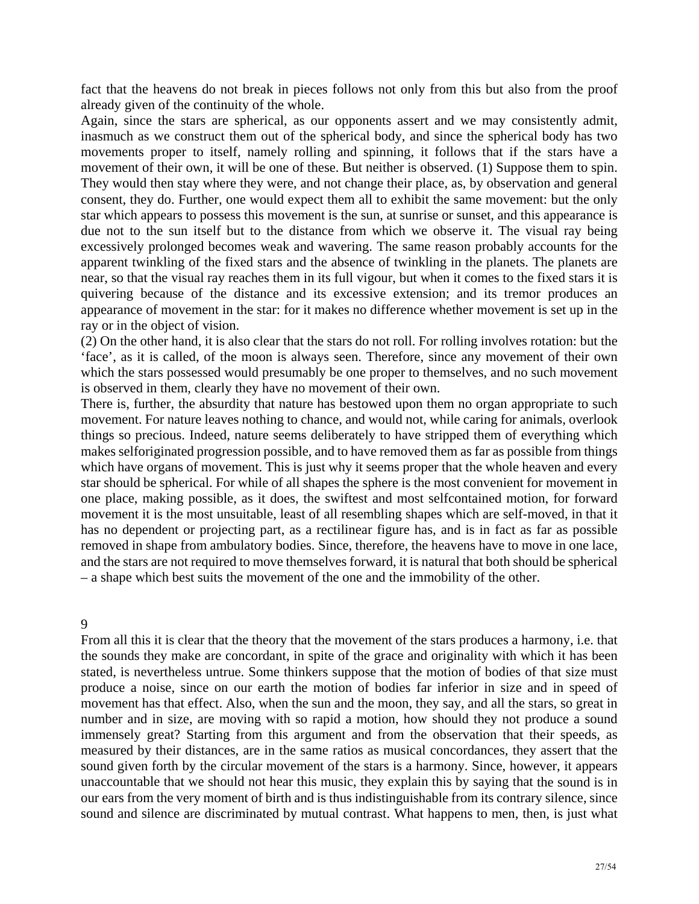fact that the heavens do not break in pieces follows not only from this but also from the proof already given of the continuity of the whole.

Again, since the stars are spherical, as our opponents assert and we may consistently admit, inasmuch as we construct them out of the spherical body, and since the spherical body has two movements proper to itself, namely rolling and spinning, it follows that if the stars have a movement of their own, it will be one of these. But neither is observed. (1) Suppose them to spin. They would then stay where they were, and not change their place, as, by observation and general consent, they do. Further, one would expect them all to exhibit the same movement: but the only star which appears to possess this movement is the sun, at sunrise or sunset, and this appearance is due not to the sun itself but to the distance from which we observe it. The visual ray being excessively prolonged becomes weak and wavering. The same reason probably accounts for the apparent twinkling of the fixed stars and the absence of twinkling in the planets. The planets are near, so that the visual ray reaches them in its full vigour, but when it comes to the fixed stars it is quivering because of the distance and its excessive extension; and its tremor produces an appearance of movement in the star: for it makes no difference whether movement is set up in the ray or in the object of vision.

(2) On the other hand, it is also clear that the stars do not roll. For rolling involves rotation: but the 'face', as it is called, of the moon is always seen. Therefore, since any movement of their own which the stars possessed would presumably be one proper to themselves, and no such movement is observed in them, clearly they have no movement of their own.

one place, making possible, as it does, the swiftest and most selfcontained motion, for forward There is, further, the absurdity that nature has bestowed upon them no organ appropriate to such movement. For nature leaves nothing to chance, and would not, while caring for animals, overlook things so precious. Indeed, nature seems deliberately to have stripped them of everything which makes selforiginated progression possible, and to have removed them as far as possible from things which have organs of movement. This is just why it seems proper that the whole heaven and every star should be spherical. For while of all shapes the sphere is the most convenient for movement in movement it is the most unsuitable, least of all resembling shapes which are self-moved, in that it has no dependent or projecting part, as a rectilinear figure has, and is in fact as far as possible removed in shape from ambulatory bodies. Since, therefore, the heavens have to move in one lace, and the stars are not required to move themselves forward, it is natural that both should be spherical – a shape which best suits the movement of the one and the immobility of the other.

9

number and in size, are moving with so rapid a motion, how should they not produce a sound unaccountable that we should not hear this music, they explain this by saying that the sound is in From all this it is clear that the theory that the movement of the stars produces a harmony, i.e. that the sounds they make are concordant, in spite of the grace and originality with which it has been stated, is nevertheless untrue. Some thinkers suppose that the motion of bodies of that size must produce a noise, since on our earth the motion of bodies far inferior in size and in speed of movement has that effect. Also, when the sun and the moon, they say, and all the stars, so great in immensely great? Starting from this argument and from the observation that their speeds, as measured by their distances, are in the same ratios as musical concordances, they assert that the sound given forth by the circular movement of the stars is a harmony. Since, however, it appears our ears from the very moment of birth and is thus indistinguishable from its contrary silence, since sound and silence are discriminated by mutual contrast. What happens to men, then, is just what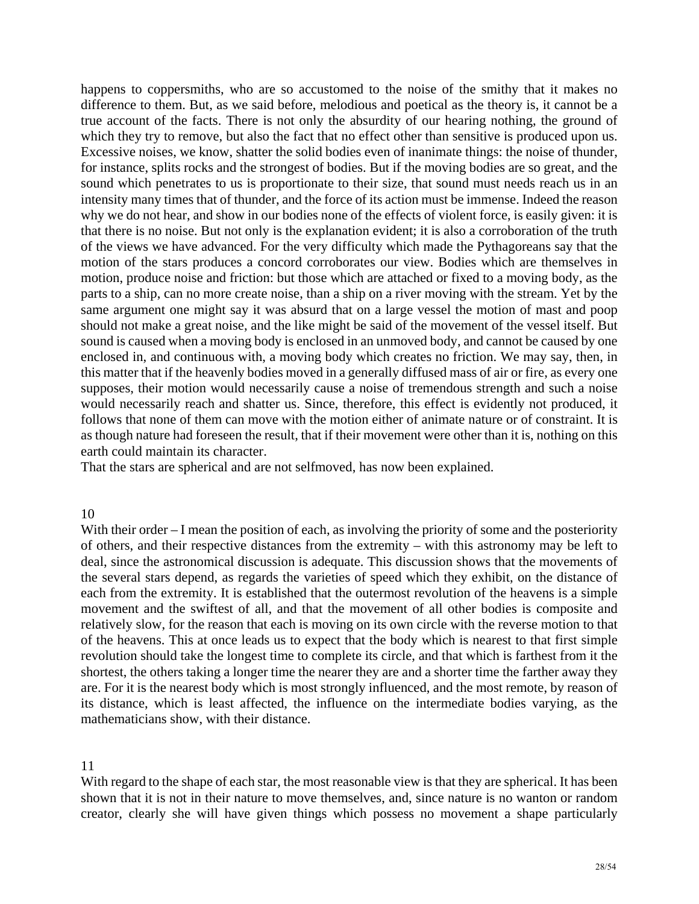happens to coppersmiths, who are so accustomed to the noise of the smithy that it makes no difference to them. But, as we said before, melodious and poetical as the theory is, it cannot be a true account of the facts. There is not only the absurdity of our hearing nothing, the ground of which they try to remove, but also the fact that no effect other than sensitive is produced upon us. Excessive noises, we know, shatter the solid bodies even of inanimate things: the noise of thunder, for instance, splits rocks and the strongest of bodies. But if the moving bodies are so great, and the sound which penetrates to us is proportionate to their size, that sound must needs reach us in an intensity many times that of thunder, and the force of its action must be immense. Indeed the reason why we do not hear, and show in our bodies none of the effects of violent force, is easily given: it is that there is no noise. But not only is the explanation evident; it is also a corroboration of the truth of the views we have advanced. For the very difficulty which made the Pythagoreans say that the motion of the stars produces a concord corroborates our view. Bodies which are themselves in motion, produce noise and friction: but those which are attached or fixed to a moving body, as the parts to a ship, can no more create noise, than a ship on a river moving with the stream. Yet by the same argument one might say it was absurd that on a large vessel the motion of mast and poop should not make a great noise, and the like might be said of the movement of the vessel itself. But sound is caused when a moving body is enclosed in an unmoved body, and cannot be caused by one enclosed in, and continuous with, a moving body which creates no friction. We may say, then, in this matter that if the heavenly bodies moved in a generally diffused mass of air or fire, as every one supposes, their motion would necessarily cause a noise of tremendous strength and such a noise would necessarily reach and shatter us. Since, therefore, this effect is evidently not produced, it follows that none of them can move with the motion either of animate nature or of constraint. It is as though nature had foreseen the result, that if their movement were other than it is, nothing on this earth could maintain its character.

That the stars are spherical and are not selfmoved, has now been explained.

10

With their order – I mean the position of each, as involving the priority of some and the posteriority of others, and their respective distances from the extremity – with this astronomy may be left to deal, since the astronomical discussion is adequate. This discussion shows that the movements of the several stars depend, as regards the varieties of speed which they exhibit, on the distance of each from the extremity. It is established that the outermost revolution of the heavens is a simple movement and the swiftest of all, and that the movement of all other bodies is composite and relatively slow, for the reason that each is moving on its own circle with the reverse motion to that of the heavens. This at once leads us to expect that the body which is nearest to that first simple revolution should take the longest time to complete its circle, and that which is farthest from it the shortest, the others taking a longer time the nearer they are and a shorter time the farther away they are. For it is the nearest body which is most strongly influenced, and the most remote, by reason of its distance, which is least affected, the influence on the intermediate bodies varying, as the mathematicians show, with their distance.

11

With regard to the shape of each star, the most reasonable view is that they are spherical. It has been shown that it is not in their nature to move themselves, and, since nature is no wanton or random creator, clearly she will have given things which possess no movement a shape particularly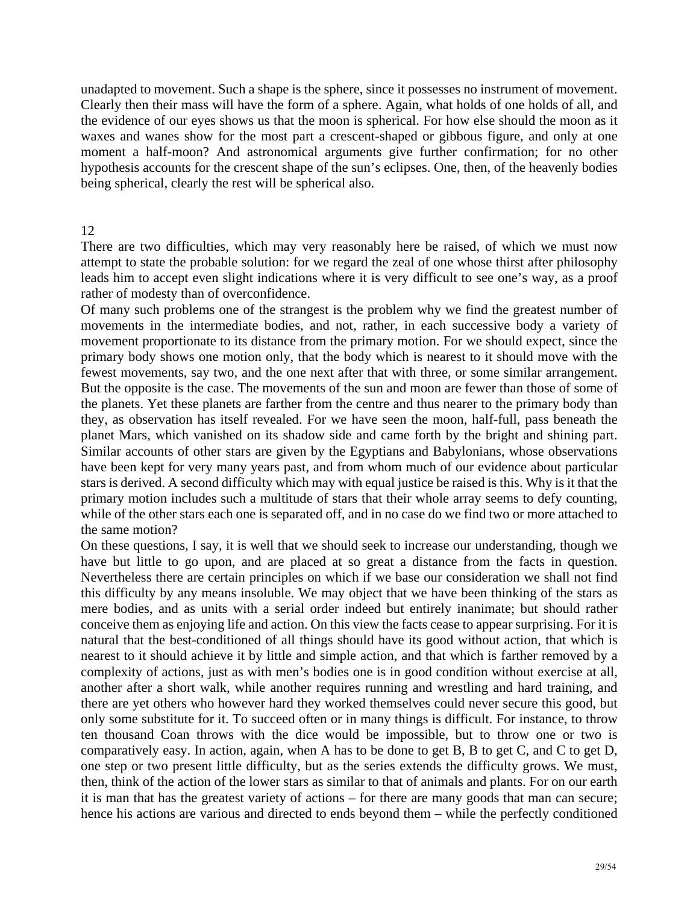unadapted to movement. Such a shape is the sphere, since it possesses no instrument of movement. Clearly then their mass will have the form of a sphere. Again, what holds of one holds of all, and the evidence of our eyes shows us that the moon is spherical. For how else should the moon as it waxes and wanes show for the most part a crescent-shaped or gibbous figure, and only at one moment a half-moon? And astronomical arguments give further confirmation; for no other hypothesis accounts for the crescent shape of the sun's eclipses. One, then, of the heavenly bodies being spherical, clearly the rest will be spherical also.

# 12

There are two difficulties, which may very reasonably here be raised, of which we must now attempt to state the probable solution: for we regard the zeal of one whose thirst after philosophy leads him to accept even slight indications where it is very difficult to see one's way, as a proof rather of modesty than of overconfidence.

But the opposite is the case. The movements of the sun and moon are fewer than those of some of the planets. Yet these planets are farther from the centre and thus nearer to the primary body than they, as observation has itself revealed. For we have seen the moon, half-full, pass beneath the planet Mars, which vanished on its shadow side and came forth by the bright and shining part. Of many such problems one of the strangest is the problem why we find the greatest number of movements in the intermediate bodies, and not, rather, in each successive body a variety of movement proportionate to its distance from the primary motion. For we should expect, since the primary body shows one motion only, that the body which is nearest to it should move with the fewest movements, say two, and the one next after that with three, or some similar arrangement. Similar accounts of other stars are given by the Egyptians and Babylonians, whose observations have been kept for very many years past, and from whom much of our evidence about particular stars is derived. A second difficulty which may with equal justice be raised is this. Why is it that the primary motion includes such a multitude of stars that their whole array seems to defy counting, while of the other stars each one is separated off, and in no case do we find two or more attached to the same motion?

this difficulty by any means insoluble. We may object that we have been thinking of the stars as mere bodies, and as units with a serial order indeed but entirely inanimate; but should rather onceive them as enjoying life and action. On this view the facts cease to appear surprising. For it is c natural that the best-conditioned of all things should have its good without action, that which is there are yet others who however hard they worked themselves could never secure this good, but On these questions, I say, it is well that we should seek to increase our understanding, though we have but little to go upon, and are placed at so great a distance from the facts in question. Nevertheless there are certain principles on which if we base our consideration we shall not find nearest to it should achieve it by little and simple action, and that which is farther removed by a complexity of actions, just as with men's bodies one is in good condition without exercise at all, another after a short walk, while another requires running and wrestling and hard training, and only some substitute for it. To succeed often or in many things is difficult. For instance, to throw ten thousand Coan throws with the dice would be impossible, but to throw one or two is comparatively easy. In action, again, when A has to be done to get B, B to get C, and C to get D, one step or two present little difficulty, but as the series extends the difficulty grows. We must, then, think of the action of the lower stars as similar to that of animals and plants. For on our earth it is man that has the greatest variety of actions – for there are many goods that man can secure; hence his actions are various and directed to ends beyond them – while the perfectly conditioned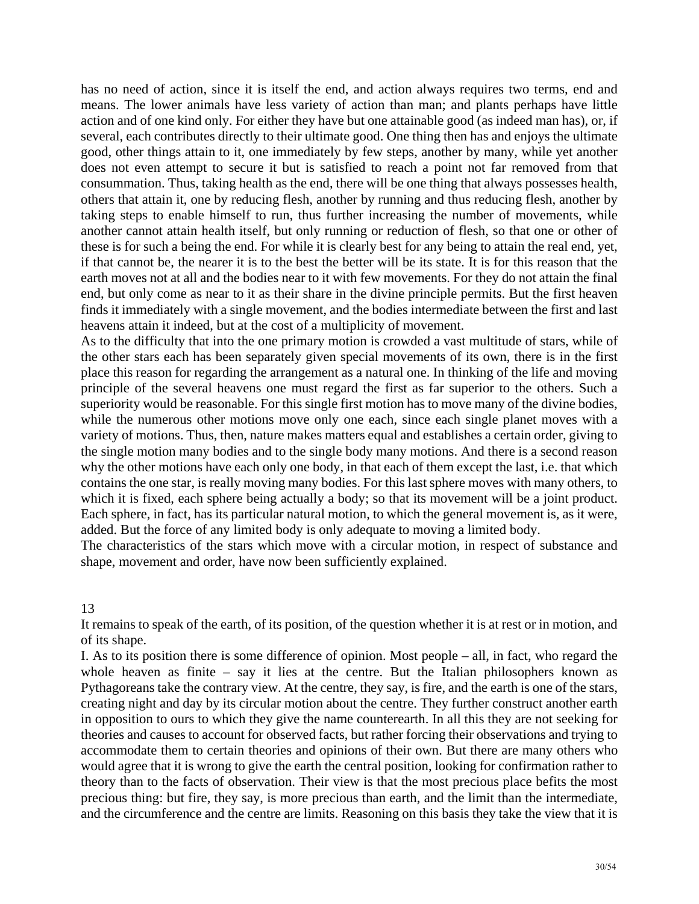has no need of action, since it is itself the end, and action always requires two terms, end and means. The lower animals have less variety of action than man; and plants perhaps have little action and of one kind only. For either they have but one attainable good (as indeed man has), or, if several, each contributes directly to their ultimate good. One thing then has and enjoys the ultimate good, other things attain to it, one immediately by few steps, another by many, while yet another does not even attempt to secure it but is satisfied to reach a point not far removed from that consummation. Thus, taking health as the end, there will be one thing that always possesses health, others that attain it, one by reducing flesh, another by running and thus reducing flesh, another by taking steps to enable himself to run, thus further increasing the number of movements, while another cannot attain health itself, but only running or reduction of flesh, so that one or other of these is for such a being the end. For while it is clearly best for any being to attain the real end, yet, if that cannot be, the nearer it is to the best the better will be its state. It is for this reason that the earth moves not at all and the bodies near to it with few movements. For they do not attain the final end, but only come as near to it as their share in the divine principle permits. But the first heaven finds it immediately with a single movement, and the bodies intermediate between the first and last heavens attain it indeed, but at the cost of a multiplicity of movement.

As to the difficulty that into the one primary motion is crowded a vast multitude of stars, while of the other stars each has been separately given special movements of its own, there is in the first place this reason for regarding the arrangement as a natural one. In thinking of the life and moving principle of the several heavens one must regard the first as far superior to the others. Such a superiority would be reasonable. For this single first motion has to move many of the divine bodies, while the numerous other motions move only one each, since each single planet moves with a variety of motions. Thus, then, nature makes matters equal and establishes a certain order, giving to the single motion many bodies and to the single body many motions. And there is a second reason why the other motions have each only one body, in that each of them except the last, i.e. that which contains the one star, is really moving many bodies. For this last sphere moves with many others, to which it is fixed, each sphere being actually a body; so that its movement will be a joint product. Each sphere, in fact, has its particular natural motion, to which the general movement is, as it were, added. But the force of any limited body is only adequate to moving a limited body.

The characteristics of the stars which move with a circular motion, in respect of substance and shape, movement and order, have now been sufficiently explained.

## 13

It remains to speak of the earth, of its position, of the question whether it is at rest or in motion, and of its shape.

accommodate them to certain theories and opinions of their own. But there are many others who I. As to its position there is some difference of opinion. Most people – all, in fact, who regard the whole heaven as finite  $-$  say it lies at the centre. But the Italian philosophers known as Pythagoreans take the contrary view. At the centre, they say, is fire, and the earth is one of the stars, creating night and day by its circular motion about the centre. They further construct another earth in opposition to ours to which they give the name counterearth. In all this they are not seeking for theories and causes to account for observed facts, but rather forcing their observations and trying to would agree that it is wrong to give the earth the central position, looking for confirmation rather to theory than to the facts of observation. Their view is that the most precious place befits the most precious thing: but fire, they say, is more precious than earth, and the limit than the intermediate, and the circumference and the centre are limits. Reasoning on this basis they take the view that it is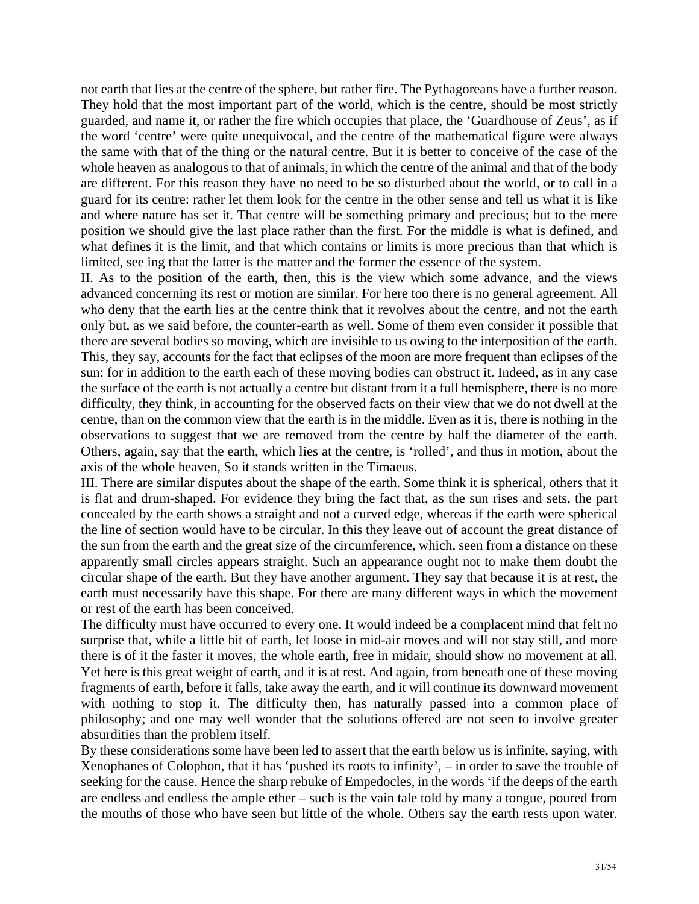not earth that lies at the centre of the sphere, but rather fire. The Pythagoreans have a further reason. They hold that the most important part of the world, which is the centre, should be most strictly guarded, and name it, or rather the fire which occupies that place, the 'Guardhouse of Zeus', as if the word 'centre' were quite unequivocal, and the centre of the mathematical figure were always the same with that of the thing or the natural centre. But it is better to conceive of the case of the whole heaven as analogous to that of animals, in which the centre of the animal and that of the body are different. For this reason they have no need to be so disturbed about the world, or to call in a guard for its centre: rather let them look for the centre in the other sense and tell us what it is like and where nature has set it. That centre will be something primary and precious; but to the mere position we should give the last place rather than the first. For the middle is what is defined, and limited, see ing that the latter is the matter and the former the essence of the system. what defines it is the limit, and that which contains or limits is more precious than that which is

II. As to the position of the earth, then, this is the view which some advance, and the views advanced concerning its rest or motion are similar. For here too there is no general agreement. All who deny that the earth lies at the centre think that it revolves about the centre, and not the earth there are several bodies so moving, which are invisible to us owing to the interposition of the earth. only but, as we said before, the counter-earth as well. Some of them even consider it possible that This, they say, accounts for the fact that eclipses of the moon are more frequent than eclipses of the sun: for in addition to the earth each of these moving bodies can obstruct it. Indeed, as in any case the surface of the earth is not actually a centre but distant from it a full hemisphere, there is no more difficulty, they think, in accounting for the observed facts on their view that we do not dwell at the centre, than on the common view that the earth is in the middle. Even as it is, there is nothing in the observations to suggest that we are removed from the centre by half the diameter of the earth. Others, again, say that the earth, which lies at the centre, is 'rolled', and thus in motion, about the axis of the whole heaven, So it stands written in the Timaeus.

III. There are similar disputes about the shape of the earth. Some think it is spherical, others that it is flat and drum-shaped. For evidence they bring the fact that, as the sun rises and sets, the part concealed by the earth shows a straight and not a curved edge, whereas if the earth were spherical the line of section would have to be circular. In this they leave out of account the great distance of the sun from the earth and the great size of the circumference, which, seen from a distance on these apparently small circles appears straight. Such an appearance ought not to make them doubt the circular shape of the earth. But they have another argument. They say that because it is at rest, the earth must necessarily have this shape. For there are many different ways in which the movement or rest of the earth has been conceived.

The difficulty must have occurred to every one. It would indeed be a complacent mind that felt no surprise that, while a little bit of earth, let loose in mid-air moves and will not stay still, and more there is of it the faster it moves, the whole earth, free in midair, should show no movement at all. Yet here is this great weight of earth, and it is at rest. And again, from beneath one of these moving fragments of earth, before it falls, take away the earth, and it will continue its downward movement with nothing to stop it. The difficulty then, has naturally passed into a common place of philosophy; and one may well wonder that the solutions offered are not seen to involve greater absurdities than the problem itself.

By these considerations some have been led to assert that the earth below us is infinite, saying, with Xenophanes of Colophon, that it has 'pushed its roots to infinity', – in order to save the trouble of seeking for the cause. Hence the sharp rebuke of Empedocles, in the words 'if the deeps of the earth are endless and endless the ample ether – such is the vain tale told by many a tongue, poured from the mouths of those who have seen but little of the whole. Others say the earth rests upon water.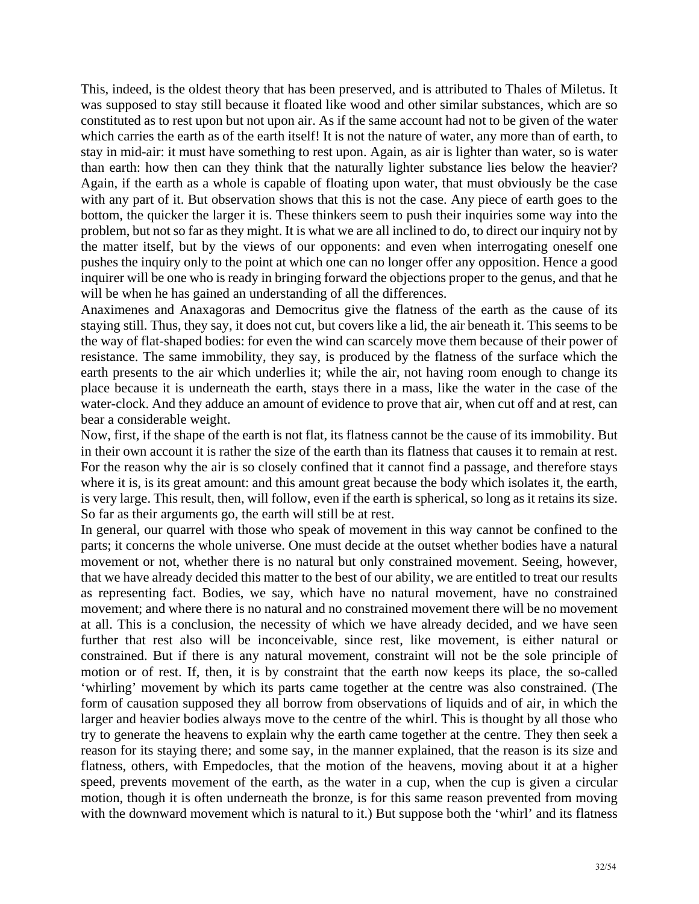This, indeed, is the oldest theory that has been preserved, and is attributed to Thales of Miletus. It was supposed to stay still because it floated like wood and other similar substances, which are so constituted as to rest upon but not upon air. As if the same account had not to be given of the water which carries the earth as of the earth itself! It is not the nature of water, any more than of earth, to stay in mid-air: it must have something to rest upon. Again, as air is lighter than water, so is water than earth: how then can they think that the naturally lighter substance lies below the heavier? Again, if the earth as a whole is capable of floating upon water, that must obviously be the case with any part of it. But observation shows that this is not the case. Any piece of earth goes to the bottom, the quicker the larger it is. These thinkers seem to push their inquiries some way into the problem, but not so far as they might. It is what we are all inclined to do, to direct our inquiry not by the matter itself, but by the views of our opponents: and even when interrogating oneself one pushes the inquiry only to the point at which one can no longer offer any opposition. Hence a good inquirer will be one who is ready in bringing forward the objections proper to the genus, and that he will be when he has gained an understanding of all the differences.

the way of flat-shaped bodies: for even the wind can scarcely move them because of their power of Anaximenes and Anaxagoras and Democritus give the flatness of the earth as the cause of its staying still. Thus, they say, it does not cut, but covers like a lid, the air beneath it. This seems to be resistance. The same immobility, they say, is produced by the flatness of the surface which the earth presents to the air which underlies it; while the air, not having room enough to change its place because it is underneath the earth, stays there in a mass, like the water in the case of the water-clock. And they adduce an amount of evidence to prove that air, when cut off and at rest, can bear a considerable weight.

For the reason why the air is so closely confined that it cannot find a passage, and therefore stays Now, first, if the shape of the earth is not flat, its flatness cannot be the cause of its immobility. But in their own account it is rather the size of the earth than its flatness that causes it to remain at rest. where it is, is its great amount: and this amount great because the body which isolates it, the earth, is very large. This result, then, will follow, even if the earth is spherical, so long as it retains its size. So far as their arguments go, the earth will still be at rest.

speed, prevents movement of the earth, as the water in a cup, when the cup is given a circular In general, our quarrel with those who speak of movement in this way cannot be confined to the parts; it concerns the whole universe. One must decide at the outset whether bodies have a natural movement or not, whether there is no natural but only constrained movement. Seeing, however, that we have already decided this matter to the best of our ability, we are entitled to treat our results as representing fact. Bodies, we say, which have no natural movement, have no constrained movement; and where there is no natural and no constrained movement there will be no movement at all. This is a conclusion, the necessity of which we have already decided, and we have seen further that rest also will be inconceivable, since rest, like movement, is either natural or constrained. But if there is any natural movement, constraint will not be the sole principle of motion or of rest. If, then, it is by constraint that the earth now keeps its place, the so-called 'whirling' movement by which its parts came together at the centre was also constrained. (The form of causation supposed they all borrow from observations of liquids and of air, in which the larger and heavier bodies always move to the centre of the whirl. This is thought by all those who try to generate the heavens to explain why the earth came together at the centre. They then seek a reason for its staying there; and some say, in the manner explained, that the reason is its size and flatness, others, with Empedocles, that the motion of the heavens, moving about it at a higher motion, though it is often underneath the bronze, is for this same reason prevented from moving with the downward movement which is natural to it.) But suppose both the 'whirl' and its flatness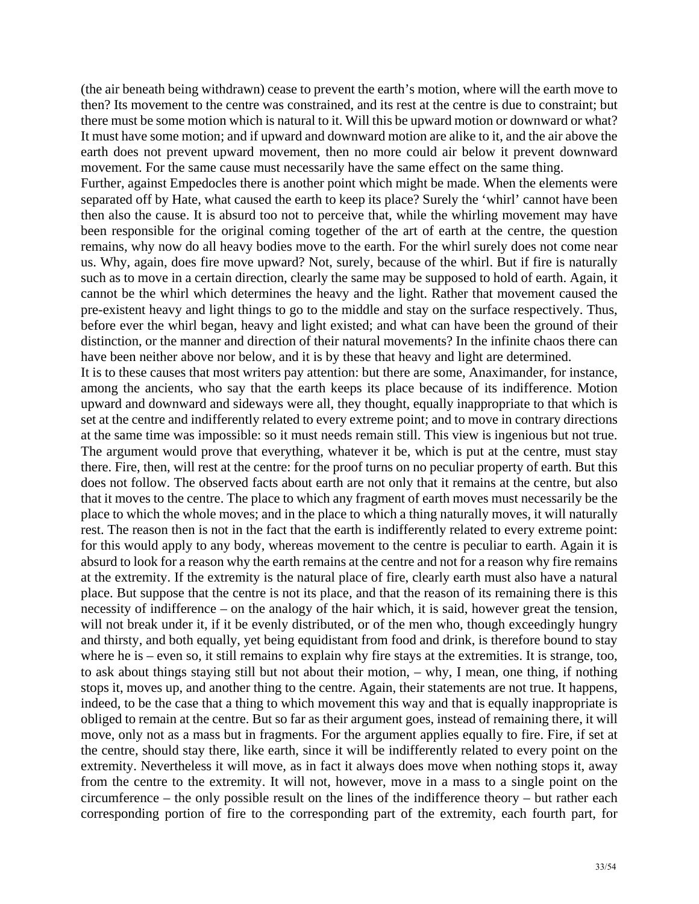(the air beneath being withdrawn) cease to prevent the earth's motion, where will the earth move to then? Its movement to the centre was constrained, and its rest at the centre is due to constraint; but there must be some motion which is natural to it. Will this be upward motion or downward or what? It must have some motion; and if upward and downward motion are alike to it, and the air above the earth does not prevent upward movement, then no more could air below it prevent downward movement. For the same cause must necessarily have the same effect on the same thing.

us. Why, again, does fire move upward? Not, surely, because of the whirl. But if fire is naturally Further, against Empedocles there is another point which might be made. When the elements were separated off by Hate, what caused the earth to keep its place? Surely the 'whirl' cannot have been then also the cause. It is absurd too not to perceive that, while the whirling movement may have been responsible for the original coming together of the art of earth at the centre, the question remains, why now do all heavy bodies move to the earth. For the whirl surely does not come near such as to move in a certain direction, clearly the same may be supposed to hold of earth. Again, it cannot be the whirl which determines the heavy and the light. Rather that movement caused the pre-existent heavy and light things to go to the middle and stay on the surface respectively. Thus, before ever the whirl began, heavy and light existed; and what can have been the ground of their distinction, or the manner and direction of their natural movements? In the infinite chaos there can have been neither above nor below, and it is by these that heavy and light are determined.

to ask about things staying still but not about their motion,  $-$  why, I mean, one thing, if nothing It is to these causes that most writers pay attention: but there are some, Anaximander, for instance, among the ancients, who say that the earth keeps its place because of its indifference. Motion upward and downward and sideways were all, they thought, equally inappropriate to that which is set at the centre and indifferently related to every extreme point; and to move in contrary directions at the same time was impossible: so it must needs remain still. This view is ingenious but not true. The argument would prove that everything, whatever it be, which is put at the centre, must stay there. Fire, then, will rest at the centre: for the proof turns on no peculiar property of earth. But this does not follow. The observed facts about earth are not only that it remains at the centre, but also that it moves to the centre. The place to which any fragment of earth moves must necessarily be the place to which the whole moves; and in the place to which a thing naturally moves, it will naturally rest. The reason then is not in the fact that the earth is indifferently related to every extreme point: for this would apply to any body, whereas movement to the centre is peculiar to earth. Again it is absurd to look for a reason why the earth remains at the centre and not for a reason why fire remains at the extremity. If the extremity is the natural place of fire, clearly earth must also have a natural place. But suppose that the centre is not its place, and that the reason of its remaining there is this necessity of indifference – on the analogy of the hair which, it is said, however great the tension, will not break under it, if it be evenly distributed, or of the men who, though exceedingly hungry and thirsty, and both equally, yet being equidistant from food and drink, is therefore bound to stay where he is – even so, it still remains to explain why fire stays at the extremities. It is strange, too, stops it, moves up, and another thing to the centre. Again, their statements are not true. It happens, indeed, to be the case that a thing to which movement this way and that is equally inappropriate is obliged to remain at the centre. But so far as their argument goes, instead of remaining there, it will move, only not as a mass but in fragments. For the argument applies equally to fire. Fire, if set at the centre, should stay there, like earth, since it will be indifferently related to every point on the extremity. Nevertheless it will move, as in fact it always does move when nothing stops it, away from the centre to the extremity. It will not, however, move in a mass to a single point on the circumference – the only possible result on the lines of the indifference theory – but rather each corresponding portion of fire to the corresponding part of the extremity, each fourth part, for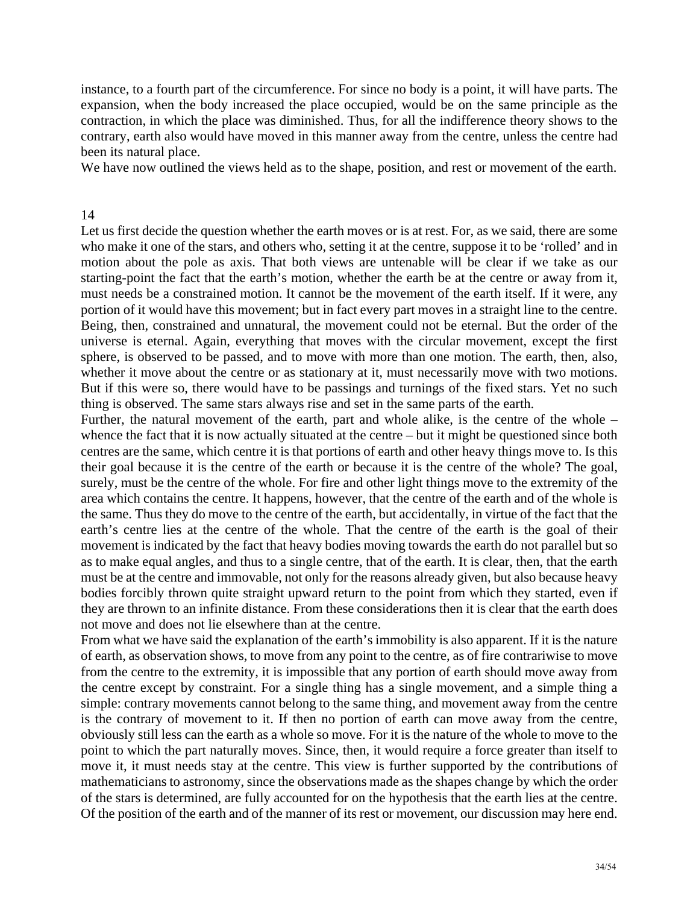instance, to a fourth part of the circumference. For since no body is a point, it will have parts. The expansion, when the body increased the place occupied, would be on the same principle as the contraction, in which the place was diminished. Thus, for all the indifference theory shows to the contrary, earth also would have moved in this manner away from the centre, unless the centre had been its natural place.

We have now outlined the views held as to the shape, position, and rest or movement of the earth.

## 14

Let us first decide the question whether the earth moves or is at rest. For, as we said, there are some who make it one of the stars, and others who, setting it at the centre, suppose it to be 'rolled' and in motion about the pole as axis. That both views are untenable will be clear if we take as our starting-point the fact that the earth's motion, whether the earth be at the centre or away from it, must needs be a constrained motion. It cannot be the movement of the earth itself. If it were, any portion of it would have this movement; but in fact every part moves in a straight line to the centre. Being, then, constrained and unnatural, the movement could not be eternal. But the order of the universe is eternal. Again, everything that moves with the circular movement, except the first sphere, is observed to be passed, and to move with more than one motion. The earth, then, also, whether it move about the centre or as stationary at it, must necessarily move with two motions. But if this were so, there would have to be passings and turnings of the fixed stars. Yet no such thing is observed. The same stars always rise and set in the same parts of the earth.

Further, the natural movement of the earth, part and whole alike, is the centre of the whole – whence the fact that it is now actually situated at the centre – but it might be questioned since both centres are the same, which centre it is that portions of earth and other heavy things move to. Is this their goal because it is the centre of the earth or because it is the centre of the whole? The goal, surely, must be the centre of the whole. For fire and other light things move to the extremity of the area which contains the centre. It happens, however, that the centre of the earth and of the whole is the same. Thus they do move to the centre of the earth, but accidentally, in virtue of the fact that the earth's centre lies at the centre of the whole. That the centre of the earth is the goal of their movement is indicated by the fact that heavy bodies moving towards the earth do not parallel but so as to make equal angles, and thus to a single centre, that of the earth. It is clear, then, that the earth must be at the centre and immovable, not only for the reasons already given, but also because heavy bodies forcibly thrown quite straight upward return to the point from which they started, even if they are thrown to an infinite distance. From these considerations then it is clear that the earth does not move and does not lie elsewhere than at the centre.

the centre except by constraint. For a single thing has a single movement, and a simple thing a is the contrary of movement to it. If then no portion of earth can move away from the centre, obviously still less can the earth as a whole so move. For it is the nature of the whole to move to the point to which the part naturally moves. Since, then, it would require a force greater than itself to From what we have said the explanation of the earth's immobility is also apparent. If it is the nature of earth, as observation shows, to move from any point to the centre, as of fire contrariwise to move from the centre to the extremity, it is impossible that any portion of earth should move away from simple: contrary movements cannot belong to the same thing, and movement away from the centre move it, it must needs stay at the centre. This view is further supported by the contributions of mathematicians to astronomy, since the observations made as the shapes change by which the order of the stars is determined, are fully accounted for on the hypothesis that the earth lies at the centre. Of the position of the earth and of the manner of its rest or movement, our discussion may here end.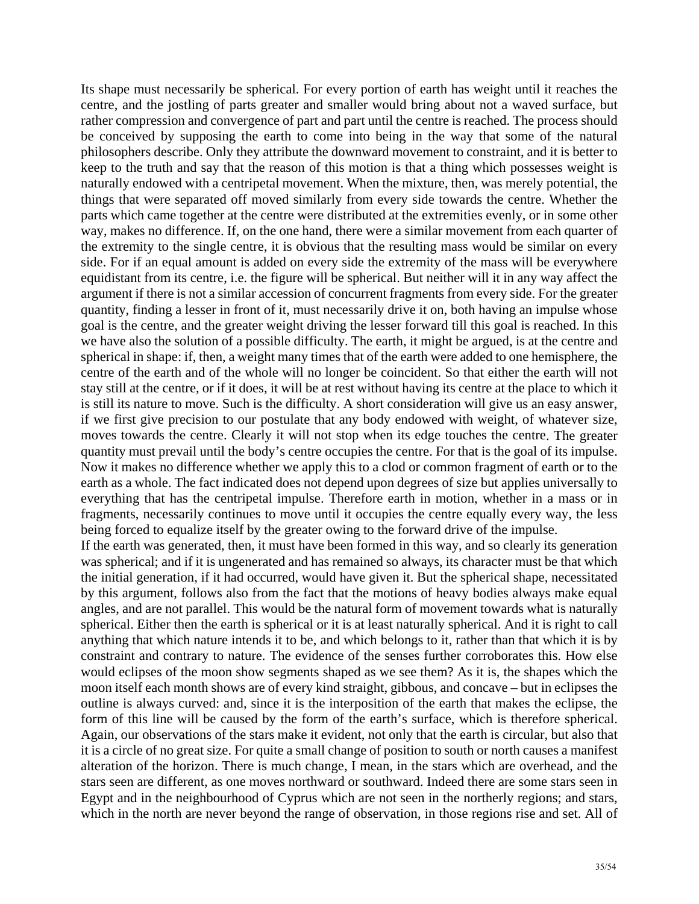Its shape must necessarily be spherical. For every portion of earth has weight until it reaches the centre, and the jostling of parts greater and smaller would bring about not a waved surface, but rather compression and convergence of part and part until the centre is reached. The process should be conceived by supposing the earth to come into being in the way that some of the natural philosophers describe. Only they attribute the downward movement to constraint, and it is better to keep to the truth and say that the reason of this motion is that a thing which possesses weight is naturally endowed with a centripetal movement. When the mixture, then, was merely potential, the things that were separated off moved similarly from every side towards the centre. Whether the parts which came together at the centre were distributed at the extremities evenly, or in some other moves towards the centre. Clearly it will not stop when its edge touches the centre. The greater way, makes no difference. If, on the one hand, there were a similar movement from each quarter of the extremity to the single centre, it is obvious that the resulting mass would be similar on every side. For if an equal amount is added on every side the extremity of the mass will be everywhere equidistant from its centre, i.e. the figure will be spherical. But neither will it in any way affect the argument if there is not a similar accession of concurrent fragments from every side. For the greater quantity, finding a lesser in front of it, must necessarily drive it on, both having an impulse whose goal is the centre, and the greater weight driving the lesser forward till this goal is reached. In this we have also the solution of a possible difficulty. The earth, it might be argued, is at the centre and spherical in shape: if, then, a weight many times that of the earth were added to one hemisphere, the centre of the earth and of the whole will no longer be coincident. So that either the earth will not stay still at the centre, or if it does, it will be at rest without having its centre at the place to which it is still its nature to move. Such is the difficulty. A short consideration will give us an easy answer, if we first give precision to our postulate that any body endowed with weight, of whatever size, quantity must prevail until the body's centre occupies the centre. For that is the goal of its impulse. Now it makes no difference whether we apply this to a clod or common fragment of earth or to the earth as a whole. The fact indicated does not depend upon degrees of size but applies universally to everything that has the centripetal impulse. Therefore earth in motion, whether in a mass or in fragments, necessarily continues to move until it occupies the centre equally every way, the less being forced to equalize itself by the greater owing to the forward drive of the impulse.

anything that which nature intends it to be, and which belongs to it, rather than that which it is by If the earth was generated, then, it must have been formed in this way, and so clearly its generation was spherical; and if it is ungenerated and has remained so always, its character must be that which the initial generation, if it had occurred, would have given it. But the spherical shape, necessitated by this argument, follows also from the fact that the motions of heavy bodies always make equal angles, and are not parallel. This would be the natural form of movement towards what is naturally spherical. Either then the earth is spherical or it is at least naturally spherical. And it is right to call constraint and contrary to nature. The evidence of the senses further corroborates this. How else would eclipses of the moon show segments shaped as we see them? As it is, the shapes which the moon itself each month shows are of every kind straight, gibbous, and concave – but in eclipses the outline is always curved: and, since it is the interposition of the earth that makes the eclipse, the form of this line will be caused by the form of the earth's surface, which is therefore spherical. Again, our observations of the stars make it evident, not only that the earth is circular, but also that it is a circle of no great size. For quite a small change of position to south or north causes a manifest alteration of the horizon. There is much change, I mean, in the stars which are overhead, and the stars seen are different, as one moves northward or southward. Indeed there are some stars seen in Egypt and in the neighbourhood of Cyprus which are not seen in the northerly regions; and stars, which in the north are never beyond the range of observation, in those regions rise and set. All of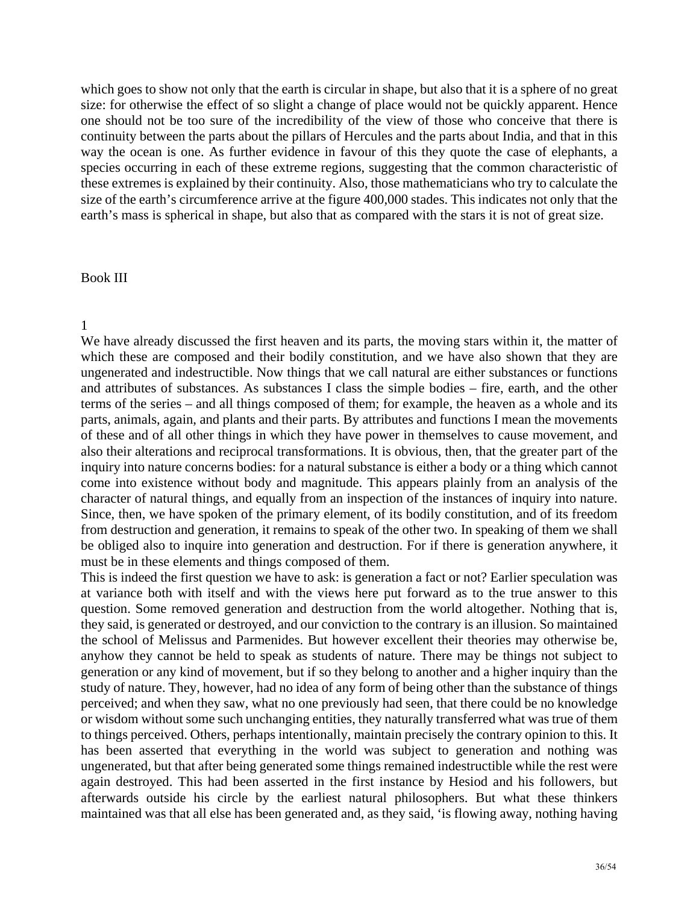which goes to show not only that the earth is circular in shape, but also that it is a sphere of no great size: for otherwise the effect of so slight a change of place would not be quickly apparent. Hence one should not be too sure of the incredibility of the view of those who conceive that there is continuity between the parts about the pillars of Hercules and the parts about India, and that in this way the ocean is one. As further evidence in favour of this they quote the case of elephants, a species occurring in each of these extreme regions, suggesting that the common characteristic of these extremes is explained by their continuity. Also, those mathematicians who try to calculate the size of the earth's circumference arrive at the figure 400,000 stades. This indicates not only that the earth's mass is spherical in shape, but also that as compared with the stars it is not of great size.

### Book III

### 1

We have already discussed the first heaven and its parts, the moving stars within it, the matter of which these are composed and their bodily constitution, and we have also shown that they are ungenerated and indestructible. Now things that we call natural are either substances or functions and attributes of substances. As substances I class the simple bodies – fire, earth, and the other terms of the series – and all things composed of them; for example, the heaven as a whole and its parts, animals, again, and plants and their parts. By attributes and functions I mean the movements of these and of all other things in which they have power in themselves to cause movement, and also their alterations and reciprocal transformations. It is obvious, then, that the greater part of the inquiry into nature concerns bodies: for a natural substance is either a body or a thing which cannot come into existence without body and magnitude. This appears plainly from an analysis of the character of natural things, and equally from an inspection of the instances of inquiry into nature. Since, then, we have spoken of the primary element, of its bodily constitution, and of its freedom from destruction and generation, it remains to speak of the other two. In speaking of them we shall be obliged also to inquire into generation and destruction. For if there is generation anywhere, it must be in these elements and things composed of them.

maintained was that all else has been generated and, as they said, 'is flowing away, nothing having This is indeed the first question we have to ask: is generation a fact or not? Earlier speculation was at variance both with itself and with the views here put forward as to the true answer to this question. Some removed generation and destruction from the world altogether. Nothing that is, they said, is generated or destroyed, and our conviction to the contrary is an illusion. So maintained the school of Melissus and Parmenides. But however excellent their theories may otherwise be, anyhow they cannot be held to speak as students of nature. There may be things not subject to generation or any kind of movement, but if so they belong to another and a higher inquiry than the study of nature. They, however, had no idea of any form of being other than the substance of things perceived; and when they saw, what no one previously had seen, that there could be no knowledge or wisdom without some such unchanging entities, they naturally transferred what was true of them to things perceived. Others, perhaps intentionally, maintain precisely the contrary opinion to this. It has been asserted that everything in the world was subject to generation and nothing was ungenerated, but that after being generated some things remained indestructible while the rest were again destroyed. This had been asserted in the first instance by Hesiod and his followers, but afterwards outside his circle by the earliest natural philosophers. But what these thinkers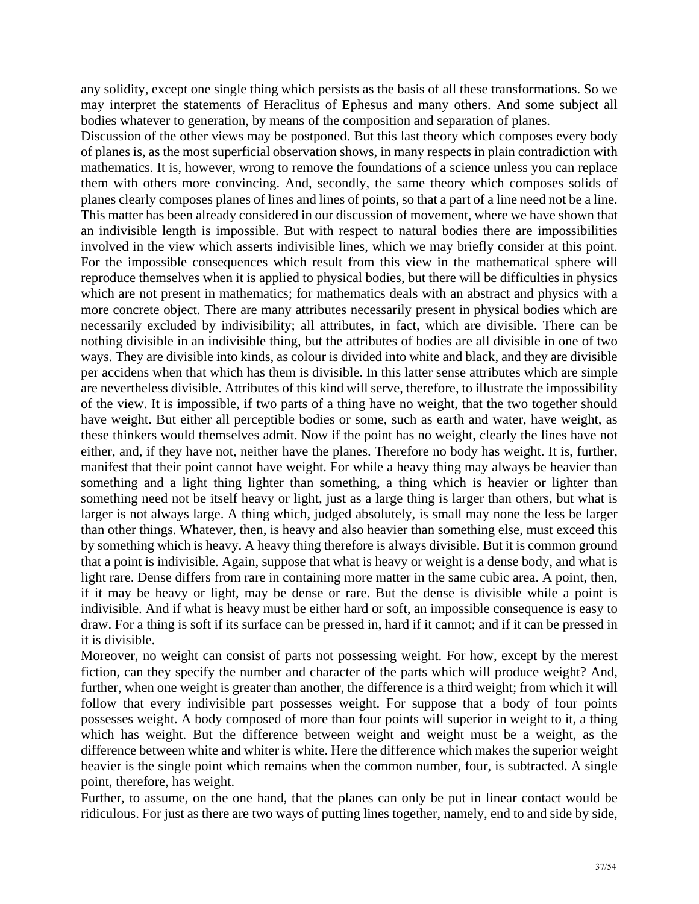any solidity, except one single thing which persists as the basis of all these transformations. So we may interpret the statements of Heraclitus of Ephesus and many others. And some subject all bodies whatever to generation, by means of the composition and separation of planes.

Discussion of the other views may be postponed. But this last theory which composes every body of planes is, as the most superficial observation shows, in many respects in plain contradiction with mathematics. It is, however, wrong to remove the foundations of a science unless you can replace them with others more convincing. And, secondly, the same theory which composes solids of planes clearly composes planes of lines and lines of points, so that a part of a line need not be a line. This matter has been already considered in our discussion of movement, where we have shown that either, and, if they have not, neither have the planes. Therefore no body has weight. It is, further, an indivisible length is impossible. But with respect to natural bodies there are impossibilities involved in the view which asserts indivisible lines, which we may briefly consider at this point. For the impossible consequences which result from this view in the mathematical sphere will reproduce themselves when it is applied to physical bodies, but there will be difficulties in physics which are not present in mathematics; for mathematics deals with an abstract and physics with a more concrete object. There are many attributes necessarily present in physical bodies which are necessarily excluded by indivisibility; all attributes, in fact, which are divisible. There can be nothing divisible in an indivisible thing, but the attributes of bodies are all divisible in one of two ways. They are divisible into kinds, as colour is divided into white and black, and they are divisible per accidens when that which has them is divisible. In this latter sense attributes which are simple are nevertheless divisible. Attributes of this kind will serve, therefore, to illustrate the impossibility of the view. It is impossible, if two parts of a thing have no weight, that the two together should have weight. But either all perceptible bodies or some, such as earth and water, have weight, as these thinkers would themselves admit. Now if the point has no weight, clearly the lines have not manifest that their point cannot have weight. For while a heavy thing may always be heavier than something and a light thing lighter than something, a thing which is heavier or lighter than something need not be itself heavy or light, just as a large thing is larger than others, but what is larger is not always large. A thing which, judged absolutely, is small may none the less be larger than other things. Whatever, then, is heavy and also heavier than something else, must exceed this by something which is heavy. A heavy thing therefore is always divisible. But it is common ground that a point is indivisible. Again, suppose that what is heavy or weight is a dense body, and what is light rare. Dense differs from rare in containing more matter in the same cubic area. A point, then, if it may be heavy or light, may be dense or rare. But the dense is divisible while a point is indivisible. And if what is heavy must be either hard or soft, an impossible consequence is easy to draw. For a thing is soft if its surface can be pressed in, hard if it cannot; and if it can be pressed in it is divisible.

heavier is the single point which remains when the common number, four, is subtracted. A single Moreover, no weight can consist of parts not possessing weight. For how, except by the merest fiction, can they specify the number and character of the parts which will produce weight? And, further, when one weight is greater than another, the difference is a third weight; from which it will follow that every indivisible part possesses weight. For suppose that a body of four points possesses weight. A body composed of more than four points will superior in weight to it, a thing which has weight. But the difference between weight and weight must be a weight, as the difference between white and whiter is white. Here the difference which makes the superior weight point, therefore, has weight.

Further, to assume, on the one hand, that the planes can only be put in linear contact would be ridiculous. For just as there are two ways of putting lines together, namely, end to and side by side,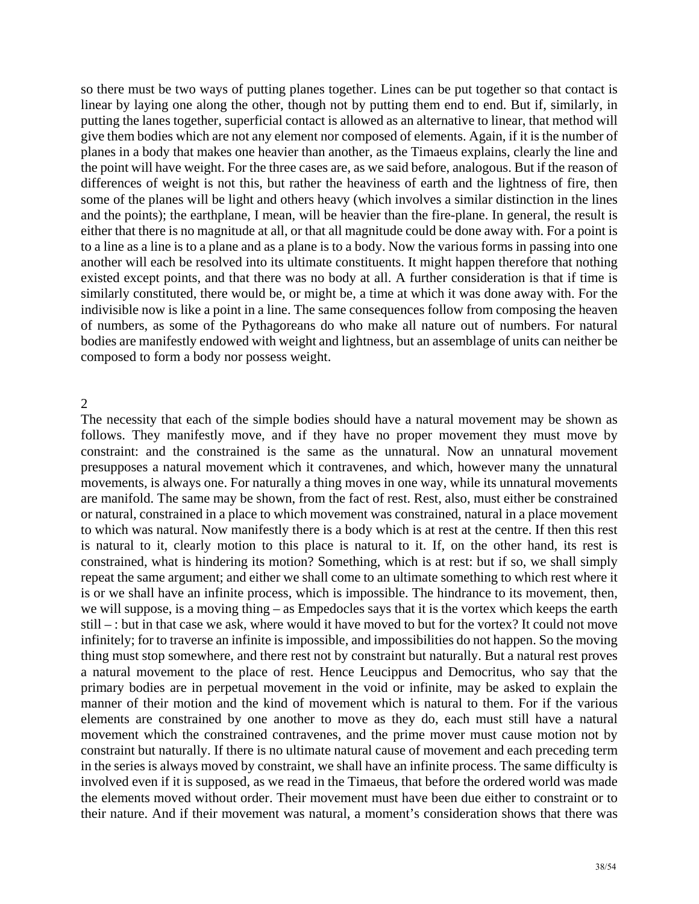so there must be two ways of putting planes together. Lines can be put together so that contact is linear by laying one along the other, though not by putting them end to end. But if, similarly, in putting the lanes together, superficial contact is allowed as an alternative to linear, that method will give them bodies which are not any element nor composed of elements. Again, if it is the number of planes in a body that makes one heavier than another, as the Timaeus explains, clearly the line and the point will have weight. For the three cases are, as we said before, analogous. But if the reason of differences of weight is not this, but rather the heaviness of earth and the lightness of fire, then some of the planes will be light and others heavy (which involves a similar distinction in the lines and the points); the earthplane, I mean, will be heavier than the fire-plane. In general, the result is either that there is no magnitude at all, or that all magnitude could be done away with. For a point is to a line as a line is to a plane and as a plane is to a body. Now the various forms in passing into one another will each be resolved into its ultimate constituents. It might happen therefore that nothing existed except points, and that there was no body at all. A further consideration is that if time is similarly constituted, there would be, or might be, a time at which it was done away with. For the indivisible now is like a point in a line. The same consequences follow from composing the heaven of numbers, as some of the Pythagoreans do who make all nature out of numbers. For natural bodies are manifestly endowed with weight and lightness, but an assemblage of units can neither be composed to form a body nor possess weight.

## 2

The necessity that each of the simple bodies should have a natural movement may be shown as follows. They manifestly move, and if they have no proper movement they must move by constraint: and the constrained is the same as the unnatural. Now an unnatural movement presupposes a natural movement which it contravenes, and which, however many the unnatural movements, is always one. For naturally a thing moves in one way, while its unnatural movements are manifold. The same may be shown, from the fact of rest. Rest, also, must either be constrained or natural, constrained in a place to which movement was constrained, natural in a place movement to which was natural. Now manifestly there is a body which is at rest at the centre. If then this rest is natural to it, clearly motion to this place is natural to it. If, on the other hand, its rest is primary bodies are in perpetual movement in the void or infinite, may be asked to explain the constrained, what is hindering its motion? Something, which is at rest: but if so, we shall simply repeat the same argument; and either we shall come to an ultimate something to which rest where it is or we shall have an infinite process, which is impossible. The hindrance to its movement, then, we will suppose, is a moving thing – as Empedocles says that it is the vortex which keeps the earth still – : but in that case we ask, where would it have moved to but for the vortex? It could not move infinitely; for to traverse an infinite is impossible, and impossibilities do not happen. So the moving thing must stop somewhere, and there rest not by constraint but naturally. But a natural rest proves a natural movement to the place of rest. Hence Leucippus and Democritus, who say that the manner of their motion and the kind of movement which is natural to them. For if the various elements are constrained by one another to move as they do, each must still have a natural movement which the constrained contravenes, and the prime mover must cause motion not by constraint but naturally. If there is no ultimate natural cause of movement and each preceding term in the series is always moved by constraint, we shall have an infinite process. The same difficulty is involved even if it is supposed, as we read in the Timaeus, that before the ordered world was made the elements moved without order. Their movement must have been due either to constraint or to their nature. And if their movement was natural, a moment's consideration shows that there was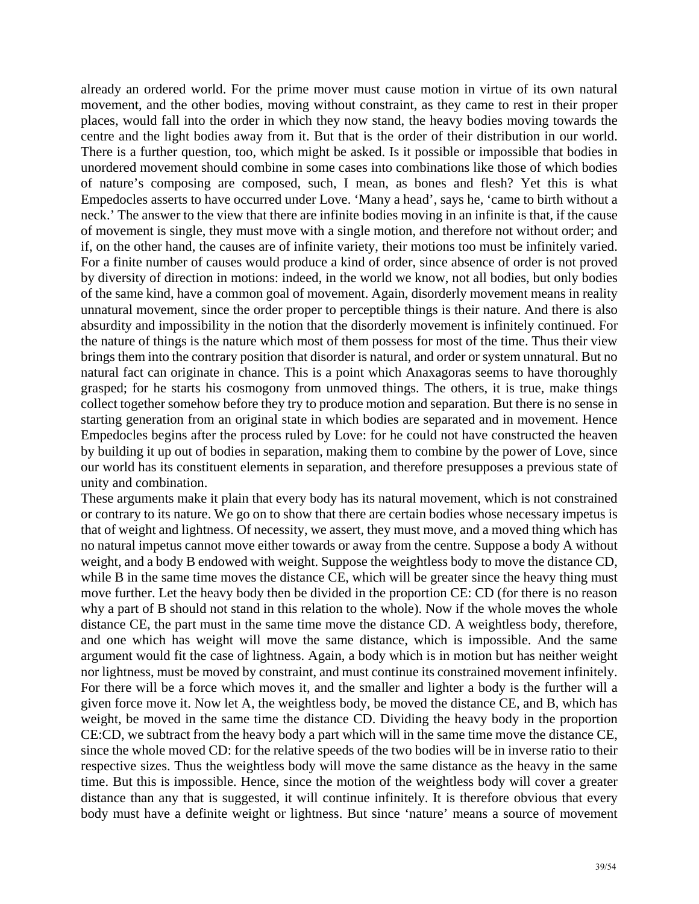already an ordered world. For the prime mover must cause motion in virtue of its own natural movement, and the other bodies, moving without constraint, as they came to rest in their proper places, would fall into the order in which they now stand, the heavy bodies moving towards the centre and the light bodies away from it. But that is the order of their distribution in our world. There is a further question, too, which might be asked. Is it possible or impossible that bodies in unordered movement should combine in some cases into combinations like those of which bodies of nature's composing are composed, such, I mean, as bones and flesh? Yet this is what Empedocles asserts to have occurred under Love. 'Many a head', says he, 'came to birth without a neck.' The answer to the view that there are infinite bodies moving in an infinite is that, if the cause of movement is single, they must move with a single motion, and therefore not without order; and if, on the other hand, the causes are of infinite variety, their motions too must be infinitely varied. For a finite number of causes would produce a kind of order, since absence of order is not proved by diversity of direction in motions: indeed, in the world we know, not all bodies, but only bodies of the same kind, have a common goal of movement. Again, disorderly movement means in reality unnatural movement, since the order proper to perceptible things is their nature. And there is also absurdity and impossibility in the notion that the disorderly movement is infinitely continued. For the nature of things is the nature which most of them possess for most of the time. Thus their view brings them into the contrary position that disorder is natural, and order or system unnatural. But no natural fact can originate in chance. This is a point which Anaxagoras seems to have thoroughly grasped; for he starts his cosmogony from unmoved things. The others, it is true, make things collect together somehow before they try to produce motion and separation. But there is no sense in starting generation from an original state in which bodies are separated and in movement. Hence Empedocles begins after the process ruled by Love: for he could not have constructed the heaven by building it up out of bodies in separation, making them to combine by the power of Love, since our world has its constituent elements in separation, and therefore presupposes a previous state of unity and combination.

These arguments make it plain that every body has its natural movement, which is not constrained or contrary to its nature. We go on to show that there are certain bodies whose necessary impetus is that of weight and lightness. Of necessity, we assert, they must move, and a moved thing which has no natural impetus cannot move either towards or away from the centre. Suppose a body A without weight, and a body B endowed with weight. Suppose the weightless body to move the distance CD, while B in the same time moves the distance CE, which will be greater since the heavy thing must move further. Let the heavy body then be divided in the proportion CE: CD (for there is no reason why a part of B should not stand in this relation to the whole). Now if the whole moves the whole distance CE, the part must in the same time move the distance CD. A weightless body, therefore, and one which has weight will move the same distance, which is impossible. And the same argument would fit the case of lightness. Again, a body which is in motion but has neither weight nor lightness, must be moved by constraint, and must continue its constrained movement infinitely. For there will be a force which moves it, and the smaller and lighter a body is the further will a given force move it. Now let A, the weightless body, be moved the distance CE, and B, which has weight, be moved in the same time the distance CD. Dividing the heavy body in the proportion CE:CD, we subtract from the heavy body a part which will in the same time move the distance CE, since the whole moved CD: for the relative speeds of the two bodies will be in inverse ratio to their respective sizes. Thus the weightless body will move the same distance as the heavy in the same time. But this is impossible. Hence, since the motion of the weightless body will cover a greater distance than any that is suggested, it will continue infinitely. It is therefore obvious that every body must have a definite weight or lightness. But since 'nature' means a source of movement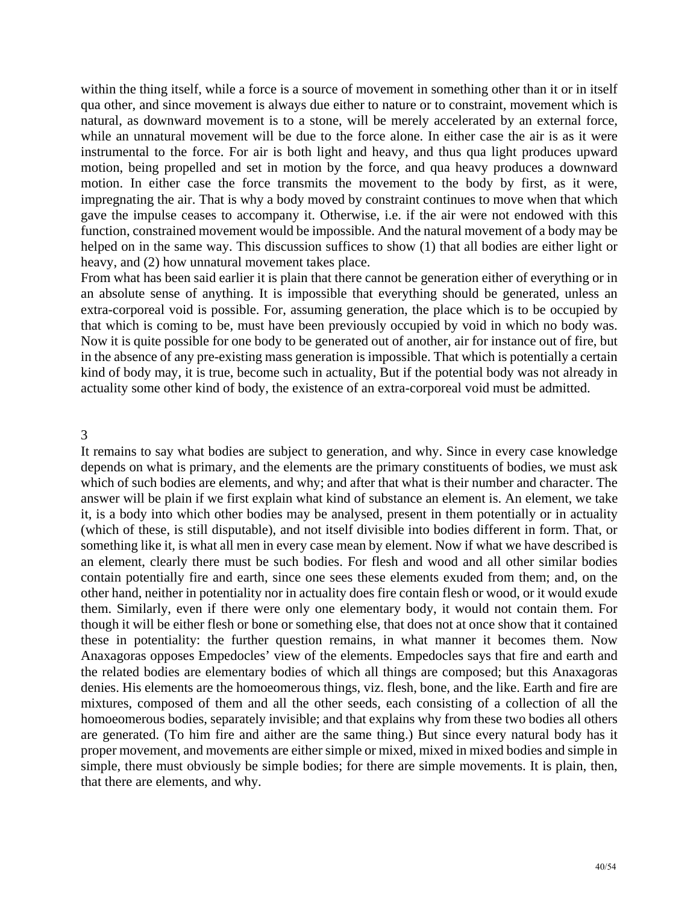within the thing itself, while a force is a source of movement in something other than it or in itself qua other, and since movement is always due either to nature or to constraint, movement which is natural, as downward movement is to a stone, will be merely accelerated by an external force, while an unnatural movement will be due to the force alone. In either case the air is as it were instrumental to the force. For air is both light and heavy, and thus qua light produces upward motion, being propelled and set in motion by the force, and qua heavy produces a downward motion. In either case the force transmits the movement to the body by first, as it were, impregnating the air. That is why a body moved by constraint continues to move when that which gave the impulse ceases to accompany it. Otherwise, i.e. if the air were not endowed with this function, constrained movement would be impossible. And the natural movement of a body may be helped on in the same way. This discussion suffices to show (1) that all bodies are either light or heavy, and (2) how unnatural movement takes place.

From what has been said earlier it is plain that there cannot be generation either of everything or in an absolute sense of anything. It is impossible that everything should be generated, unless an extra-corporeal void is possible. For, assuming generation, the place which is to be occupied by that which is coming to be, must have been previously occupied by void in which no body was. Now it is quite possible for one body to be generated out of another, air for instance out of fire, but in the absence of any pre-existing mass generation is impossible. That which is potentially a certain kind of body may, it is true, become such in actuality, But if the potential body was not already in actuality some other kind of body, the existence of an extra-corporeal void must be admitted.

### 3

It remains to say what bodies are subject to generation, and why. Since in every case knowledge depends on what is primary, and the elements are the primary constituents of bodies, we must ask which of such bodies are elements, and why; and after that what is their number and character. The answer will be plain if we first explain what kind of substance an element is. An element, we take it, is a body into which other bodies may be analysed, present in them potentially or in actuality (which of these, is still disputable), and not itself divisible into bodies different in form. That, or something like it, is what all men in every case mean by element. Now if what we have described is an element, clearly there must be such bodies. For flesh and wood and all other similar bodies contain potentially fire and earth, since one sees these elements exuded from them; and, on the other hand, neither in potentiality nor in actuality does fire contain flesh or wood, or it would exude them. Similarly, even if there were only one elementary body, it would not contain them. For though it will be either flesh or bone or something else, that does not at once show that it contained these in potentiality: the further question remains, in what manner it becomes them. Now Anaxagoras opposes Empedocles' view of the elements. Empedocles says that fire and earth and the related bodies are elementary bodies of which all things are composed; but this Anaxagoras denies. His elements are the homoeomerous things, viz. flesh, bone, and the like. Earth and fire are mixtures, composed of them and all the other seeds, each consisting of a collection of all the homoeomerous bodies, separately invisible; and that explains why from these two bodies all others are generated. (To him fire and aither are the same thing.) But since every natural body has it proper movement, and movements are either simple or mixed, mixed in mixed bodies and simple in simple, there must obviously be simple bodies; for there are simple movements. It is plain, then, that there are elements, and why.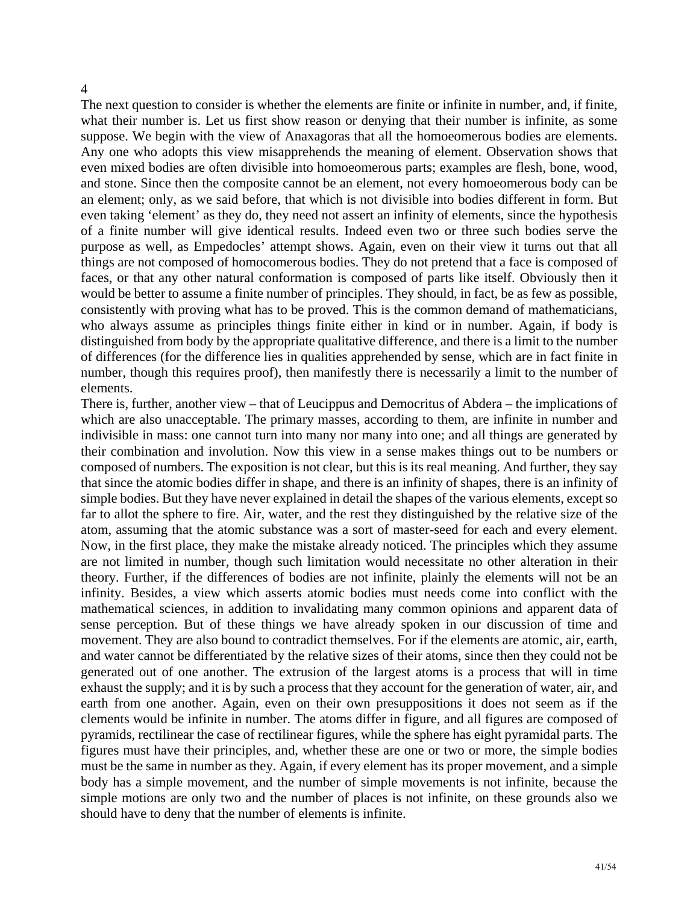### 4

The next question to consider is whether the elements are finite or infinite in number, and, if finite, what their number is. Let us first show reason or denying that their number is infinite, as some suppose. We begin with the view of Anaxagoras that all the homoeomerous bodies are elements. Any one who adopts this view misapprehends the meaning of element. Observation shows that even mixed bodies are often divisible into homoeomerous parts; examples are flesh, bone, wood, and stone. Since then the composite cannot be an element, not every homoeomerous body can be an element; only, as we said before, that which is not divisible into bodies different in form. But even taking 'element' as they do, they need not assert an infinity of elements, since the hypothesis of differences (for the difference lies in qualities apprehended by sense, which are in fact finite in number, though this requires proof), then manifestly there is necessarily a limit to the number of lements. e of a finite number will give identical results. Indeed even two or three such bodies serve the purpose as well, as Empedocles' attempt shows. Again, even on their view it turns out that all things are not composed of homocomerous bodies. They do not pretend that a face is composed of faces, or that any other natural conformation is composed of parts like itself. Obviously then it would be better to assume a finite number of principles. They should, in fact, be as few as possible, consistently with proving what has to be proved. This is the common demand of mathematicians, who always assume as principles things finite either in kind or in number. Again, if body is distinguished from body by the appropriate qualitative difference, and there is a limit to the number

There is, further, another view – that of Leucippus and Democritus of Abdera – the implications of figures must have their principles, and, whether these are one or two or more, the simple bodies must be the same in number as they. Again, if every element has its proper movement, and a simple body has a simple movement, and the number of simple movements is not infinite, because the simple motions are only two and the number of places is not infinite, on these grounds also we should have to deny that the number of elements is infinite. which are also unacceptable. The primary masses, according to them, are infinite in number and indivisible in mass: one cannot turn into many nor many into one; and all things are generated by their combination and involution. Now this view in a sense makes things out to be numbers or composed of numbers. The exposition is not clear, but this is its real meaning. And further, they say that since the atomic bodies differ in shape, and there is an infinity of shapes, there is an infinity of simple bodies. But they have never explained in detail the shapes of the various elements, except so far to allot the sphere to fire. Air, water, and the rest they distinguished by the relative size of the atom, assuming that the atomic substance was a sort of master-seed for each and every element. Now, in the first place, they make the mistake already noticed. The principles which they assume are not limited in number, though such limitation would necessitate no other alteration in their theory. Further, if the differences of bodies are not infinite, plainly the elements will not be an infinity. Besides, a view which asserts atomic bodies must needs come into conflict with the mathematical sciences, in addition to invalidating many common opinions and apparent data of sense perception. But of these things we have already spoken in our discussion of time and movement. They are also bound to contradict themselves. For if the elements are atomic, air, earth, and water cannot be differentiated by the relative sizes of their atoms, since then they could not be generated out of one another. The extrusion of the largest atoms is a process that will in time exhaust the supply; and it is by such a process that they account for the generation of water, air, and earth from one another. Again, even on their own presuppositions it does not seem as if the clements would be infinite in number. The atoms differ in figure, and all figures are composed of pyramids, rectilinear the case of rectilinear figures, while the sphere has eight pyramidal parts. The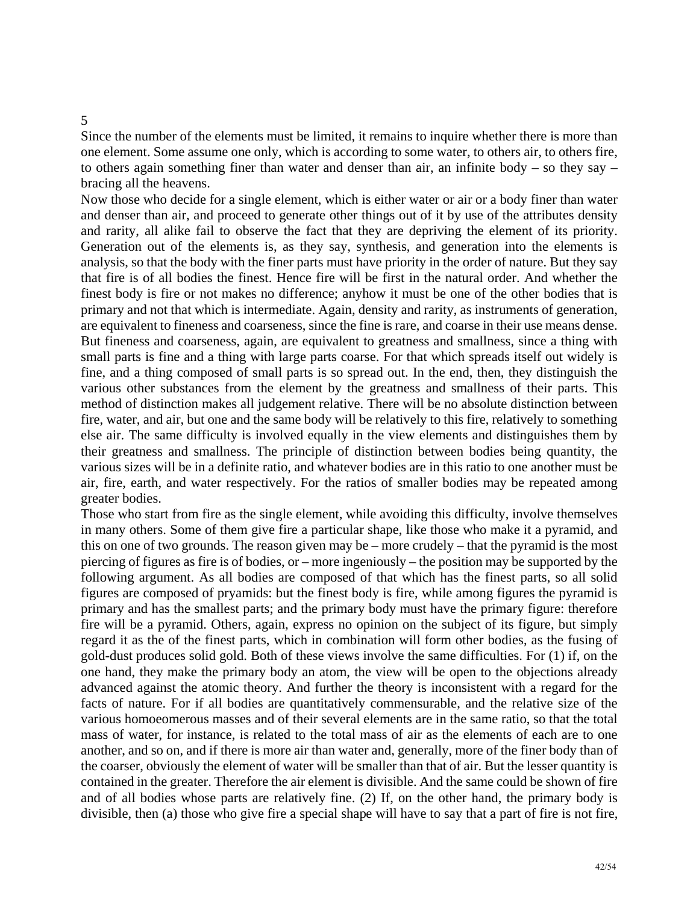## 5

Since the number of the elements must be limited, it remains to inquire whether there is more than one element. Some assume one only, which is according to some water, to others air, to others fire, to others again something finer than water and denser than air, an infinite body – so they say – bracing all the heavens.

Now those who decide for a single element, which is either water or air or a body finer than water and denser than air, and proceed to generate other things out of it by use of the attributes density and rarity, all alike fail to observe the fact that they are depriving the element of its priority. Generation out of the elements is, as they say, synthesis, and generation into the elements is analysis, so that the body with the finer parts must have priority in the order of nature. But they say that fire is of all bodies the finest. Hence fire will be first in the natural order. And whether the finest body is fire or not makes no difference; anyhow it must be one of the other bodies that is primary and not that which is intermediate. Again, density and rarity, as instruments of generation, are equivalent to fineness and coarseness, since the fine is rare, and coarse in their use means dense. But fineness and coarseness, again, are equivalent to greatness and smallness, since a thing with small parts is fine and a thing with large parts coarse. For that which spreads itself out widely is fine, and a thing composed of small parts is so spread out. In the end, then, they distinguish the various other substances from the element by the greatness and smallness of their parts. This method of distinction makes all judgement relative. There will be no absolute distinction between fire, water, and air, but one and the same body will be relatively to this fire, relatively to something else air. The same difficulty is involved equally in the view elements and distinguishes them by their greatness and smallness. The principle of distinction between bodies being quantity, the various sizes will be in a definite ratio, and whatever bodies are in this ratio to one another must be air, fire, earth, and water respectively. For the ratios of smaller bodies may be repeated among greater bodies.

divisible, then (a) those who give fire a special shape will have to say that a part of fire is not fire, Those who start from fire as the single element, while avoiding this difficulty, involve themselves in many others. Some of them give fire a particular shape, like those who make it a pyramid, and this on one of two grounds. The reason given may be – more crudely – that the pyramid is the most piercing of figures as fire is of bodies, or – more ingeniously – the position may be supported by the following argument. As all bodies are composed of that which has the finest parts, so all solid figures are composed of pryamids: but the finest body is fire, while among figures the pyramid is primary and has the smallest parts; and the primary body must have the primary figure: therefore fire will be a pyramid. Others, again, express no opinion on the subject of its figure, but simply regard it as the of the finest parts, which in combination will form other bodies, as the fusing of gold-dust produces solid gold. Both of these views involve the same difficulties. For (1) if, on the one hand, they make the primary body an atom, the view will be open to the objections already advanced against the atomic theory. And further the theory is inconsistent with a regard for the facts of nature. For if all bodies are quantitatively commensurable, and the relative size of the various homoeomerous masses and of their several elements are in the same ratio, so that the total mass of water, for instance, is related to the total mass of air as the elements of each are to one another, and so on, and if there is more air than water and, generally, more of the finer body than of the coarser, obviously the element of water will be smaller than that of air. But the lesser quantity is contained in the greater. Therefore the air element is divisible. And the same could be shown of fire and of all bodies whose parts are relatively fine. (2) If, on the other hand, the primary body is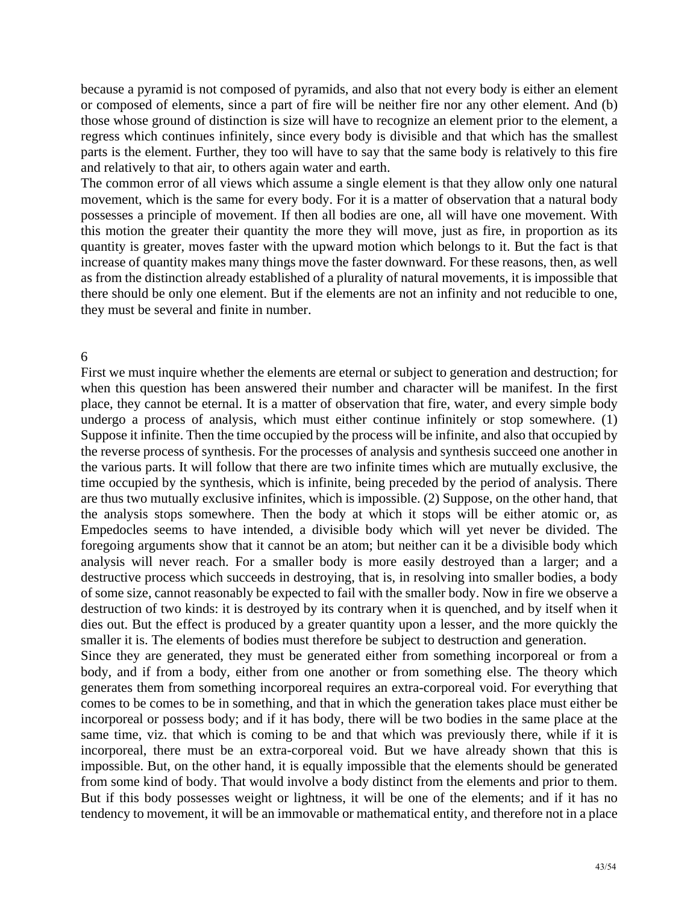because a pyramid is not composed of pyramids, and also that not every body is either an element or composed of elements, since a part of fire will be neither fire nor any other element. And (b) those whose ground of distinction is size will have to recognize an element prior to the element, a regress which continues infinitely, since every body is divisible and that which has the smallest parts is the element. Further, they too will have to say that the same body is relatively to this fire and relatively to that air, to others again water and earth.

possesses a principle of movement. If then all bodies are one, all will have one movement. With The common error of all views which assume a single element is that they allow only one natural movement, which is the same for every body. For it is a matter of observation that a natural body this motion the greater their quantity the more they will move, just as fire, in proportion as its quantity is greater, moves faster with the upward motion which belongs to it. But the fact is that increase of quantity makes many things move the faster downward. For these reasons, then, as well as from the distinction already established of a plurality of natural movements, it is impossible that there should be only one element. But if the elements are not an infinity and not reducible to one, they must be several and finite in number.

## 6

Empedocles seems to have intended, a divisible body which will yet never be divided. The First we must inquire whether the elements are eternal or subject to generation and destruction; for when this question has been answered their number and character will be manifest. In the first place, they cannot be eternal. It is a matter of observation that fire, water, and every simple body undergo a process of analysis, which must either continue infinitely or stop somewhere. (1) Suppose it infinite. Then the time occupied by the process will be infinite, and also that occupied by the reverse process of synthesis. For the processes of analysis and synthesis succeed one another in the various parts. It will follow that there are two infinite times which are mutually exclusive, the time occupied by the synthesis, which is infinite, being preceded by the period of analysis. There are thus two mutually exclusive infinites, which is impossible. (2) Suppose, on the other hand, that the analysis stops somewhere. Then the body at which it stops will be either atomic or, as foregoing arguments show that it cannot be an atom; but neither can it be a divisible body which analysis will never reach. For a smaller body is more easily destroyed than a larger; and a destructive process which succeeds in destroying, that is, in resolving into smaller bodies, a body of some size, cannot reasonably be expected to fail with the smaller body. Now in fire we observe a destruction of two kinds: it is destroyed by its contrary when it is quenched, and by itself when it dies out. But the effect is produced by a greater quantity upon a lesser, and the more quickly the smaller it is. The elements of bodies must therefore be subject to destruction and generation.

Since they are generated, they must be generated either from something incorporeal or from a body, and if from a body, either from one another or from something else. The theory which generates them from something incorporeal requires an extra-corporeal void. For everything that comes to be comes to be in something, and that in which the generation takes place must either be incorporeal or possess body; and if it has body, there will be two bodies in the same place at the same time, viz. that which is coming to be and that which was previously there, while if it is incorporeal, there must be an extra-corporeal void. But we have already shown that this is impossible. But, on the other hand, it is equally impossible that the elements should be generated from some kind of body. That would involve a body distinct from the elements and prior to them. But if this body possesses weight or lightness, it will be one of the elements; and if it has no tendency to movement, it will be an immovable or mathematical entity, and therefore not in a place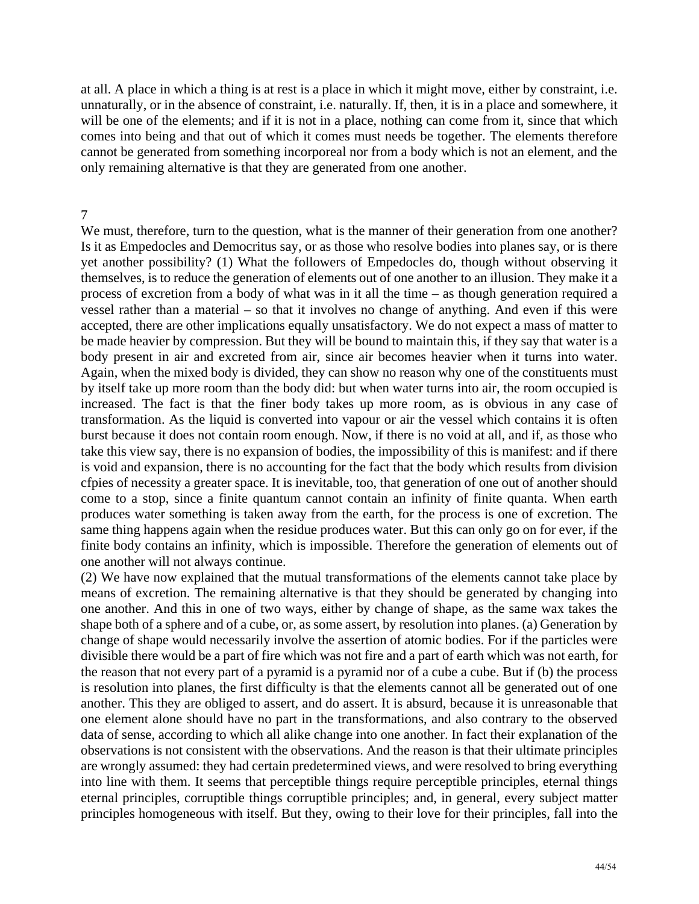at all. A place in which a thing is at rest is a place in which it might move, either by constraint, i.e. unnaturally, or in the absence of constraint, i.e. naturally. If, then, it is in a place and somewhere, it will be one of the elements; and if it is not in a place, nothing can come from it, since that which comes into being and that out of which it comes must needs be together. The elements therefore cannot be generated from something incorporeal nor from a body which is not an element, and the only remaining alternative is that they are generated from one another.

# 7

We must, therefore, turn to the question, what is the manner of their generation from one another? Is it as Empedocles and Democritus say, or as those who resolve bodies into planes say, or is there yet another possibility? (1) What the followers of Empedocles do, though without observing it themselves, is to reduce the generation of elements out of one another to an illusion. They make it a process of excretion from a body of what was in it all the time – as though generation required a vessel rather than a material – so that it involves no change of anything. And even if this were accepted, there are other implications equally unsatisfactory. We do not expect a mass of matter to be made heavier by compression. But they will be bound to maintain this, if they say that water is a body present in air and excreted from air, since air becomes heavier when it turns into water. Again, when the mixed body is divided, they can show no reason why one of the constituents must by itself take up more room than the body did: but when water turns into air, the room occupied is increased. The fact is that the finer body takes up more room, as is obvious in any case of transformation. As the liquid is converted into vapour or air the vessel which contains it is often burst because it does not contain room enough. Now, if there is no void at all, and if, as those who take this view say, there is no expansion of bodies, the impossibility of this is manifest: and if there is void and expansion, there is no accounting for the fact that the body which results from division cfpies of necessity a greater space. It is inevitable, too, that generation of one out of another should come to a stop, since a finite quantum cannot contain an infinity of finite quanta. When earth produces water something is taken away from the earth, for the process is one of excretion. The same thing happens again when the residue produces water. But this can only go on for ever, if the finite body contains an infinity, which is impossible. Therefore the generation of elements out of one another will not always continue.

another. This they are obliged to assert, and do assert. It is absurd, because it is unreasonable that (2) We have now explained that the mutual transformations of the elements cannot take place by means of excretion. The remaining alternative is that they should be generated by changing into one another. And this in one of two ways, either by change of shape, as the same wax takes the shape both of a sphere and of a cube, or, as some assert, by resolution into planes. (a) Generation by change of shape would necessarily involve the assertion of atomic bodies. For if the particles were divisible there would be a part of fire which was not fire and a part of earth which was not earth, for the reason that not every part of a pyramid is a pyramid nor of a cube a cube. But if (b) the process is resolution into planes, the first difficulty is that the elements cannot all be generated out of one one element alone should have no part in the transformations, and also contrary to the observed data of sense, according to which all alike change into one another. In fact their explanation of the observations is not consistent with the observations. And the reason is that their ultimate principles are wrongly assumed: they had certain predetermined views, and were resolved to bring everything into line with them. It seems that perceptible things require perceptible principles, eternal things eternal principles, corruptible things corruptible principles; and, in general, every subject matter principles homogeneous with itself. But they, owing to their love for their principles, fall into the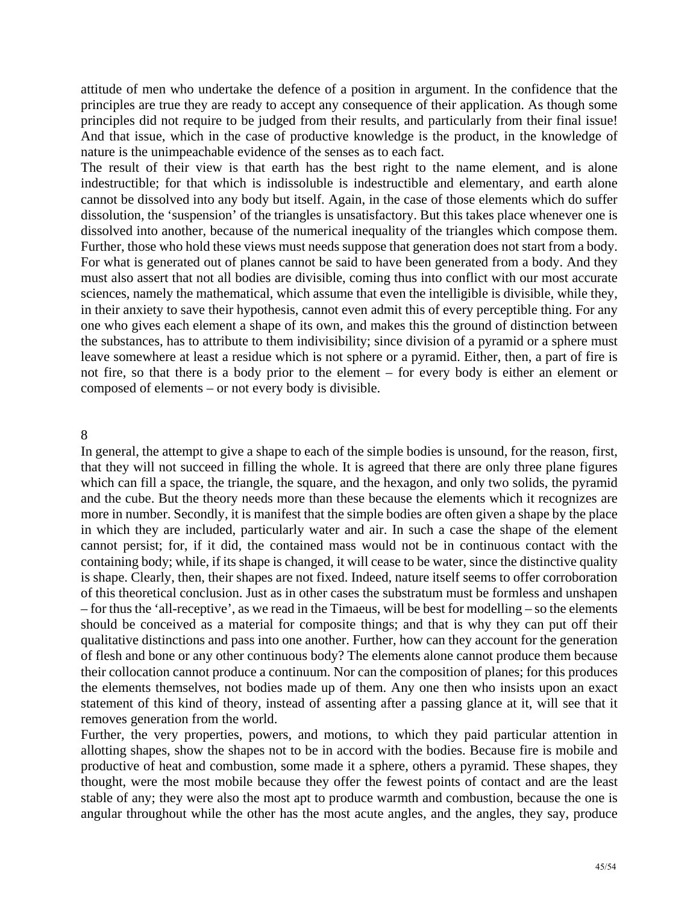attitude of men who undertake the defence of a position in argument. In the confidence that the principles are true they are ready to accept any consequence of their application. As though some principles did not require to be judged from their results, and particularly from their final issue! And that issue, which in the case of productive knowledge is the product, in the knowledge of nature is the unimpeachable evidence of the senses as to each fact.

The result of their view is that earth has the best right to the name element, and is alone indestructible; for that which is indissoluble is indestructible and elementary, and earth alone cannot be dissolved into any body but itself. Again, in the case of those elements which do suffer dissolution, the 'suspension' of the triangles is unsatisfactory. But this takes place whenever one is dissolved into another, because of the numerical inequality of the triangles which compose them. Further, those who hold these views must needs suppose that generation does not start from a body. For what is generated out of planes cannot be said to have been generated from a body. And they must also assert that not all bodies are divisible, coming thus into conflict with our most accurate sciences, namely the mathematical, which assume that even the intelligible is divisible, while they, in their anxiety to save their hypothesis, cannot even admit this of every perceptible thing. For any one who gives each element a shape of its own, and makes this the ground of distinction between the substances, has to attribute to them indivisibility; since division of a pyramid or a sphere must leave somewhere at least a residue which is not sphere or a pyramid. Either, then, a part of fire is not fire, so that there is a body prior to the element – for every body is either an element or composed of elements – or not every body is divisible.

## 8

should be conceived as a material for composite things; and that is why they can put off their In general, the attempt to give a shape to each of the simple bodies is unsound, for the reason, first, that they will not succeed in filling the whole. It is agreed that there are only three plane figures which can fill a space, the triangle, the square, and the hexagon, and only two solids, the pyramid and the cube. But the theory needs more than these because the elements which it recognizes are more in number. Secondly, it is manifest that the simple bodies are often given a shape by the place in which they are included, particularly water and air. In such a case the shape of the element cannot persist; for, if it did, the contained mass would not be in continuous contact with the containing body; while, if its shape is changed, it will cease to be water, since the distinctive quality is shape. Clearly, then, their shapes are not fixed. Indeed, nature itself seems to offer corroboration of this theoretical conclusion. Just as in other cases the substratum must be formless and unshapen – for thus the 'all-receptive', as we read in the Timaeus, will be best for modelling – so the elements qualitative distinctions and pass into one another. Further, how can they account for the generation of flesh and bone or any other continuous body? The elements alone cannot produce them because their collocation cannot produce a continuum. Nor can the composition of planes; for this produces the elements themselves, not bodies made up of them. Any one then who insists upon an exact statement of this kind of theory, instead of assenting after a passing glance at it, will see that it removes generation from the world.

Further, the very properties, powers, and motions, to which they paid particular attention in allotting shapes, show the shapes not to be in accord with the bodies. Because fire is mobile and productive of heat and combustion, some made it a sphere, others a pyramid. These shapes, they thought, were the most mobile because they offer the fewest points of contact and are the least stable of any; they were also the most apt to produce warmth and combustion, because the one is angular throughout while the other has the most acute angles, and the angles, they say, produce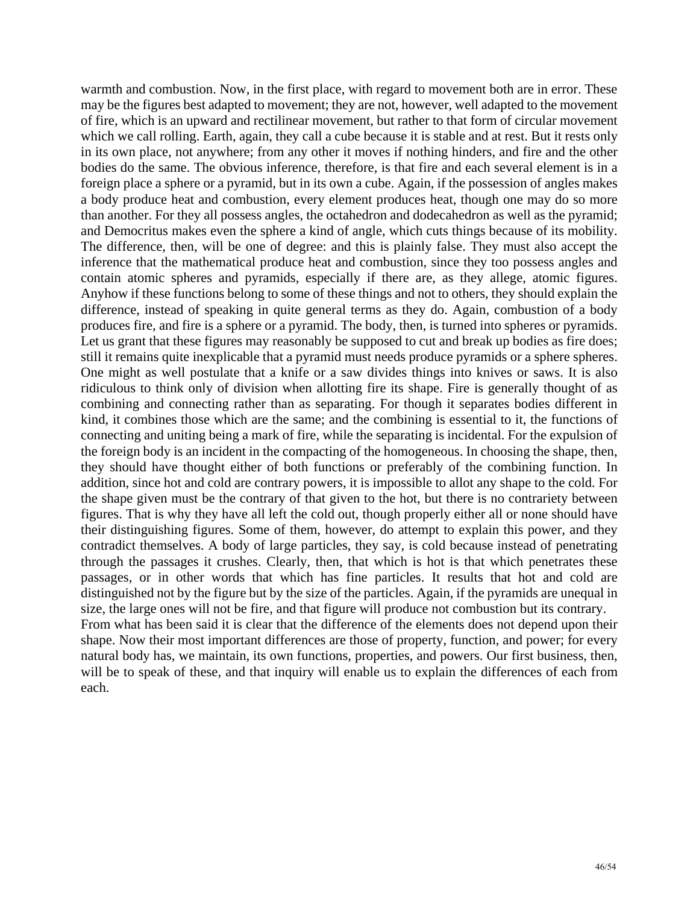warmth and combustion. Now, in the first place, with regard to movement both are in error. These may be the figures best adapted to movement; they are not, however, well adapted to the movement of fire, which is an upward and rectilinear movement, but rather to that form of circular movement which we call rolling. Earth, again, they call a cube because it is stable and at rest. But it rests only in its own place, not anywhere; from any other it moves if nothing hinders, and fire and the other bodies do the same. The obvious inference, therefore, is that fire and each several element is in a foreign place a sphere or a pyramid, but in its own a cube. Again, if the possession of angles makes a body produce heat and combustion, every element produces heat, though one may do so more than another. For they all possess angles, the octahedron and dodecahedron as well as the pyramid; and Democritus makes even the sphere a kind of angle, which cuts things because of its mobility. they should have thought either of both functions or preferably of the combining function. In addition, since hot and cold are contrary powers, it is impossible to allot any shape to the cold. For the shape given must be the contrary of that given to the hot, but there is no contrariety between figures. That is why they have all left the cold out, though properly either all or none should have The difference, then, will be one of degree: and this is plainly false. They must also accept the inference that the mathematical produce heat and combustion, since they too possess angles and contain atomic spheres and pyramids, especially if there are, as they allege, atomic figures. Anyhow if these functions belong to some of these things and not to others, they should explain the difference, instead of speaking in quite general terms as they do. Again, combustion of a body produces fire, and fire is a sphere or a pyramid. The body, then, is turned into spheres or pyramids. Let us grant that these figures may reasonably be supposed to cut and break up bodies as fire does; still it remains quite inexplicable that a pyramid must needs produce pyramids or a sphere spheres. One might as well postulate that a knife or a saw divides things into knives or saws. It is also ridiculous to think only of division when allotting fire its shape. Fire is generally thought of as combining and connecting rather than as separating. For though it separates bodies different in kind, it combines those which are the same; and the combining is essential to it, the functions of connecting and uniting being a mark of fire, while the separating is incidental. For the expulsion of the foreign body is an incident in the compacting of the homogeneous. In choosing the shape, then, their distinguishing figures. Some of them, however, do attempt to explain this power, and they contradict themselves. A body of large particles, they say, is cold because instead of penetrating through the passages it crushes. Clearly, then, that which is hot is that which penetrates these passages, or in other words that which has fine particles. It results that hot and cold are distinguished not by the figure but by the size of the particles. Again, if the pyramids are unequal in size, the large ones will not be fire, and that figure will produce not combustion but its contrary. From what has been said it is clear that the difference of the elements does not depend upon their shape. Now their most important differences are those of property, function, and power; for every natural body has, we maintain, its own functions, properties, and powers. Our first business, then, will be to speak of these, and that inquiry will enable us to explain the differences of each from each.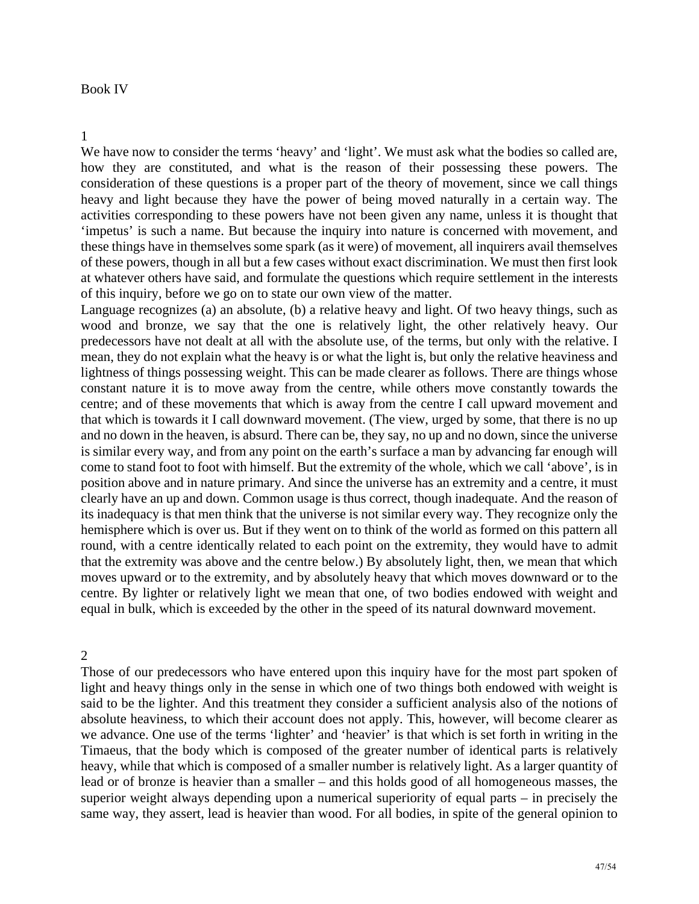## Book IV

### 1

We have now to consider the terms 'heavy' and 'light'. We must ask what the bodies so called are, how they are constituted, and what is the reason of their possessing these powers. The consideration of these questions is a proper part of the theory of movement, since we call things heavy and light because they have the power of being moved naturally in a certain way. The activities corresponding to these powers have not been given any name, unless it is thought that 'impetus' is such a name. But because the inquiry into nature is concerned with movement, and these things have in themselves some spark (as it were) of movement, all inquirers avail themselves of these powers, though in all but a few cases without exact discrimination. We must then first look at whatever others have said, and formulate the questions which require settlement in the interests of this inquiry, before we go on to state our own view of the matter.

Language recognizes (a) an absolute, (b) a relative heavy and light. Of two heavy things, such as wood and bronze, we say that the one is relatively light, the other relatively heavy. Our predecessors have not dealt at all with the absolute use, of the terms, but only with the relative. I mean, they do not explain what the heavy is or what the light is, but only the relative heaviness and lightness of things possessing weight. This can be made clearer as follows. There are things whose constant nature it is to move away from the centre, while others move constantly towards the centre; and of these movements that which is away from the centre I call upward movement and that which is towards it I call downward movement. (The view, urged by some, that there is no up and no down in the heaven, is absurd. There can be, they say, no up and no down, since the universe is similar every way, and from any point on the earth's surface a man by advancing far enough will come to stand foot to foot with himself. But the extremity of the whole, which we call 'above', is in position above and in nature primary. And since the universe has an extremity and a centre, it must clearly have an up and down. Common usage is thus correct, though inadequate. And the reason of its inadequacy is that men think that the universe is not similar every way. They recognize only the hemisphere which is over us. But if they went on to think of the world as formed on this pattern all round, with a centre identically related to each point on the extremity, they would have to admit that the extremity was above and the centre below.) By absolutely light, then, we mean that which moves upward or to the extremity, and by absolutely heavy that which moves downward or to the centre. By lighter or relatively light we mean that one, of two bodies endowed with weight and equal in bulk, which is exceeded by the other in the speed of its natural downward movement.

## 2

Those of our predecessors who have entered upon this inquiry have for the most part spoken of light and heavy things only in the sense in which one of two things both endowed with weight is said to be the lighter. And this treatment they consider a sufficient analysis also of the notions of absolute heaviness, to which their account does not apply. This, however, will become clearer as superior weight always depending upon a numerical superiority of equal parts  $-$  in precisely the same way, they assert, lead is heavier than wood. For all bodies, in spite of the general opinion to we advance. One use of the terms 'lighter' and 'heavier' is that which is set forth in writing in the Timaeus, that the body which is composed of the greater number of identical parts is relatively heavy, while that which is composed of a smaller number is relatively light. As a larger quantity of lead or of bronze is heavier than a smaller – and this holds good of all homogeneous masses, the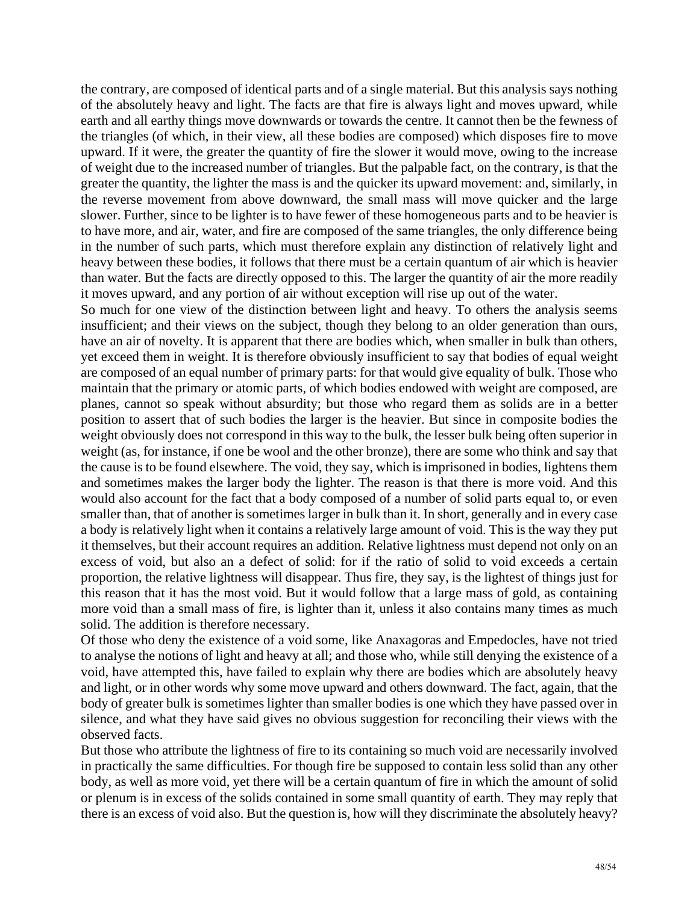the contrary, are composed of identical parts and of a single material. But this analysis says nothing of the absolutely heavy and light. The facts are that fire is always light and moves upward, while earth and all earthy things move downwards or towards the centre. It cannot then be the fewness of the triangles (of which, in their view, all these bodies are composed) which disposes fire to move pward. If it were, the greater the quantity of fire the slower it would move, owing to the increase u of weight due to the increased number of triangles. But the palpable fact, on the contrary, is that the greater the quantity, the lighter the mass is and the quicker its upward movement: and, similarly, in the reverse movement from above downward, the small mass will move quicker and the large slower. Further, since to be lighter is to have fewer of these homogeneous parts and to be heavier is to have more, and air, water, and fire are composed of the same triangles, the only difference being in the number of such parts, which must therefore explain any distinction of relatively light and heavy between these bodies, it follows that there must be a certain quantum of air which is heavier than water. But the facts are directly opposed to this. The larger the quantity of air the more readily it moves upward, and any portion of air without exception will rise up out of the water.

insufficient; and their views on the subject, though they belong to an older generation than ours, So much for one view of the distinction between light and heavy. To others the analysis seems have an air of novelty. It is apparent that there are bodies which, when smaller in bulk than others, yet exceed them in weight. It is therefore obviously insufficient to say that bodies of equal weight are composed of an equal number of primary parts: for that would give equality of bulk. Those who maintain that the primary or atomic parts, of which bodies endowed with weight are composed, are planes, cannot so speak without absurdity; but those who regard them as solids are in a better position to assert that of such bodies the larger is the heavier. But since in composite bodies the weight obviously does not correspond in this way to the bulk, the lesser bulk being often superior in weight (as, for instance, if one be wool and the other bronze), there are some who think and say that the cause is to be found elsewhere. The void, they say, which is imprisoned in bodies, lightens them and sometimes makes the larger body the lighter. The reason is that there is more void. And this would also account for the fact that a body composed of a number of solid parts equal to, or even smaller than, that of another is sometimes larger in bulk than it. In short, generally and in every case a body is relatively light when it contains a relatively large amount of void. This is the way they put it themselves, but their account requires an addition. Relative lightness must depend not only on an excess of void, but also an a defect of solid: for if the ratio of solid to void exceeds a certain proportion, the relative lightness will disappear. Thus fire, they say, is the lightest of things just for this reason that it has the most void. But it would follow that a large mass of gold, as containing more void than a small mass of fire, is lighter than it, unless it also contains many times as much solid. The addition is therefore necessary.

to analyse the notions of light and heavy at all; and those who, while still denying the existence of a void, have attempted this, have failed to explain why there are bodies which are absolutely heavy and light, or in other words why some move upward and others downward. The fact, again, that the body of greater bulk is sometimes lighter than smaller bodies is one which they have passed over in Of those who deny the existence of a void some, like Anaxagoras and Empedocles, have not tried silence, and what they have said gives no obvious suggestion for reconciling their views with the observed facts.

But those who attribute the lightness of fire to its containing so much void are necessarily involved in practically the same difficulties. For though fire be supposed to contain less solid than any other body, as well as more void, yet there will be a certain quantum of fire in which the amount of solid or plenum is in excess of the solids contained in some small quantity of earth. They may reply that there is an excess of void also. But the question is, how will they discriminate the absolutely heavy?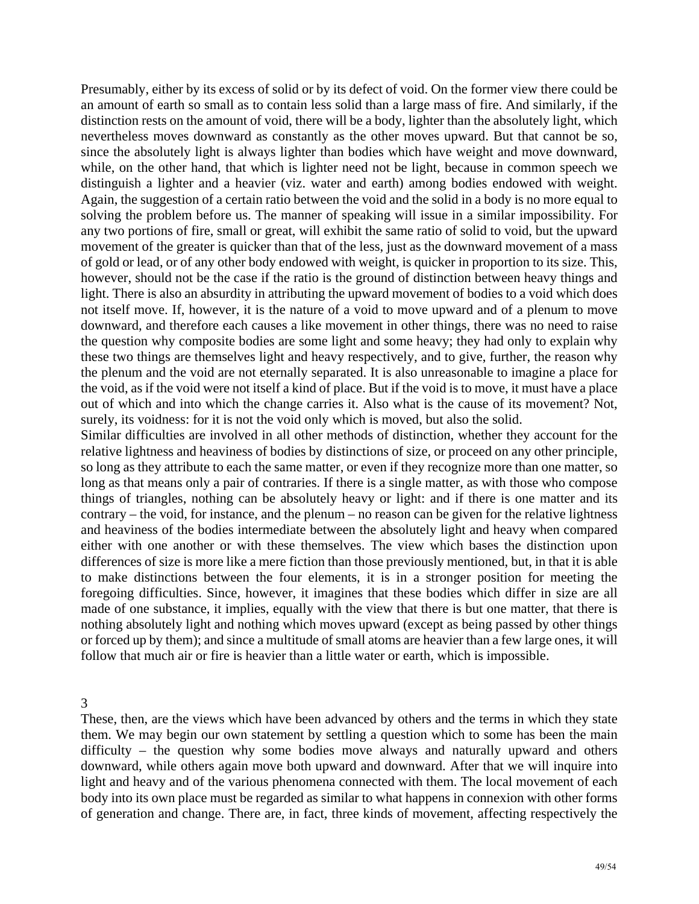Presumably, either by its excess of solid or by its defect of void. On the former view there could be an amount of earth so small as to contain less solid than a large mass of fire. And similarly, if the distinction rests on the amount of void, there will be a body, lighter than the absolutely light, which nevertheless moves downward as constantly as the other moves upward. But that cannot be so, since the absolutely light is always lighter than bodies which have weight and move downward, while, on the other hand, that which is lighter need not be light, because in common speech we distinguish a lighter and a heavier (viz. water and earth) among bodies endowed with weight. Again, the suggestion of a certain ratio between the void and the solid in a body is no more equal to solving the problem before us. The manner of speaking will issue in a similar impossibility. For any two portions of fire, small or great, will exhibit the same ratio of solid to void, but the upward movement of the greater is quicker than that of the less, just as the downward movement of a mass of gold or lead, or of any other body endowed with weight, is quicker in proportion to its size. This, however, should not be the case if the ratio is the ground of distinction between heavy things and light. There is also an absurdity in attributing the upward movement of bodies to a void which does not itself move. If, however, it is the nature of a void to move upward and of a plenum to move downward, and therefore each causes a like movement in other things, there was no need to raise the question why composite bodies are some light and some heavy; they had only to explain why these two things are themselves light and heavy respectively, and to give, further, the reason why the plenum and the void are not eternally separated. It is also unreasonable to imagine a place for the void, as if the void were not itself a kind of place. But if the void is to move, it must have a place out of which and into which the change carries it. Also what is the cause of its movement? Not, surely, its voidness: for it is not the void only which is moved, but also the solid.

Similar difficulties are involved in all other methods of distinction, whether they account for the relative lightness and heaviness of bodies by distinctions of size, or proceed on any other principle, so long as they attribute to each the same matter, or even if they recognize more than one matter, so long as that means only a pair of contraries. If there is a single matter, as with those who compose things of triangles, nothing can be absolutely heavy or light: and if there is one matter and its contrary – the void, for instance, and the plenum – no reason can be given for the relative lightness and heaviness of the bodies intermediate between the absolutely light and heavy when compared either with one another or with these themselves. The view which bases the distinction upon differences of size is more like a mere fiction than those previously mentioned, but, in that it is able to make distinctions between the four elements, it is in a stronger position for meeting the foregoing difficulties. Since, however, it imagines that these bodies which differ in size are all made of one substance, it implies, equally with the view that there is but one matter, that there is nothing absolutely light and nothing which moves upward (except as being passed by other things or forced up by them); and since a multitude of small atoms are heavier than a few large ones, it will follow that much air or fire is heavier than a little water or earth, which is impossible.

3

of generation and change. There are, in fact, three kinds of movement, affecting respectively the These, then, are the views which have been advanced by others and the terms in which they state them. We may begin our own statement by settling a question which to some has been the main difficulty – the question why some bodies move always and naturally upward and others downward, while others again move both upward and downward. After that we will inquire into light and heavy and of the various phenomena connected with them. The local movement of each body into its own place must be regarded as similar to what happens in connexion with other forms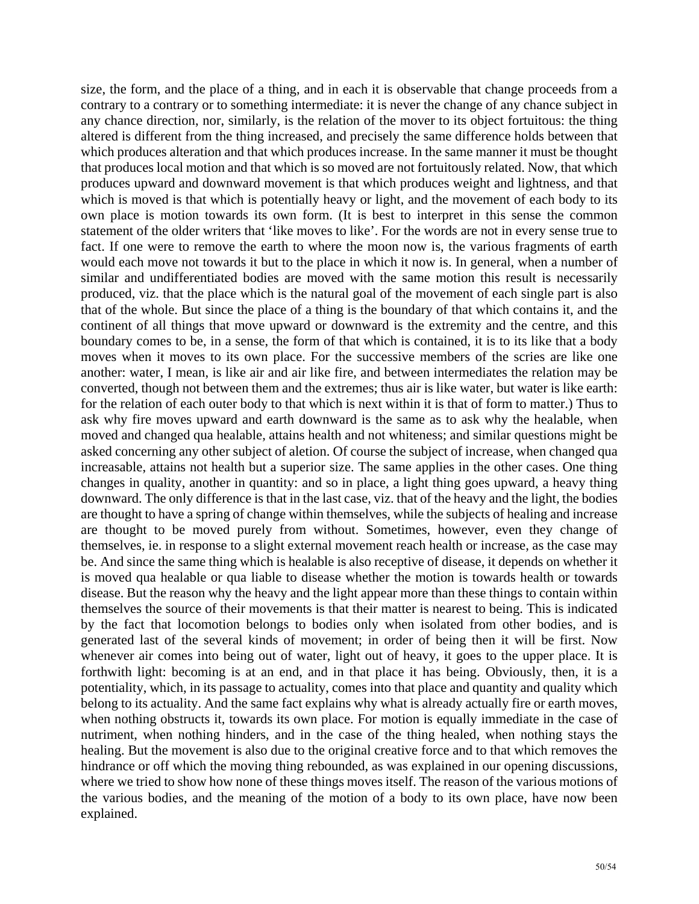size, the form, and the place of a thing, and in each it is observable that change proceeds from a contrary to a contrary or to something intermediate: it is never the change of any chance subject in any chance direction, nor, similarly, is the relation of the mover to its object fortuitous: the thing altered is different from the thing increased, and precisely the same difference holds between that which produces alteration and that which produces increase. In the same manner it must be thought that produces local motion and that which is so moved are not fortuitously related. Now, that which produces upward and downward movement is that which produces weight and lightness, and that which is moved is that which is potentially heavy or light, and the movement of each body to its own place is motion towards its own form. (It is best to interpret in this sense the common statement of the older writers that 'like moves to like'. For the words are not in every sense true to fact. If one were to remove the earth to where the moon now is, the various fragments of earth would each move not towards it but to the place in which it now is. In general, when a number of similar and undifferentiated bodies are moved with the same motion this result is necessarily produced, viz. that the place which is the natural goal of the movement of each single part is also that of the whole. But since the place of a thing is the boundary of that which contains it, and the continent of all things that move upward or downward is the extremity and the centre, and this boundary comes to be, in a sense, the form of that which is contained, it is to its like that a body moves when it moves to its own place. For the successive members of the scries are like one another: water, I mean, is like air and air like fire, and between intermediates the relation may be converted, though not between them and the extremes; thus air is like water, but water is like earth: for the relation of each outer body to that which is next within it is that of form to matter.) Thus to ask why fire moves upward and earth downward is the same as to ask why the healable, when moved and changed qua healable, attains health and not whiteness; and similar questions might be asked concerning any other subject of aletion. Of course the subject of increase, when changed qua increasable, attains not health but a superior size. The same applies in the other cases. One thing changes in quality, another in quantity: and so in place, a light thing goes upward, a heavy thing downward. The only difference is that in the last case, viz. that of the heavy and the light, the bodies are thought to have a spring of change within themselves, while the subjects of healing and increase hindrance or off which the moving thing rebounded, as was explained in our opening discussions, where we tried to show how none of these things moves itself. The reason of the various motions of the various bodies, and the meaning of the motion of a body to its own place, have now been explained. are thought to be moved purely from without. Sometimes, however, even they change of themselves, ie. in response to a slight external movement reach health or increase, as the case may be. And since the same thing which is healable is also receptive of disease, it depends on whether it is moved qua healable or qua liable to disease whether the motion is towards health or towards disease. But the reason why the heavy and the light appear more than these things to contain within themselves the source of their movements is that their matter is nearest to being. This is indicated by the fact that locomotion belongs to bodies only when isolated from other bodies, and is generated last of the several kinds of movement; in order of being then it will be first. Now whenever air comes into being out of water, light out of heavy, it goes to the upper place. It is forthwith light: becoming is at an end, and in that place it has being. Obviously, then, it is a potentiality, which, in its passage to actuality, comes into that place and quantity and quality which belong to its actuality. And the same fact explains why what is already actually fire or earth moves, when nothing obstructs it, towards its own place. For motion is equally immediate in the case of nutriment, when nothing hinders, and in the case of the thing healed, when nothing stays the healing. But the movement is also due to the original creative force and to that which removes the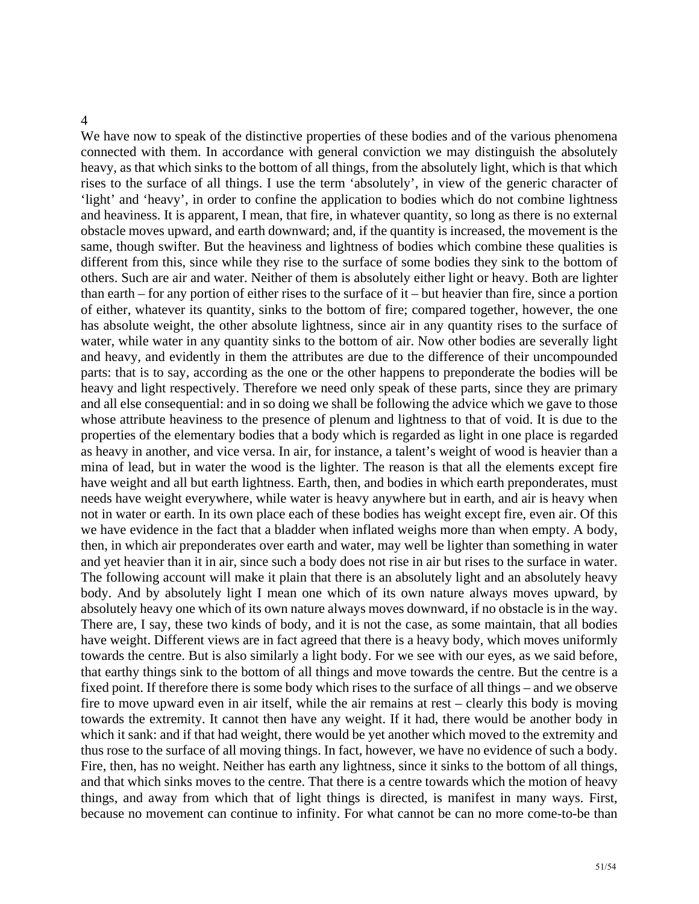#### 4

We have now to speak of the distinctive properties of these bodies and of the various phenomena connected with them. In accordance with general conviction we may distinguish the absolutely heavy, as that which sinks to the bottom of all things, from the absolutely light, which is that which rises to the surface of all things. I use the term 'absolutely', in view of the generic character of 'light' and 'heavy', in order to confine the application to bodies which do not combine lightness and heaviness. It is apparent, I mean, that fire, in whatever quantity, so long as there is no external obstacle moves upward, and earth downward; and, if the quantity is increased, the movement is the same, though swifter. But the heaviness and lightness of bodies which combine these qualities is different from this, since while they rise to the surface of some bodies they sink to the bottom of others. Such are air and water. Neither of them is absolutely either light or heavy. Both are lighter than earth – for any portion of either rises to the surface of it – but heavier than fire, since a portion of either, whatever its quantity, sinks to the bottom of fire; compared together, however, the one has absolute weight, the other absolute lightness, since air in any quantity rises to the surface of water, while water in any quantity sinks to the bottom of air. Now other bodies are severally light and heavy, and evidently in them the attributes are due to the difference of their uncompounded parts: that is to say, according as the one or the other happens to preponderate the bodies will be heavy and light respectively. Therefore we need only speak of these parts, since they are primary and all else consequential: and in so doing we shall be following the advice which we gave to those whose attribute heaviness to the presence of plenum and lightness to that of void. It is due to the properties of the elementary bodies that a body which is regarded as light in one place is regarded as heavy in another, and vice versa. In air, for instance, a talent's weight of wood is heavier than a mina of lead, but in water the wood is the lighter. The reason is that all the elements except fire have weight and all but earth lightness. Earth, then, and bodies in which earth preponderates, must needs have weight everywhere, while water is heavy anywhere but in earth, and air is heavy when not in water or earth. In its own place each of these bodies has weight except fire, even air. Of this we have evidence in the fact that a bladder when inflated weighs more than when empty. A body, then, in which air preponderates over earth and water, may well be lighter than something in water and yet heavier than it in air, since such a body does not rise in air but rises to the surface in water. The following account will make it plain that there is an absolutely light and an absolutely heavy body. And by absolutely light I mean one which of its own nature always moves upward, by absolutely heavy one which of its own nature always moves downward, if no obstacle is in the way. There are, I say, these two kinds of body, and it is not the case, as some maintain, that all bodies have weight. Different views are in fact agreed that there is a heavy body, which moves uniformly towards the centre. But is also similarly a light body. For we see with our eyes, as we said before, that earthy things sink to the bottom of all things and move towards the centre. But the centre is a fixed point. If therefore there is some body which rises to the surface of all things – and we observe fire to move upward even in air itself, while the air remains at rest – clearly this body is moving towards the extremity. It cannot then have any weight. If it had, there would be another body in which it sank: and if that had weight, there would be yet another which moved to the extremity and thus rose to the surface of all moving things. In fact, however, we have no evidence of such a body. Fire, then, has no weight. Neither has earth any lightness, since it sinks to the bottom of all things, and that which sinks moves to the centre. That there is a centre towards which the motion of heavy things, and away from which that of light things is directed, is manifest in many ways. First, because no movement can continue to infinity. For what cannot be can no more come-to-be than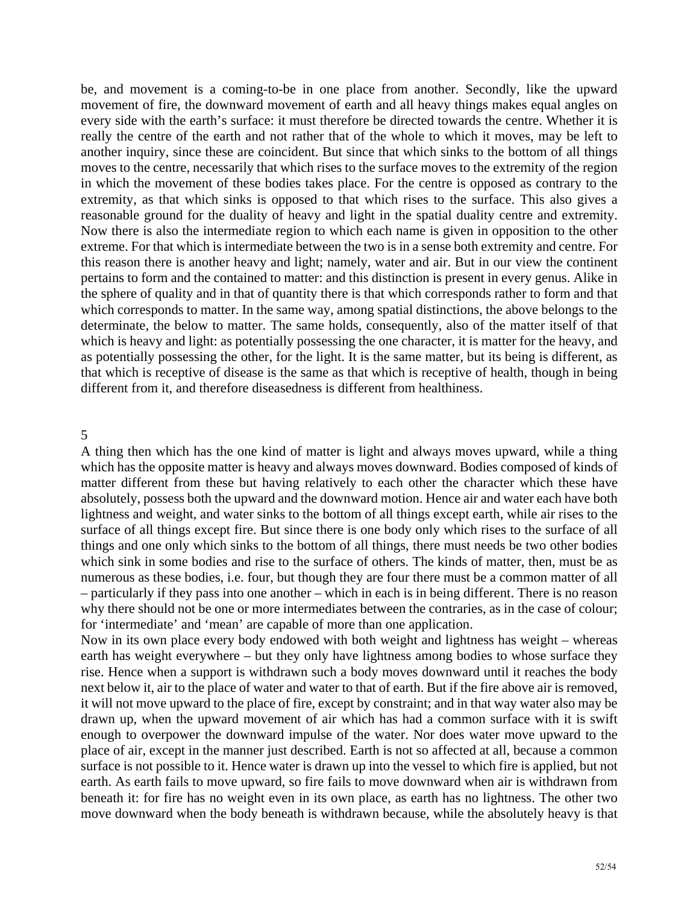be, and movement is a coming-to-be in one place from another. Secondly, like the upward movement of fire, the downward movement of earth and all heavy things makes equal angles on every side with the earth's surface: it must therefore be directed towards the centre. Whether it is really the centre of the earth and not rather that of the whole to which it moves, may be left to another inquiry, since these are coincident. But since that which sinks to the bottom of all things moves to the centre, necessarily that which rises to the surface moves to the extremity of the region in which the movement of these bodies takes place. For the centre is opposed as contrary to the extremity, as that which sinks is opposed to that which rises to the surface. This also gives a reasonable ground for the duality of heavy and light in the spatial duality centre and extremity. Now there is also the intermediate region to which each name is given in opposition to the other extreme. For that which is intermediate between the two is in a sense both extremity and centre. For this reason there is another heavy and light; namely, water and air. But in our view the continent pertains to form and the contained to matter: and this distinction is present in every genus. Alike in the sphere of quality and in that of quantity there is that which corresponds rather to form and that which corresponds to matter. In the same way, among spatial distinctions, the above belongs to the determinate, the below to matter. The same holds, consequently, also of the matter itself of that which is heavy and light: as potentially possessing the one character, it is matter for the heavy, and as potentially possessing the other, for the light. It is the same matter, but its being is different, as that which is receptive of disease is the same as that which is receptive of health, though in being different from it, and therefore diseasedness is different from healthiness.

## 5

A thing then which has the one kind of matter is light and always moves upward, while a thing which has the opposite matter is heavy and always moves downward. Bodies composed of kinds of matter different from these but having relatively to each other the character which these have absolutely, possess both the upward and the downward motion. Hence air and water each have both lightness and weight, and water sinks to the bottom of all things except earth, while air rises to the surface of all things except fire. But since there is one body only which rises to the surface of all things and one only which sinks to the bottom of all things, there must needs be two other bodies which sink in some bodies and rise to the surface of others. The kinds of matter, then, must be as numerous as these bodies, i.e. four, but though they are four there must be a common matter of all – particularly if they pass into one another – which in each is in being different. There is no reason why there should not be one or more intermediates between the contraries, as in the case of colour; for 'intermediate' and 'mean' are capable of more than one application.

it will not move upward to the place of fire, except by constraint; and in that way water also may be Now in its own place every body endowed with both weight and lightness has weight – whereas earth has weight everywhere – but they only have lightness among bodies to whose surface they rise. Hence when a support is withdrawn such a body moves downward until it reaches the body next below it, air to the place of water and water to that of earth. But if the fire above air is removed, drawn up, when the upward movement of air which has had a common surface with it is swift enough to overpower the downward impulse of the water. Nor does water move upward to the place of air, except in the manner just described. Earth is not so affected at all, because a common surface is not possible to it. Hence water is drawn up into the vessel to which fire is applied, but not earth. As earth fails to move upward, so fire fails to move downward when air is withdrawn from beneath it: for fire has no weight even in its own place, as earth has no lightness. The other two move downward when the body beneath is withdrawn because, while the absolutely heavy is that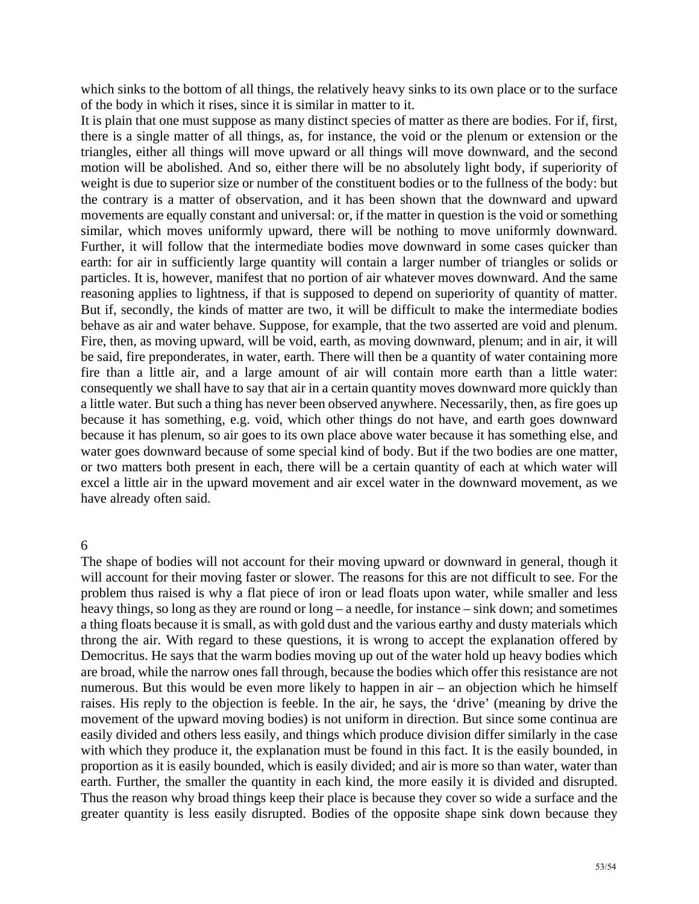which sinks to the bottom of all things, the relatively heavy sinks to its own place or to the surface of the body in which it rises, since it is similar in matter to it.

It is plain that one must suppose as many distinct species of matter as there are bodies. For if, first, there is a single matter of all things, as, for instance, the void or the plenum or extension or the triangles, either all things will move upward or all things will move downward, and the second motion will be abolished. And so, either there will be no absolutely light body, if superiority of weight is due to superior size or number of the constituent bodies or to the fullness of the body: but the contrary is a matter of observation, and it has been shown that the downward and upward movements are equally constant and universal: or, if the matter in question is the void or something similar, which moves uniformly upward, there will be nothing to move uniformly downward. Further, it will follow that the intermediate bodies move downward in some cases quicker than earth: for air in sufficiently large quantity will contain a larger number of triangles or solids or particles. It is, however, manifest that no portion of air whatever moves downward. And the same reasoning applies to lightness, if that is supposed to depend on superiority of quantity of matter. But if, secondly, the kinds of matter are two, it will be difficult to make the intermediate bodies behave as air and water behave. Suppose, for example, that the two asserted are void and plenum. Fire, then, as moving upward, will be void, earth, as moving downward, plenum; and in air, it will be said, fire preponderates, in water, earth. There will then be a quantity of water containing more fire than a little air, and a large amount of air will contain more earth than a little water: consequently we shall have to say that air in a certain quantity moves downward more quickly than a little water. But such a thing has never been observed anywhere. Necessarily, then, as fire goes up because it has something, e.g. void, which other things do not have, and earth goes downward because it has plenum, so air goes to its own place above water because it has something else, and water goes downward because of some special kind of body. But if the two bodies are one matter, or two matters both present in each, there will be a certain quantity of each at which water will excel a little air in the upward movement and air excel water in the downward movement, as we have already often said.

## 6

The shape of bodies will not account for their moving upward or downward in general, though it will account for their moving faster or slower. The reasons for this are not difficult to see. For the problem thus raised is why a flat piece of iron or lead floats upon water, while smaller and less earth. Further, the smaller the quantity in each kind, the more easily it is divided and disrupted. heavy things, so long as they are round or long – a needle, for instance – sink down; and sometimes a thing floats because it is small, as with gold dust and the various earthy and dusty materials which throng the air. With regard to these questions, it is wrong to accept the explanation offered by Democritus. He says that the warm bodies moving up out of the water hold up heavy bodies which are broad, while the narrow ones fall through, because the bodies which offer this resistance are not numerous. But this would be even more likely to happen in air – an objection which he himself raises. His reply to the objection is feeble. In the air, he says, the 'drive' (meaning by drive the movement of the upward moving bodies) is not uniform in direction. But since some continua are easily divided and others less easily, and things which produce division differ similarly in the case with which they produce it, the explanation must be found in this fact. It is the easily bounded, in proportion as it is easily bounded, which is easily divided; and air is more so than water, water than Thus the reason why broad things keep their place is because they cover so wide a surface and the greater quantity is less easily disrupted. Bodies of the opposite shape sink down because they